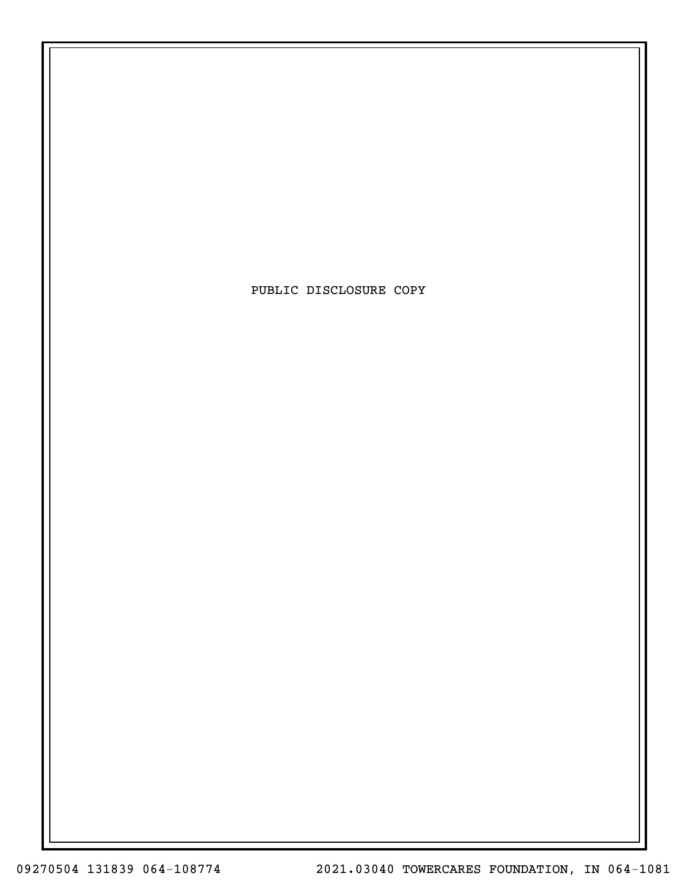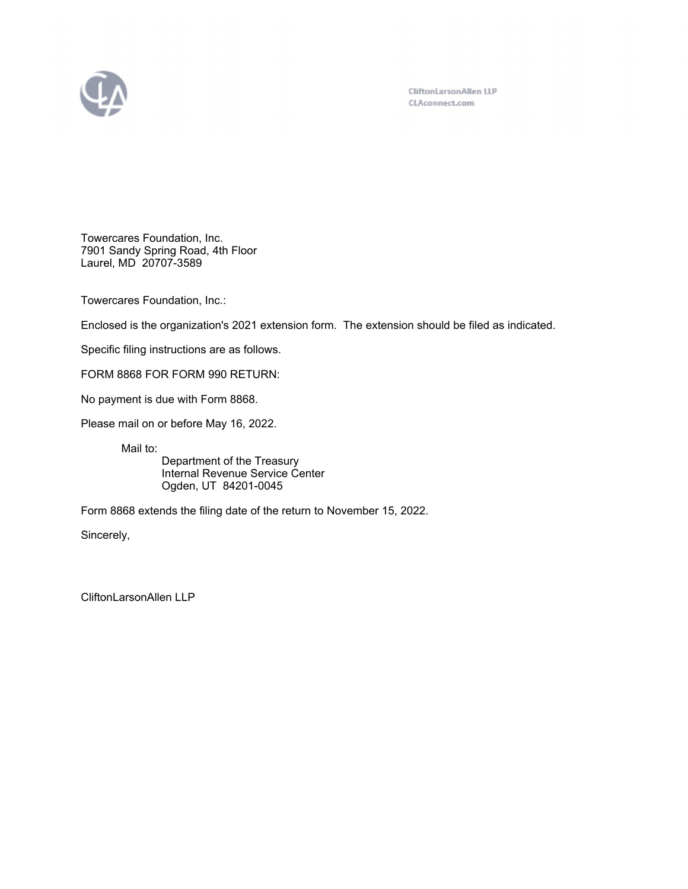

CliftonLarsonAllen LLP CLAconnect.com

Towercares Foundation, Inc. 7901 Sandy Spring Road, 4th Floor Laurel, MD 20707-3589

Towercares Foundation, Inc.:

Enclosed is the organization's 2021 extension form. The extension should be filed as indicated.

Specific filing instructions are as follows.

FORM 8868 FOR FORM 990 RETURN:

No payment is due with Form 8868.

Please mail on or before May 16, 2022.

Mail to:

Department of the Treasury Internal Revenue Service Center Ogden, UT 84201-0045

Form 8868 extends the filing date of the return to November 15, 2022.

Sincerely,

CliftonLarsonAllen LLP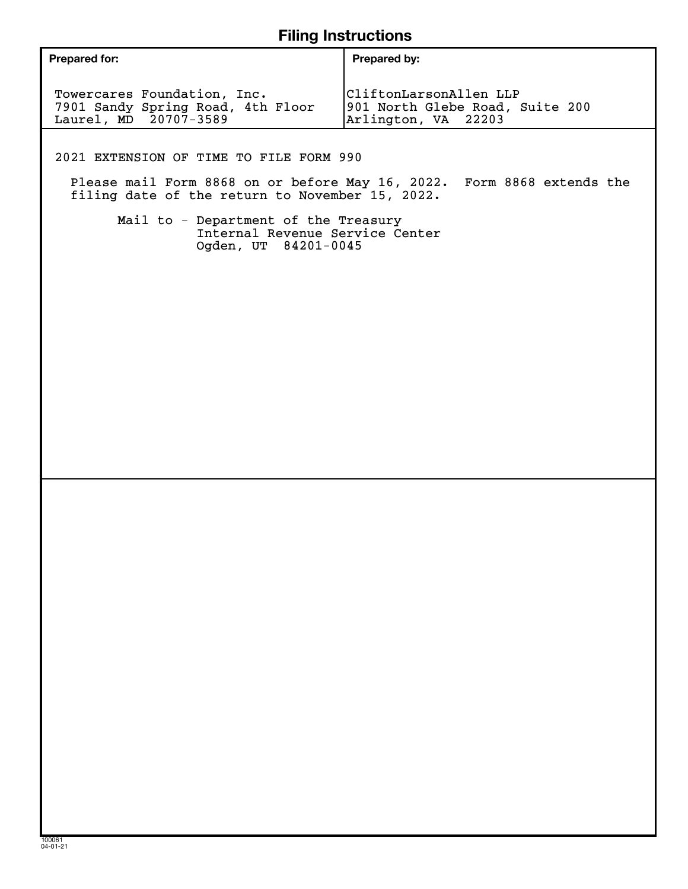|                                                                                                 | <b>Filing Instructions</b>                                                       |
|-------------------------------------------------------------------------------------------------|----------------------------------------------------------------------------------|
| Prepared for:                                                                                   | Prepared by:                                                                     |
| Towercares Foundation, Inc.<br>7901 Sandy Spring Road, 4th Floor<br>Laurel, MD 20707-3589       | CliftonLarsonAllen LLP<br>901 North Glebe Road, Suite 200<br>Arlington, VA 22203 |
| 2021 EXTENSION OF TIME TO FILE FORM 990                                                         |                                                                                  |
| filing date of the return to November 15, 2022.                                                 | Please mail Form 8868 on or before May 16, 2022. Form 8868 extends the           |
| Mail to - Department of the Treasury<br>Internal Revenue Service Center<br>Ogden, UT 84201-0045 |                                                                                  |
|                                                                                                 |                                                                                  |
|                                                                                                 |                                                                                  |
|                                                                                                 |                                                                                  |
|                                                                                                 |                                                                                  |
|                                                                                                 |                                                                                  |
|                                                                                                 |                                                                                  |
|                                                                                                 |                                                                                  |
|                                                                                                 |                                                                                  |
|                                                                                                 |                                                                                  |
|                                                                                                 |                                                                                  |
|                                                                                                 |                                                                                  |
|                                                                                                 |                                                                                  |
|                                                                                                 |                                                                                  |
|                                                                                                 |                                                                                  |
|                                                                                                 |                                                                                  |
|                                                                                                 |                                                                                  |
|                                                                                                 |                                                                                  |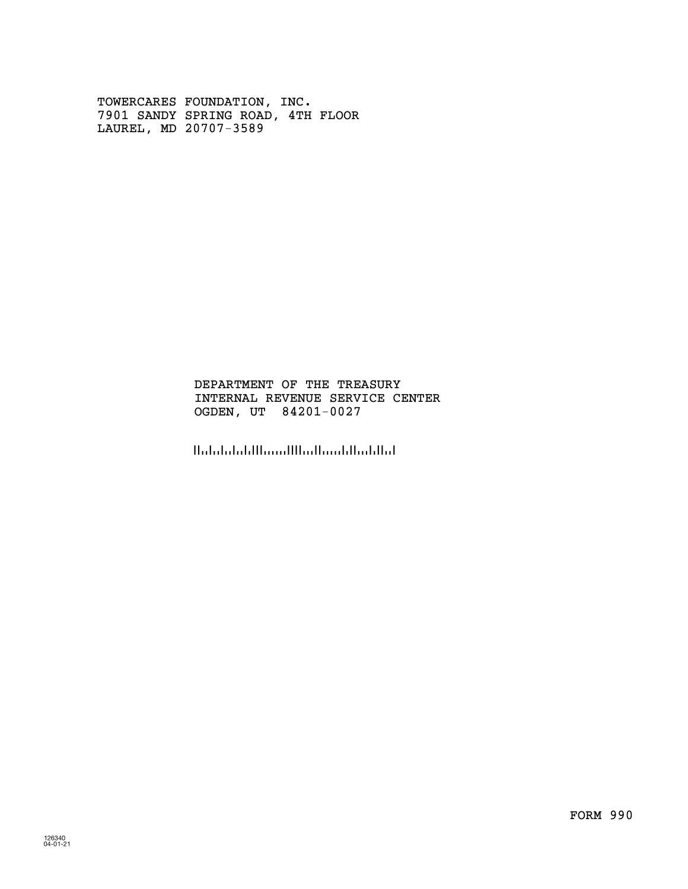TOWERCARES FOUNDATION, INC. 7901 SANDY SPRING ROAD, 4TH FLOOR LAUREL, MD 20707-3589

## INTERNAL REVENUE SERVICE CENTER OGDEN, UT 84201-0027 DEPARTMENT OF THE TREASURY

الماليانية المستالية الاستنبا البلينانيلينا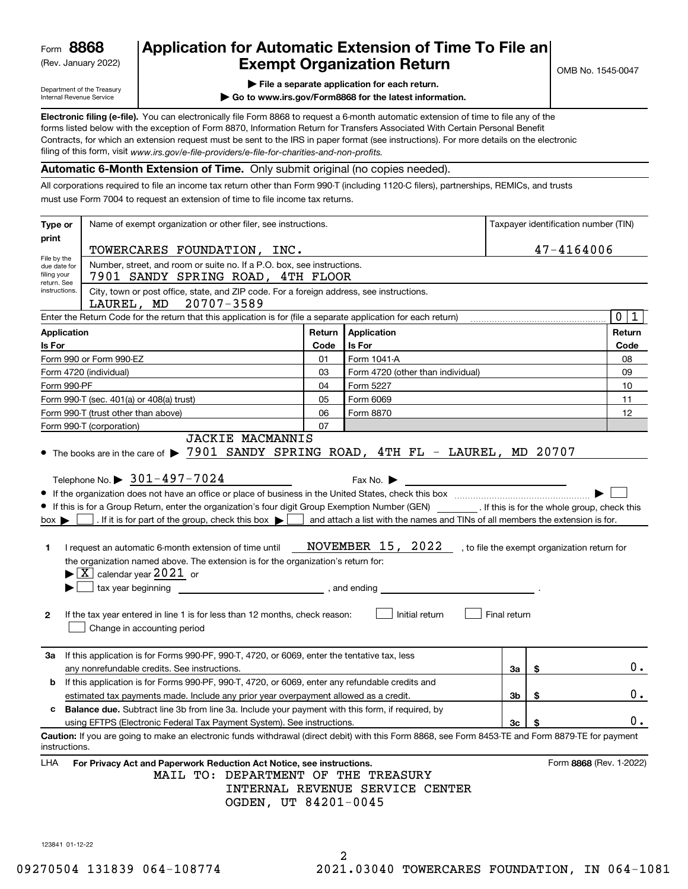(Rev. January 2022)

# **Application for Automatic Extension of Time To File an Exempt Organization Return**

Department of the Treasury Internal Revenue Service

|  |  |  | $\blacktriangleright$ File a separate application for each return. |
|--|--|--|--------------------------------------------------------------------|
|  |  |  |                                                                    |

**| Go to www.irs.gov/Form8868 for the latest information.**

**Electronic filing (e-file).**  You can electronically file Form 8868 to request a 6-month automatic extension of time to file any of the filing of this form, visit www*.irs.gov/e-file-providers/e-file-for-charities-and-non-profits.* forms listed below with the exception of Form 8870, Information Return for Transfers Associated With Certain Personal Benefit Contracts, for which an extension request must be sent to the IRS in paper format (see instructions). For more details on the electronic

**Automatic 6-Month Extension of Time.** Only submit original (no copies needed).

All corporations required to file an income tax return other than Form 990-T (including 1120-C filers), partnerships, REMICs, and trusts must use Form 7004 to request an extension of time to file income tax returns.

| Type or<br>Name of exempt organization or other filer, see instructions.                                                                                      |                                                                                                                                                                                                                                                                                                                                                                                                                                                                                                                                                                                                                                                       |          |                                                                                                                                                                    | Taxpayer identification number (TIN) |                         |          |  |  |
|---------------------------------------------------------------------------------------------------------------------------------------------------------------|-------------------------------------------------------------------------------------------------------------------------------------------------------------------------------------------------------------------------------------------------------------------------------------------------------------------------------------------------------------------------------------------------------------------------------------------------------------------------------------------------------------------------------------------------------------------------------------------------------------------------------------------------------|----------|--------------------------------------------------------------------------------------------------------------------------------------------------------------------|--------------------------------------|-------------------------|----------|--|--|
| print                                                                                                                                                         | TOWERCARES FOUNDATION, INC.                                                                                                                                                                                                                                                                                                                                                                                                                                                                                                                                                                                                                           |          | 47-4164006                                                                                                                                                         |                                      |                         |          |  |  |
| File by the<br>due date for<br>filing your                                                                                                                    | Number, street, and room or suite no. If a P.O. box, see instructions.                                                                                                                                                                                                                                                                                                                                                                                                                                                                                                                                                                                |          |                                                                                                                                                                    |                                      |                         |          |  |  |
| 7901 SANDY SPRING ROAD, 4TH FLOOR<br>return. See<br>City, town or post office, state, and ZIP code. For a foreign address, see instructions.<br>instructions. |                                                                                                                                                                                                                                                                                                                                                                                                                                                                                                                                                                                                                                                       |          |                                                                                                                                                                    |                                      |                         |          |  |  |
|                                                                                                                                                               | 20707-3589<br>LAUREL, MD                                                                                                                                                                                                                                                                                                                                                                                                                                                                                                                                                                                                                              |          |                                                                                                                                                                    |                                      |                         |          |  |  |
|                                                                                                                                                               | Enter the Return Code for the return that this application is for (file a separate application for each return)                                                                                                                                                                                                                                                                                                                                                                                                                                                                                                                                       |          |                                                                                                                                                                    |                                      |                         | 0 1      |  |  |
| <b>Application</b>                                                                                                                                            |                                                                                                                                                                                                                                                                                                                                                                                                                                                                                                                                                                                                                                                       | Return   | Application                                                                                                                                                        |                                      |                         | Return   |  |  |
| Is For                                                                                                                                                        |                                                                                                                                                                                                                                                                                                                                                                                                                                                                                                                                                                                                                                                       | Code     | Is For                                                                                                                                                             |                                      |                         | Code     |  |  |
|                                                                                                                                                               | Form 990 or Form 990-EZ                                                                                                                                                                                                                                                                                                                                                                                                                                                                                                                                                                                                                               | 01       | Form 1041-A                                                                                                                                                        |                                      |                         | 08       |  |  |
|                                                                                                                                                               | Form 4720 (individual)                                                                                                                                                                                                                                                                                                                                                                                                                                                                                                                                                                                                                                | 03       | Form 4720 (other than individual)                                                                                                                                  |                                      |                         | 09       |  |  |
| Form 990-PF                                                                                                                                                   |                                                                                                                                                                                                                                                                                                                                                                                                                                                                                                                                                                                                                                                       | 04<br>05 | Form 5227<br>Form 6069                                                                                                                                             |                                      |                         | 10<br>11 |  |  |
|                                                                                                                                                               | Form 990-T (sec. 401(a) or 408(a) trust)<br>Form 990-T (trust other than above)                                                                                                                                                                                                                                                                                                                                                                                                                                                                                                                                                                       | 06       | Form 8870                                                                                                                                                          |                                      |                         | 12       |  |  |
|                                                                                                                                                               | Form 990-T (corporation)                                                                                                                                                                                                                                                                                                                                                                                                                                                                                                                                                                                                                              | 07       |                                                                                                                                                                    |                                      |                         |          |  |  |
|                                                                                                                                                               | JACKIE MACMANNIS                                                                                                                                                                                                                                                                                                                                                                                                                                                                                                                                                                                                                                      |          |                                                                                                                                                                    |                                      |                         |          |  |  |
|                                                                                                                                                               | • The books are in the care of > 7901 SANDY SPRING ROAD, 4TH FL - LAUREL, MD 20707                                                                                                                                                                                                                                                                                                                                                                                                                                                                                                                                                                    |          |                                                                                                                                                                    |                                      |                         |          |  |  |
| $box \blacktriangleright$  <br>1<br>2                                                                                                                         | $\vert$ . If it is for part of the group, check this box $\blacktriangleright$<br>I request an automatic 6-month extension of time until<br>the organization named above. The extension is for the organization's return for:<br>$\blacktriangleright$ $\boxed{\text{X}}$ calendar year 2021 or<br>tax year beginning <u>equal to the control of the control of the control of the control of the control of the control of the control of the control of the control of the control of the control of the control of the control o</u><br>If the tax year entered in line 1 is for less than 12 months, check reason:<br>Change in accounting period |          | and attach a list with the names and TINs of all members the extension is for.<br>NOVEMBER 15, 2022 , to file the exempt organization return for<br>Initial return | Final return                         |                         |          |  |  |
| За                                                                                                                                                            | If this application is for Forms 990-PF, 990-T, 4720, or 6069, enter the tentative tax, less                                                                                                                                                                                                                                                                                                                                                                                                                                                                                                                                                          |          |                                                                                                                                                                    |                                      |                         | 0.       |  |  |
|                                                                                                                                                               | any nonrefundable credits. See instructions.<br>If this application is for Forms 990-PF, 990-T, 4720, or 6069, enter any refundable credits and                                                                                                                                                                                                                                                                                                                                                                                                                                                                                                       |          |                                                                                                                                                                    | За                                   | \$                      |          |  |  |
| b                                                                                                                                                             | estimated tax payments made. Include any prior year overpayment allowed as a credit.                                                                                                                                                                                                                                                                                                                                                                                                                                                                                                                                                                  |          |                                                                                                                                                                    | 3b                                   | \$                      | 0.       |  |  |
| с                                                                                                                                                             | <b>Balance due.</b> Subtract line 3b from line 3a. Include your payment with this form, if required, by                                                                                                                                                                                                                                                                                                                                                                                                                                                                                                                                               |          |                                                                                                                                                                    |                                      |                         |          |  |  |
|                                                                                                                                                               | using EFTPS (Electronic Federal Tax Payment System). See instructions.                                                                                                                                                                                                                                                                                                                                                                                                                                                                                                                                                                                |          |                                                                                                                                                                    | Зc                                   | \$                      | 0.       |  |  |
| instructions.                                                                                                                                                 | Caution: If you are going to make an electronic funds withdrawal (direct debit) with this Form 8868, see Form 8453-TE and Form 8879-TE for payment                                                                                                                                                                                                                                                                                                                                                                                                                                                                                                    |          |                                                                                                                                                                    |                                      |                         |          |  |  |
| LHA                                                                                                                                                           | For Privacy Act and Paperwork Reduction Act Notice, see instructions.<br>MAIL TO: DEPARTMENT OF THE TREASURY<br>OGDEN, UT 84201-0045                                                                                                                                                                                                                                                                                                                                                                                                                                                                                                                  |          | INTERNAL REVENUE SERVICE CENTER                                                                                                                                    |                                      | Form 8868 (Rev. 1-2022) |          |  |  |

123841 01-12-22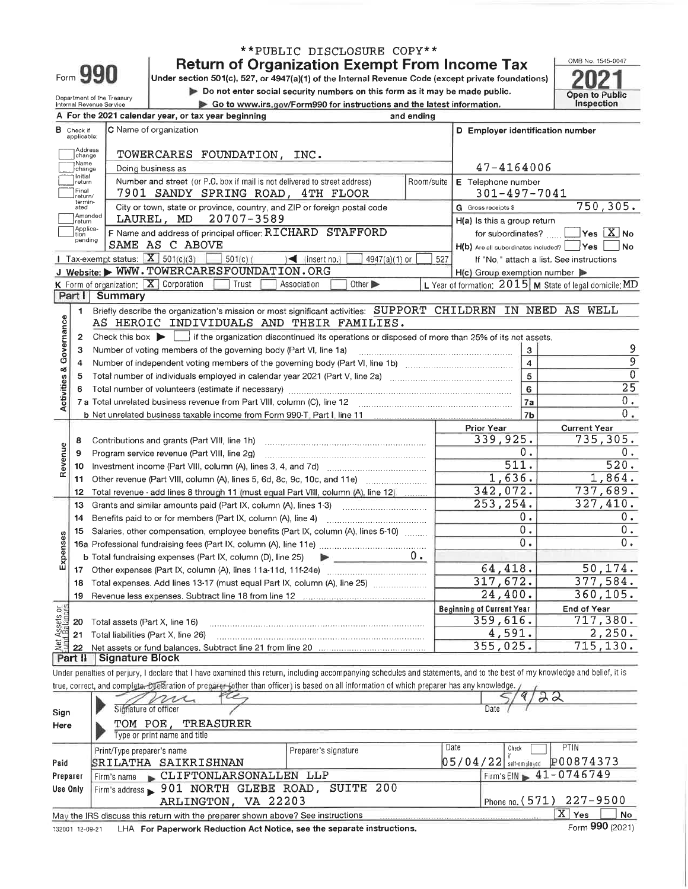| -orm |  |  |
|------|--|--|
|      |  |  |

Department of the Treasury<br>Internal Revenue Service

# \*\*PUBLIC DISCLOSURE COPY\*\*

**Return of Organization Exempt From Income Tax** 

Under section 501(c), 527, or 4947(a)(1) of the internal Revenue Code (except private foundations) Do not enter social security numbers on this form as it may be made public.

Go to www.irs.gov/Form990 for instructions and the latest information.



|                         |                                  | A For the 2021 calendar year, or tax year beginning                                                                                                                                                                                                                                                                      |                                                            | and ending |                                                                 |                                                           |  |  |  |  |  |
|-------------------------|----------------------------------|--------------------------------------------------------------------------------------------------------------------------------------------------------------------------------------------------------------------------------------------------------------------------------------------------------------------------|------------------------------------------------------------|------------|-----------------------------------------------------------------|-----------------------------------------------------------|--|--|--|--|--|
|                         | <b>B</b> Check if<br>applicable: | C Name of organization                                                                                                                                                                                                                                                                                                   |                                                            |            | D Employer identification number                                |                                                           |  |  |  |  |  |
|                         | Address<br>change                | TOWERCARES FOUNDATION, INC.<br>47-4164006                                                                                                                                                                                                                                                                                |                                                            |            |                                                                 |                                                           |  |  |  |  |  |
|                         | Name<br>change                   | Doing business as                                                                                                                                                                                                                                                                                                        |                                                            |            |                                                                 |                                                           |  |  |  |  |  |
|                         | Initial<br>return<br>Final       | Number and street (or P.O. box if mail is not delivered to street address)<br>7901 SANDY SPRING ROAD, 4TH FLOOR                                                                                                                                                                                                          |                                                            | Room/suite | E Telephone number<br>301-497-7041                              |                                                           |  |  |  |  |  |
|                         | return/<br>termin-<br>ated       | City or town, state or province, country, and ZIP or foreign postal code                                                                                                                                                                                                                                                 |                                                            |            | G Gross receipts \$                                             | 750,305.                                                  |  |  |  |  |  |
|                         | Amended                          | 20707-3589<br>LAUREL, MD                                                                                                                                                                                                                                                                                                 |                                                            |            |                                                                 |                                                           |  |  |  |  |  |
|                         | return<br>Applica-               | F Name and address of principal officer: RICHARD STAFFORD                                                                                                                                                                                                                                                                |                                                            |            | H(a) Is this a group return<br>for subordinates?                | $Yes$ $\overline{X}$ No                                   |  |  |  |  |  |
|                         | tion<br>pending                  | SAME AS C ABOVE                                                                                                                                                                                                                                                                                                          |                                                            |            | $H(b)$ Are all subordinates included? $\boxed{\phantom{a}}$ Yes | No                                                        |  |  |  |  |  |
|                         |                                  | 1 Tax-exempt status: $\boxed{\mathbf{X}}$ 501(c)(3)<br>501(c)                                                                                                                                                                                                                                                            | $\blacksquare$ (insert no.)<br>$4947(a)(1)$ or             | 527        |                                                                 | If "No," attach a list. See instructions                  |  |  |  |  |  |
|                         |                                  | J Website: WWW.TOWERCARESFOUNDATION.ORG                                                                                                                                                                                                                                                                                  |                                                            |            | $H(c)$ Group exemption number $\blacktriangleright$             |                                                           |  |  |  |  |  |
|                         |                                  | K Form of organization: $X$ Corporation<br>Trust                                                                                                                                                                                                                                                                         | Other ><br>Association                                     |            |                                                                 | L Year of formation: $2015$ M State of legal domicile: MD |  |  |  |  |  |
|                         | Part                             | <b>Summary</b>                                                                                                                                                                                                                                                                                                           |                                                            |            |                                                                 |                                                           |  |  |  |  |  |
|                         | 1                                | Briefly describe the organization's mission or most significant activities: SUPPORT CHILDREN IN NEED AS WELL                                                                                                                                                                                                             |                                                            |            |                                                                 |                                                           |  |  |  |  |  |
| Governance              |                                  | AS HEROIC INDIVIDUALS AND THEIR FAMILIES.                                                                                                                                                                                                                                                                                |                                                            |            |                                                                 |                                                           |  |  |  |  |  |
|                         | 2                                | Check this box $\blacktriangleright$ if the organization discontinued its operations or disposed of more than 25% of its net assets.                                                                                                                                                                                     |                                                            |            |                                                                 |                                                           |  |  |  |  |  |
|                         | 3                                | Number of voting members of the governing body (Part VI, line 1a)                                                                                                                                                                                                                                                        |                                                            |            | 3                                                               | $\frac{9}{9}$                                             |  |  |  |  |  |
|                         | 4                                |                                                                                                                                                                                                                                                                                                                          |                                                            |            | $\overline{\mathbf{4}}$                                         |                                                           |  |  |  |  |  |
| <b>Activities &amp;</b> | 5                                |                                                                                                                                                                                                                                                                                                                          |                                                            |            | $\mathbf 5$                                                     | $\overline{0}$                                            |  |  |  |  |  |
|                         | 6                                |                                                                                                                                                                                                                                                                                                                          |                                                            |            | 6                                                               | $\overline{25}$                                           |  |  |  |  |  |
|                         |                                  | 7 a Total unrelated business revenue from Part VIII, column (C), line 12 [11] [12] [11] [12] [11] [12] [11] [1                                                                                                                                                                                                           |                                                            |            | 7a                                                              | 0.                                                        |  |  |  |  |  |
|                         |                                  |                                                                                                                                                                                                                                                                                                                          |                                                            |            | 7b                                                              | $\overline{0}$ .                                          |  |  |  |  |  |
|                         |                                  |                                                                                                                                                                                                                                                                                                                          |                                                            |            | <b>Prior Year</b>                                               | <b>Current Year</b>                                       |  |  |  |  |  |
|                         | 8                                | Contributions and grants (Part VIII, line 1h)                                                                                                                                                                                                                                                                            |                                                            |            | 339,925.                                                        | 735, 305.                                                 |  |  |  |  |  |
| Revenue                 | 9                                | Program service revenue (Part VIII, line 2g)                                                                                                                                                                                                                                                                             |                                                            |            | 0.                                                              | 0.                                                        |  |  |  |  |  |
|                         | 10                               |                                                                                                                                                                                                                                                                                                                          |                                                            |            | 511.                                                            | 520.                                                      |  |  |  |  |  |
|                         | 11                               | Other revenue (Part VIII, column (A), lines 5, 6d, 8c, 9c, 10c, and 11e)                                                                                                                                                                                                                                                 |                                                            |            | 1,636.                                                          | 1,864.                                                    |  |  |  |  |  |
|                         | 12                               | Total revenue - add lines 8 through 11 (must equal Part VIII, column (A), line 12)                                                                                                                                                                                                                                       |                                                            |            | 342,072.                                                        | 737,689.                                                  |  |  |  |  |  |
|                         | 13                               | Grants and similar amounts paid (Part IX, column (A), lines 1-3)                                                                                                                                                                                                                                                         |                                                            |            | 253, 254.                                                       | 327,410.                                                  |  |  |  |  |  |
|                         | 14                               | Benefits paid to or for members (Part IX, column (A), line 4)                                                                                                                                                                                                                                                            |                                                            |            | $0$ .                                                           | 0.                                                        |  |  |  |  |  |
|                         | 15                               | Salaries, other compensation, employee benefits (Part IX, column (A), lines 5-10)                                                                                                                                                                                                                                        |                                                            |            | 0.                                                              | $0$ .                                                     |  |  |  |  |  |
| Expenses                |                                  |                                                                                                                                                                                                                                                                                                                          |                                                            |            | 0.                                                              | $0 \cdot$                                                 |  |  |  |  |  |
|                         |                                  | <b>b</b> Total fundraising expenses (Part IX, column (D), line 25)                                                                                                                                                                                                                                                       | $\blacktriangleright$ and the set of $\blacktriangleright$ | $0 \cdot$  |                                                                 |                                                           |  |  |  |  |  |
|                         | 17                               |                                                                                                                                                                                                                                                                                                                          |                                                            |            | 64,418.                                                         | 50, 174.                                                  |  |  |  |  |  |
|                         | 18                               | Total expenses. Add lines 13-17 (must equal Part IX, column (A), line 25) [                                                                                                                                                                                                                                              |                                                            |            | 317,672.                                                        | 377,584.                                                  |  |  |  |  |  |
|                         | 19                               |                                                                                                                                                                                                                                                                                                                          |                                                            |            | 24,400.                                                         | 360, 105.                                                 |  |  |  |  |  |
| គន្លី                   |                                  |                                                                                                                                                                                                                                                                                                                          |                                                            |            | <b>Beginning of Current Year</b>                                | End of Year                                               |  |  |  |  |  |
|                         | 20                               | Total assets (Part X, line 16)                                                                                                                                                                                                                                                                                           |                                                            |            | 359,616.                                                        | 717,380.                                                  |  |  |  |  |  |
| Net Assets              | 21                               | Total liabilities (Part X, line 26)                                                                                                                                                                                                                                                                                      |                                                            |            | 4,591.                                                          | 2,250.<br>715, 130.                                       |  |  |  |  |  |
|                         | 22<br>Part II                    | Net assets or fund balances. Subtract line 21 from line 20<br><b>Signature Block</b>                                                                                                                                                                                                                                     |                                                            |            | 355,025.                                                        |                                                           |  |  |  |  |  |
|                         |                                  |                                                                                                                                                                                                                                                                                                                          |                                                            |            |                                                                 |                                                           |  |  |  |  |  |
|                         |                                  | Under penalties of perjury, I declare that I have examined this return, including accompanying schedules and statements, and to the best of my knowledge and belief, it is<br>true, correct, and complete. Deelaration of preparer fother than officer) is based on all information of which preparer has any knowledge. |                                                            |            |                                                                 |                                                           |  |  |  |  |  |
|                         |                                  |                                                                                                                                                                                                                                                                                                                          |                                                            |            |                                                                 | みる                                                        |  |  |  |  |  |
|                         |                                  | Signature of officer                                                                                                                                                                                                                                                                                                     |                                                            |            | Date                                                            |                                                           |  |  |  |  |  |
| Sign                    |                                  | <b>TREASURER</b><br>TOM POE,                                                                                                                                                                                                                                                                                             |                                                            |            |                                                                 |                                                           |  |  |  |  |  |
| Here                    |                                  | Type or print name and title                                                                                                                                                                                                                                                                                             |                                                            |            |                                                                 |                                                           |  |  |  |  |  |
|                         |                                  |                                                                                                                                                                                                                                                                                                                          |                                                            |            | Date<br>Check                                                   | PTIN                                                      |  |  |  |  |  |
|                         |                                  | Print/Type preparer's name                                                                                                                                                                                                                                                                                               | Preparer's signature                                       |            |                                                                 | ,,,,,,,,,                                                 |  |  |  |  |  |

|          | Print Type preparer's name                                                                               | Preparer's signature               | -----<br>$\sim$<br>.                 |  |  |  |  |  |
|----------|----------------------------------------------------------------------------------------------------------|------------------------------------|--------------------------------------|--|--|--|--|--|
| Paid     | <b>SRILATHA SAIKRISHNAN</b>                                                                              |                                    | $05/04/22$ self-employed $P00874373$ |  |  |  |  |  |
| Preparer | <b>Firm's name CLIFTONLARSONALLEN LLP</b>                                                                | $I$ Firm's EIN $\geq 41 - 0746749$ |                                      |  |  |  |  |  |
| Use Only | Firm's address > 901 NORTH GLEBE ROAD, SUITE 200                                                         |                                    |                                      |  |  |  |  |  |
|          | Phone no. (571) 227-9500<br>ARLINGTON, VA 22203                                                          |                                    |                                      |  |  |  |  |  |
|          | х<br>Yes<br><b>No</b><br>May the IRS discuss this return with the preparer shown above? See instructions |                                    |                                      |  |  |  |  |  |

LHA For Paperwork Reduction Act Notice, see the separate instructions. 132001 12-09-21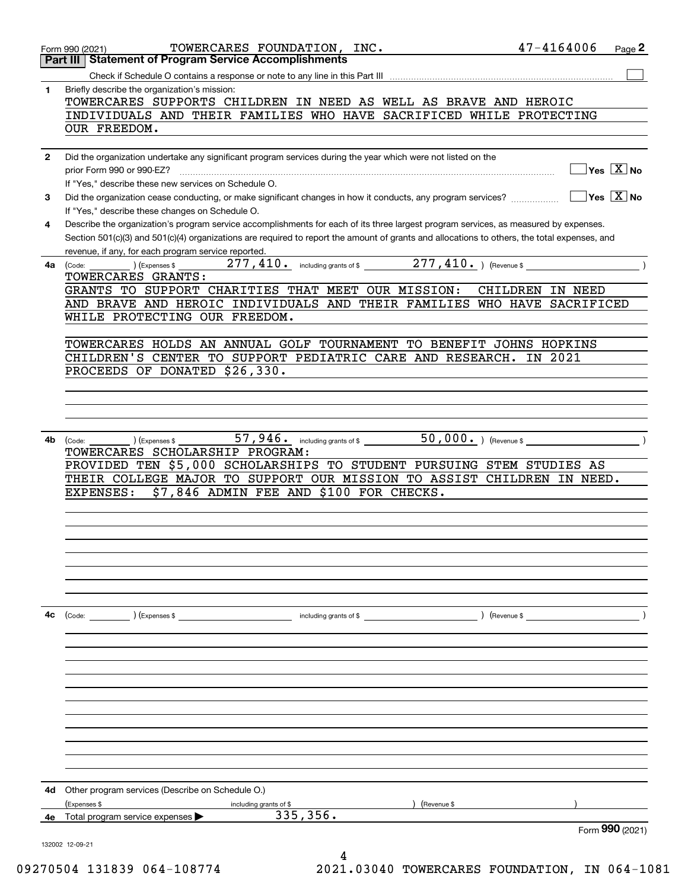| Part III   Statement of Program Service Accomplishments<br>Briefly describe the organization's mission:<br>1<br>TOWERCARES SUPPORTS CHILDREN IN NEED AS WELL AS BRAVE AND HEROIC<br>INDIVIDUALS AND THEIR FAMILIES WHO HAVE SACRIFICED WHILE PROTECTING<br>OUR FREEDOM.<br>Did the organization undertake any significant program services during the year which were not listed on the<br>$\mathbf{2}$<br>$\overline{\ }$ Yes $\overline{\ \ X}$ No<br>prior Form 990 or 990-EZ?<br>If "Yes," describe these new services on Schedule O.<br>$\overline{\mathsf{Y}}$ es $\overline{\mathsf{X}}$ No<br>Did the organization cease conducting, or make significant changes in how it conducts, any program services?<br>3<br>If "Yes," describe these changes on Schedule O.<br>Describe the organization's program service accomplishments for each of its three largest program services, as measured by expenses.<br>4<br>Section 501(c)(3) and 501(c)(4) organizations are required to report the amount of grants and allocations to others, the total expenses, and<br>revenue, if any, for each program service reported.<br>277, 410. including grants of \$277, 410. ) (Revenue \$<br>(Expenses \$<br>4a l<br>(Code:<br>TOWERCARES GRANTS:<br>GRANTS TO SUPPORT CHARITIES THAT MEET OUR MISSION:<br>CHILDREN IN NEED<br>AND BRAVE AND HEROIC INDIVIDUALS AND THEIR FAMILIES WHO HAVE SACRIFICED<br>WHILE PROTECTING OUR FREEDOM.<br>TOWERCARES HOLDS AN ANNUAL GOLF TOURNAMENT TO BENEFIT JOHNS HOPKINS<br>CHILDREN'S CENTER TO SUPPORT PEDIATRIC CARE AND RESEARCH.<br>IN 2021<br>PROCEEDS OF DONATED \$26,330.<br>$50,000.$ ) (Revenue \$<br>57,946. including grants of \$<br>4b<br>(Expenses \$<br>(Code:<br>TOWERCARES SCHOLARSHIP PROGRAM:<br>PROVIDED TEN \$5,000 SCHOLARSHIPS TO STUDENT PURSUING STEM STUDIES AS<br>THEIR COLLEGE MAJOR TO SUPPORT OUR MISSION TO ASSIST CHILDREN IN NEED.<br>\$7,846 ADMIN FEE AND \$100 FOR CHECKS.<br>EXPENSES:<br>$($ Revenue \$<br>4с<br>Other program services (Describe on Schedule O.)<br>4d<br>(Expenses \$<br>(Revenue \$<br>including grants of \$<br>335,356.<br>Total program service expenses<br>4е<br>Form 990 (2021)<br>132002 12-09-21 | 47-4164006<br>TOWERCARES FOUNDATION, INC.<br>Page 2<br>Form 990 (2021) |
|---------------------------------------------------------------------------------------------------------------------------------------------------------------------------------------------------------------------------------------------------------------------------------------------------------------------------------------------------------------------------------------------------------------------------------------------------------------------------------------------------------------------------------------------------------------------------------------------------------------------------------------------------------------------------------------------------------------------------------------------------------------------------------------------------------------------------------------------------------------------------------------------------------------------------------------------------------------------------------------------------------------------------------------------------------------------------------------------------------------------------------------------------------------------------------------------------------------------------------------------------------------------------------------------------------------------------------------------------------------------------------------------------------------------------------------------------------------------------------------------------------------------------------------------------------------------------------------------------------------------------------------------------------------------------------------------------------------------------------------------------------------------------------------------------------------------------------------------------------------------------------------------------------------------------------------------------------------------------------------------------------------------------------------------------------------------------------------------------------------------------------------------------------------------------------------------------------|------------------------------------------------------------------------|
|                                                                                                                                                                                                                                                                                                                                                                                                                                                                                                                                                                                                                                                                                                                                                                                                                                                                                                                                                                                                                                                                                                                                                                                                                                                                                                                                                                                                                                                                                                                                                                                                                                                                                                                                                                                                                                                                                                                                                                                                                                                                                                                                                                                                         |                                                                        |
|                                                                                                                                                                                                                                                                                                                                                                                                                                                                                                                                                                                                                                                                                                                                                                                                                                                                                                                                                                                                                                                                                                                                                                                                                                                                                                                                                                                                                                                                                                                                                                                                                                                                                                                                                                                                                                                                                                                                                                                                                                                                                                                                                                                                         |                                                                        |
|                                                                                                                                                                                                                                                                                                                                                                                                                                                                                                                                                                                                                                                                                                                                                                                                                                                                                                                                                                                                                                                                                                                                                                                                                                                                                                                                                                                                                                                                                                                                                                                                                                                                                                                                                                                                                                                                                                                                                                                                                                                                                                                                                                                                         |                                                                        |
|                                                                                                                                                                                                                                                                                                                                                                                                                                                                                                                                                                                                                                                                                                                                                                                                                                                                                                                                                                                                                                                                                                                                                                                                                                                                                                                                                                                                                                                                                                                                                                                                                                                                                                                                                                                                                                                                                                                                                                                                                                                                                                                                                                                                         |                                                                        |
|                                                                                                                                                                                                                                                                                                                                                                                                                                                                                                                                                                                                                                                                                                                                                                                                                                                                                                                                                                                                                                                                                                                                                                                                                                                                                                                                                                                                                                                                                                                                                                                                                                                                                                                                                                                                                                                                                                                                                                                                                                                                                                                                                                                                         |                                                                        |
|                                                                                                                                                                                                                                                                                                                                                                                                                                                                                                                                                                                                                                                                                                                                                                                                                                                                                                                                                                                                                                                                                                                                                                                                                                                                                                                                                                                                                                                                                                                                                                                                                                                                                                                                                                                                                                                                                                                                                                                                                                                                                                                                                                                                         |                                                                        |
|                                                                                                                                                                                                                                                                                                                                                                                                                                                                                                                                                                                                                                                                                                                                                                                                                                                                                                                                                                                                                                                                                                                                                                                                                                                                                                                                                                                                                                                                                                                                                                                                                                                                                                                                                                                                                                                                                                                                                                                                                                                                                                                                                                                                         |                                                                        |
|                                                                                                                                                                                                                                                                                                                                                                                                                                                                                                                                                                                                                                                                                                                                                                                                                                                                                                                                                                                                                                                                                                                                                                                                                                                                                                                                                                                                                                                                                                                                                                                                                                                                                                                                                                                                                                                                                                                                                                                                                                                                                                                                                                                                         |                                                                        |
|                                                                                                                                                                                                                                                                                                                                                                                                                                                                                                                                                                                                                                                                                                                                                                                                                                                                                                                                                                                                                                                                                                                                                                                                                                                                                                                                                                                                                                                                                                                                                                                                                                                                                                                                                                                                                                                                                                                                                                                                                                                                                                                                                                                                         |                                                                        |
|                                                                                                                                                                                                                                                                                                                                                                                                                                                                                                                                                                                                                                                                                                                                                                                                                                                                                                                                                                                                                                                                                                                                                                                                                                                                                                                                                                                                                                                                                                                                                                                                                                                                                                                                                                                                                                                                                                                                                                                                                                                                                                                                                                                                         |                                                                        |
|                                                                                                                                                                                                                                                                                                                                                                                                                                                                                                                                                                                                                                                                                                                                                                                                                                                                                                                                                                                                                                                                                                                                                                                                                                                                                                                                                                                                                                                                                                                                                                                                                                                                                                                                                                                                                                                                                                                                                                                                                                                                                                                                                                                                         |                                                                        |
|                                                                                                                                                                                                                                                                                                                                                                                                                                                                                                                                                                                                                                                                                                                                                                                                                                                                                                                                                                                                                                                                                                                                                                                                                                                                                                                                                                                                                                                                                                                                                                                                                                                                                                                                                                                                                                                                                                                                                                                                                                                                                                                                                                                                         |                                                                        |
|                                                                                                                                                                                                                                                                                                                                                                                                                                                                                                                                                                                                                                                                                                                                                                                                                                                                                                                                                                                                                                                                                                                                                                                                                                                                                                                                                                                                                                                                                                                                                                                                                                                                                                                                                                                                                                                                                                                                                                                                                                                                                                                                                                                                         |                                                                        |
|                                                                                                                                                                                                                                                                                                                                                                                                                                                                                                                                                                                                                                                                                                                                                                                                                                                                                                                                                                                                                                                                                                                                                                                                                                                                                                                                                                                                                                                                                                                                                                                                                                                                                                                                                                                                                                                                                                                                                                                                                                                                                                                                                                                                         |                                                                        |
|                                                                                                                                                                                                                                                                                                                                                                                                                                                                                                                                                                                                                                                                                                                                                                                                                                                                                                                                                                                                                                                                                                                                                                                                                                                                                                                                                                                                                                                                                                                                                                                                                                                                                                                                                                                                                                                                                                                                                                                                                                                                                                                                                                                                         |                                                                        |
|                                                                                                                                                                                                                                                                                                                                                                                                                                                                                                                                                                                                                                                                                                                                                                                                                                                                                                                                                                                                                                                                                                                                                                                                                                                                                                                                                                                                                                                                                                                                                                                                                                                                                                                                                                                                                                                                                                                                                                                                                                                                                                                                                                                                         |                                                                        |
|                                                                                                                                                                                                                                                                                                                                                                                                                                                                                                                                                                                                                                                                                                                                                                                                                                                                                                                                                                                                                                                                                                                                                                                                                                                                                                                                                                                                                                                                                                                                                                                                                                                                                                                                                                                                                                                                                                                                                                                                                                                                                                                                                                                                         |                                                                        |
|                                                                                                                                                                                                                                                                                                                                                                                                                                                                                                                                                                                                                                                                                                                                                                                                                                                                                                                                                                                                                                                                                                                                                                                                                                                                                                                                                                                                                                                                                                                                                                                                                                                                                                                                                                                                                                                                                                                                                                                                                                                                                                                                                                                                         |                                                                        |
|                                                                                                                                                                                                                                                                                                                                                                                                                                                                                                                                                                                                                                                                                                                                                                                                                                                                                                                                                                                                                                                                                                                                                                                                                                                                                                                                                                                                                                                                                                                                                                                                                                                                                                                                                                                                                                                                                                                                                                                                                                                                                                                                                                                                         |                                                                        |
|                                                                                                                                                                                                                                                                                                                                                                                                                                                                                                                                                                                                                                                                                                                                                                                                                                                                                                                                                                                                                                                                                                                                                                                                                                                                                                                                                                                                                                                                                                                                                                                                                                                                                                                                                                                                                                                                                                                                                                                                                                                                                                                                                                                                         |                                                                        |
|                                                                                                                                                                                                                                                                                                                                                                                                                                                                                                                                                                                                                                                                                                                                                                                                                                                                                                                                                                                                                                                                                                                                                                                                                                                                                                                                                                                                                                                                                                                                                                                                                                                                                                                                                                                                                                                                                                                                                                                                                                                                                                                                                                                                         |                                                                        |
|                                                                                                                                                                                                                                                                                                                                                                                                                                                                                                                                                                                                                                                                                                                                                                                                                                                                                                                                                                                                                                                                                                                                                                                                                                                                                                                                                                                                                                                                                                                                                                                                                                                                                                                                                                                                                                                                                                                                                                                                                                                                                                                                                                                                         |                                                                        |
|                                                                                                                                                                                                                                                                                                                                                                                                                                                                                                                                                                                                                                                                                                                                                                                                                                                                                                                                                                                                                                                                                                                                                                                                                                                                                                                                                                                                                                                                                                                                                                                                                                                                                                                                                                                                                                                                                                                                                                                                                                                                                                                                                                                                         |                                                                        |
|                                                                                                                                                                                                                                                                                                                                                                                                                                                                                                                                                                                                                                                                                                                                                                                                                                                                                                                                                                                                                                                                                                                                                                                                                                                                                                                                                                                                                                                                                                                                                                                                                                                                                                                                                                                                                                                                                                                                                                                                                                                                                                                                                                                                         |                                                                        |
|                                                                                                                                                                                                                                                                                                                                                                                                                                                                                                                                                                                                                                                                                                                                                                                                                                                                                                                                                                                                                                                                                                                                                                                                                                                                                                                                                                                                                                                                                                                                                                                                                                                                                                                                                                                                                                                                                                                                                                                                                                                                                                                                                                                                         |                                                                        |
|                                                                                                                                                                                                                                                                                                                                                                                                                                                                                                                                                                                                                                                                                                                                                                                                                                                                                                                                                                                                                                                                                                                                                                                                                                                                                                                                                                                                                                                                                                                                                                                                                                                                                                                                                                                                                                                                                                                                                                                                                                                                                                                                                                                                         |                                                                        |
|                                                                                                                                                                                                                                                                                                                                                                                                                                                                                                                                                                                                                                                                                                                                                                                                                                                                                                                                                                                                                                                                                                                                                                                                                                                                                                                                                                                                                                                                                                                                                                                                                                                                                                                                                                                                                                                                                                                                                                                                                                                                                                                                                                                                         |                                                                        |
|                                                                                                                                                                                                                                                                                                                                                                                                                                                                                                                                                                                                                                                                                                                                                                                                                                                                                                                                                                                                                                                                                                                                                                                                                                                                                                                                                                                                                                                                                                                                                                                                                                                                                                                                                                                                                                                                                                                                                                                                                                                                                                                                                                                                         |                                                                        |
|                                                                                                                                                                                                                                                                                                                                                                                                                                                                                                                                                                                                                                                                                                                                                                                                                                                                                                                                                                                                                                                                                                                                                                                                                                                                                                                                                                                                                                                                                                                                                                                                                                                                                                                                                                                                                                                                                                                                                                                                                                                                                                                                                                                                         |                                                                        |
|                                                                                                                                                                                                                                                                                                                                                                                                                                                                                                                                                                                                                                                                                                                                                                                                                                                                                                                                                                                                                                                                                                                                                                                                                                                                                                                                                                                                                                                                                                                                                                                                                                                                                                                                                                                                                                                                                                                                                                                                                                                                                                                                                                                                         |                                                                        |
|                                                                                                                                                                                                                                                                                                                                                                                                                                                                                                                                                                                                                                                                                                                                                                                                                                                                                                                                                                                                                                                                                                                                                                                                                                                                                                                                                                                                                                                                                                                                                                                                                                                                                                                                                                                                                                                                                                                                                                                                                                                                                                                                                                                                         |                                                                        |
|                                                                                                                                                                                                                                                                                                                                                                                                                                                                                                                                                                                                                                                                                                                                                                                                                                                                                                                                                                                                                                                                                                                                                                                                                                                                                                                                                                                                                                                                                                                                                                                                                                                                                                                                                                                                                                                                                                                                                                                                                                                                                                                                                                                                         |                                                                        |
|                                                                                                                                                                                                                                                                                                                                                                                                                                                                                                                                                                                                                                                                                                                                                                                                                                                                                                                                                                                                                                                                                                                                                                                                                                                                                                                                                                                                                                                                                                                                                                                                                                                                                                                                                                                                                                                                                                                                                                                                                                                                                                                                                                                                         |                                                                        |
|                                                                                                                                                                                                                                                                                                                                                                                                                                                                                                                                                                                                                                                                                                                                                                                                                                                                                                                                                                                                                                                                                                                                                                                                                                                                                                                                                                                                                                                                                                                                                                                                                                                                                                                                                                                                                                                                                                                                                                                                                                                                                                                                                                                                         |                                                                        |
|                                                                                                                                                                                                                                                                                                                                                                                                                                                                                                                                                                                                                                                                                                                                                                                                                                                                                                                                                                                                                                                                                                                                                                                                                                                                                                                                                                                                                                                                                                                                                                                                                                                                                                                                                                                                                                                                                                                                                                                                                                                                                                                                                                                                         |                                                                        |
|                                                                                                                                                                                                                                                                                                                                                                                                                                                                                                                                                                                                                                                                                                                                                                                                                                                                                                                                                                                                                                                                                                                                                                                                                                                                                                                                                                                                                                                                                                                                                                                                                                                                                                                                                                                                                                                                                                                                                                                                                                                                                                                                                                                                         |                                                                        |
|                                                                                                                                                                                                                                                                                                                                                                                                                                                                                                                                                                                                                                                                                                                                                                                                                                                                                                                                                                                                                                                                                                                                                                                                                                                                                                                                                                                                                                                                                                                                                                                                                                                                                                                                                                                                                                                                                                                                                                                                                                                                                                                                                                                                         |                                                                        |
|                                                                                                                                                                                                                                                                                                                                                                                                                                                                                                                                                                                                                                                                                                                                                                                                                                                                                                                                                                                                                                                                                                                                                                                                                                                                                                                                                                                                                                                                                                                                                                                                                                                                                                                                                                                                                                                                                                                                                                                                                                                                                                                                                                                                         |                                                                        |
|                                                                                                                                                                                                                                                                                                                                                                                                                                                                                                                                                                                                                                                                                                                                                                                                                                                                                                                                                                                                                                                                                                                                                                                                                                                                                                                                                                                                                                                                                                                                                                                                                                                                                                                                                                                                                                                                                                                                                                                                                                                                                                                                                                                                         |                                                                        |
|                                                                                                                                                                                                                                                                                                                                                                                                                                                                                                                                                                                                                                                                                                                                                                                                                                                                                                                                                                                                                                                                                                                                                                                                                                                                                                                                                                                                                                                                                                                                                                                                                                                                                                                                                                                                                                                                                                                                                                                                                                                                                                                                                                                                         |                                                                        |
|                                                                                                                                                                                                                                                                                                                                                                                                                                                                                                                                                                                                                                                                                                                                                                                                                                                                                                                                                                                                                                                                                                                                                                                                                                                                                                                                                                                                                                                                                                                                                                                                                                                                                                                                                                                                                                                                                                                                                                                                                                                                                                                                                                                                         |                                                                        |
|                                                                                                                                                                                                                                                                                                                                                                                                                                                                                                                                                                                                                                                                                                                                                                                                                                                                                                                                                                                                                                                                                                                                                                                                                                                                                                                                                                                                                                                                                                                                                                                                                                                                                                                                                                                                                                                                                                                                                                                                                                                                                                                                                                                                         |                                                                        |
|                                                                                                                                                                                                                                                                                                                                                                                                                                                                                                                                                                                                                                                                                                                                                                                                                                                                                                                                                                                                                                                                                                                                                                                                                                                                                                                                                                                                                                                                                                                                                                                                                                                                                                                                                                                                                                                                                                                                                                                                                                                                                                                                                                                                         |                                                                        |
|                                                                                                                                                                                                                                                                                                                                                                                                                                                                                                                                                                                                                                                                                                                                                                                                                                                                                                                                                                                                                                                                                                                                                                                                                                                                                                                                                                                                                                                                                                                                                                                                                                                                                                                                                                                                                                                                                                                                                                                                                                                                                                                                                                                                         |                                                                        |
|                                                                                                                                                                                                                                                                                                                                                                                                                                                                                                                                                                                                                                                                                                                                                                                                                                                                                                                                                                                                                                                                                                                                                                                                                                                                                                                                                                                                                                                                                                                                                                                                                                                                                                                                                                                                                                                                                                                                                                                                                                                                                                                                                                                                         |                                                                        |
|                                                                                                                                                                                                                                                                                                                                                                                                                                                                                                                                                                                                                                                                                                                                                                                                                                                                                                                                                                                                                                                                                                                                                                                                                                                                                                                                                                                                                                                                                                                                                                                                                                                                                                                                                                                                                                                                                                                                                                                                                                                                                                                                                                                                         |                                                                        |
|                                                                                                                                                                                                                                                                                                                                                                                                                                                                                                                                                                                                                                                                                                                                                                                                                                                                                                                                                                                                                                                                                                                                                                                                                                                                                                                                                                                                                                                                                                                                                                                                                                                                                                                                                                                                                                                                                                                                                                                                                                                                                                                                                                                                         |                                                                        |
|                                                                                                                                                                                                                                                                                                                                                                                                                                                                                                                                                                                                                                                                                                                                                                                                                                                                                                                                                                                                                                                                                                                                                                                                                                                                                                                                                                                                                                                                                                                                                                                                                                                                                                                                                                                                                                                                                                                                                                                                                                                                                                                                                                                                         |                                                                        |
|                                                                                                                                                                                                                                                                                                                                                                                                                                                                                                                                                                                                                                                                                                                                                                                                                                                                                                                                                                                                                                                                                                                                                                                                                                                                                                                                                                                                                                                                                                                                                                                                                                                                                                                                                                                                                                                                                                                                                                                                                                                                                                                                                                                                         |                                                                        |
|                                                                                                                                                                                                                                                                                                                                                                                                                                                                                                                                                                                                                                                                                                                                                                                                                                                                                                                                                                                                                                                                                                                                                                                                                                                                                                                                                                                                                                                                                                                                                                                                                                                                                                                                                                                                                                                                                                                                                                                                                                                                                                                                                                                                         |                                                                        |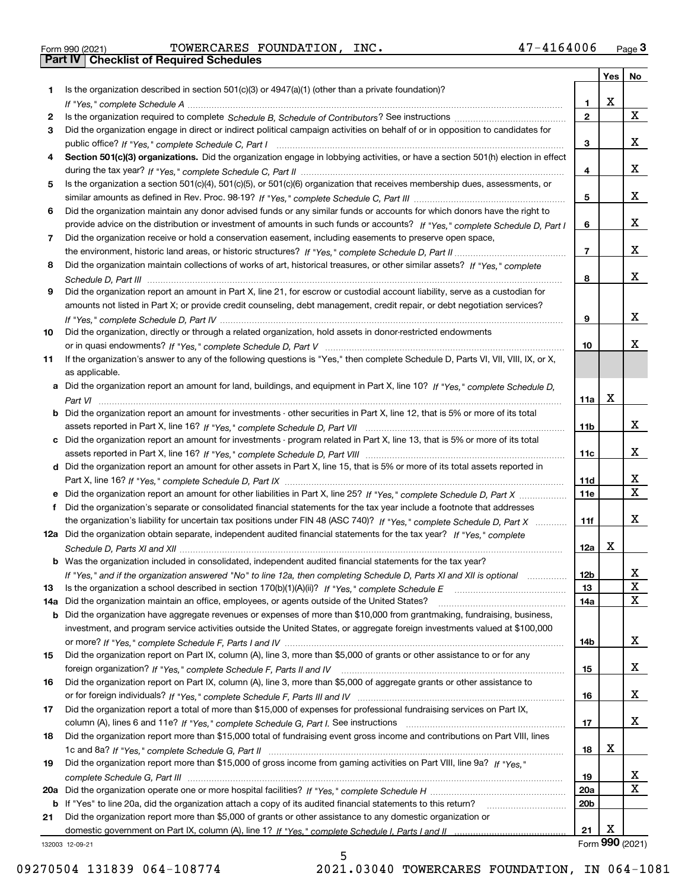|  | Form 990 (2021) |  |
|--|-----------------|--|

Form 990 (2021) TOWERCARES FOUNDATION,INC. 47-4164006 <sub>Page</sub> 3<br>**Part IV | Checklist of Required Schedules** 

|     |                                                                                                                                       |                  | Yes             | No                           |
|-----|---------------------------------------------------------------------------------------------------------------------------------------|------------------|-----------------|------------------------------|
| 1.  | Is the organization described in section $501(c)(3)$ or $4947(a)(1)$ (other than a private foundation)?                               |                  |                 |                              |
|     |                                                                                                                                       | 1                | X               |                              |
| 2   |                                                                                                                                       | $\overline{2}$   |                 | X                            |
| 3   | Did the organization engage in direct or indirect political campaign activities on behalf of or in opposition to candidates for       |                  |                 |                              |
|     |                                                                                                                                       | 3                |                 | x                            |
| 4   | Section 501(c)(3) organizations. Did the organization engage in lobbying activities, or have a section 501(h) election in effect      |                  |                 | x                            |
| 5   | Is the organization a section 501(c)(4), 501(c)(5), or 501(c)(6) organization that receives membership dues, assessments, or          | 4                |                 |                              |
|     |                                                                                                                                       | 5                |                 | x                            |
| 6   | Did the organization maintain any donor advised funds or any similar funds or accounts for which donors have the right to             |                  |                 |                              |
|     | provide advice on the distribution or investment of amounts in such funds or accounts? If "Yes," complete Schedule D, Part I          | 6                |                 | x                            |
| 7   | Did the organization receive or hold a conservation easement, including easements to preserve open space,                             |                  |                 |                              |
|     |                                                                                                                                       | $\overline{7}$   |                 | x                            |
| 8   | Did the organization maintain collections of works of art, historical treasures, or other similar assets? If "Yes," complete          |                  |                 |                              |
|     |                                                                                                                                       | 8                |                 | x                            |
| 9   | Did the organization report an amount in Part X, line 21, for escrow or custodial account liability, serve as a custodian for         |                  |                 |                              |
|     | amounts not listed in Part X; or provide credit counseling, debt management, credit repair, or debt negotiation services?             |                  |                 |                              |
|     |                                                                                                                                       | 9                |                 | x                            |
| 10  | Did the organization, directly or through a related organization, hold assets in donor-restricted endowments                          |                  |                 |                              |
|     |                                                                                                                                       | 10               |                 | х                            |
| 11  | If the organization's answer to any of the following questions is "Yes," then complete Schedule D, Parts VI, VII, VIII, IX, or X,     |                  |                 |                              |
|     | as applicable.                                                                                                                        |                  |                 |                              |
|     | a Did the organization report an amount for land, buildings, and equipment in Part X, line 10? If "Yes," complete Schedule D,         | 11a              | X               |                              |
|     | <b>b</b> Did the organization report an amount for investments - other securities in Part X, line 12, that is 5% or more of its total |                  |                 |                              |
|     |                                                                                                                                       | 11b              |                 | X                            |
|     | c Did the organization report an amount for investments - program related in Part X, line 13, that is 5% or more of its total         |                  |                 |                              |
|     |                                                                                                                                       | 11c              |                 | x                            |
|     | d Did the organization report an amount for other assets in Part X, line 15, that is 5% or more of its total assets reported in       |                  |                 |                              |
|     |                                                                                                                                       | 11d              |                 | X                            |
|     |                                                                                                                                       | <b>11e</b>       |                 | $\overline{\mathtt{x}}$      |
| f   | Did the organization's separate or consolidated financial statements for the tax year include a footnote that addresses               |                  |                 |                              |
|     | the organization's liability for uncertain tax positions under FIN 48 (ASC 740)? If "Yes," complete Schedule D, Part X                | 11f              |                 | x                            |
|     | 12a Did the organization obtain separate, independent audited financial statements for the tax year? If "Yes," complete               |                  |                 |                              |
|     |                                                                                                                                       | 12a              | Х               |                              |
|     | <b>b</b> Was the organization included in consolidated, independent audited financial statements for the tax year?                    |                  |                 |                              |
| 13  | If "Yes," and if the organization answered "No" to line 12a, then completing Schedule D, Parts XI and XII is optional                 | 12b<br>13        |                 | X,<br>$\mathbf X$            |
| 14a | Did the organization maintain an office, employees, or agents outside of the United States?                                           | 14a              |                 | $\overline{\mathbf{x}}$      |
|     | b Did the organization have aggregate revenues or expenses of more than \$10,000 from grantmaking, fundraising, business,             |                  |                 |                              |
|     | investment, and program service activities outside the United States, or aggregate foreign investments valued at \$100,000            |                  |                 |                              |
|     |                                                                                                                                       | 14b              |                 | x                            |
| 15  | Did the organization report on Part IX, column (A), line 3, more than \$5,000 of grants or other assistance to or for any             |                  |                 |                              |
|     |                                                                                                                                       | 15               |                 | x                            |
| 16  | Did the organization report on Part IX, column (A), line 3, more than \$5,000 of aggregate grants or other assistance to              |                  |                 |                              |
|     |                                                                                                                                       | 16               |                 | x                            |
| 17  | Did the organization report a total of more than \$15,000 of expenses for professional fundraising services on Part IX,               |                  |                 |                              |
|     |                                                                                                                                       | 17               |                 | X                            |
| 18  | Did the organization report more than \$15,000 total of fundraising event gross income and contributions on Part VIII, lines          |                  |                 |                              |
|     |                                                                                                                                       | 18               | х               |                              |
| 19  | Did the organization report more than \$15,000 of gross income from gaming activities on Part VIII, line 9a? If "Yes."                |                  |                 |                              |
|     |                                                                                                                                       | 19<br><b>20a</b> |                 | x<br>$\overline{\mathbf{x}}$ |
|     | b If "Yes" to line 20a, did the organization attach a copy of its audited financial statements to this return?                        | 20 <sub>b</sub>  |                 |                              |
| 21  | Did the organization report more than \$5,000 of grants or other assistance to any domestic organization or                           |                  |                 |                              |
|     |                                                                                                                                       | 21               | х               |                              |
|     | 132003 12-09-21                                                                                                                       |                  | Form 990 (2021) |                              |

5

132003 12-09-21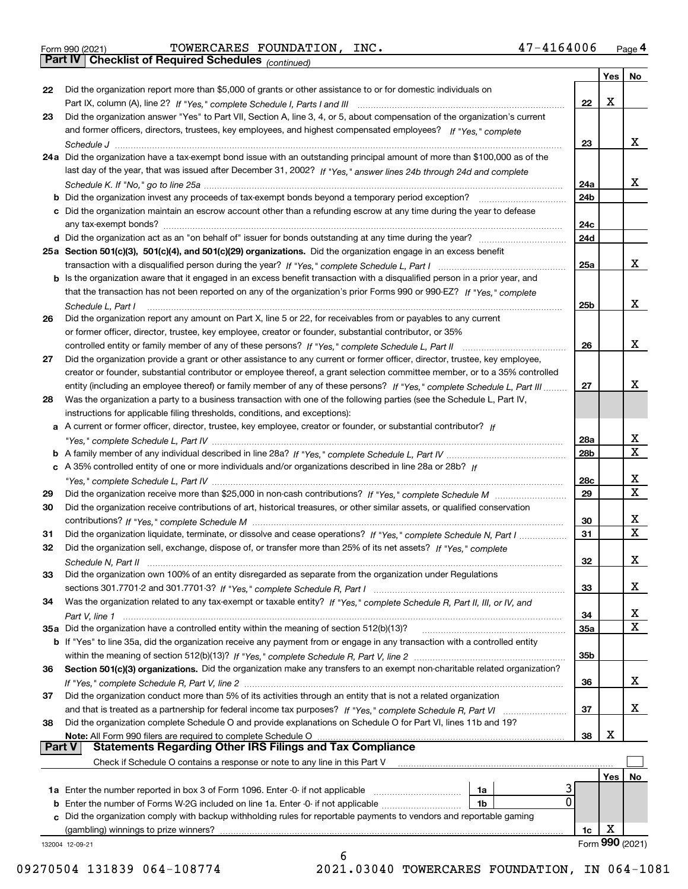|  | Form 990 (2021) |
|--|-----------------|
|  |                 |

Form 990 (2021) TOWERCARES FOUNDATION,INC**.** 47-4164006 <sub>Page</sub> 4<br>**Part IV | Checklist of Required Schedules** <sub>(continued)</sub>

*(continued)*

|               |                                                                                                                                    |                 | Yes | No              |
|---------------|------------------------------------------------------------------------------------------------------------------------------------|-----------------|-----|-----------------|
| 22            | Did the organization report more than \$5,000 of grants or other assistance to or for domestic individuals on                      |                 |     |                 |
|               |                                                                                                                                    | 22              | X   |                 |
| 23            | Did the organization answer "Yes" to Part VII, Section A, line 3, 4, or 5, about compensation of the organization's current        |                 |     |                 |
|               | and former officers, directors, trustees, key employees, and highest compensated employees? If "Yes," complete                     |                 |     |                 |
|               |                                                                                                                                    | 23              |     | x.              |
|               | 24a Did the organization have a tax-exempt bond issue with an outstanding principal amount of more than \$100,000 as of the        |                 |     |                 |
|               | last day of the year, that was issued after December 31, 2002? If "Yes," answer lines 24b through 24d and complete                 |                 |     |                 |
|               |                                                                                                                                    | 24a             |     | х               |
|               | <b>b</b> Did the organization invest any proceeds of tax-exempt bonds beyond a temporary period exception?                         | 24b             |     |                 |
|               | c Did the organization maintain an escrow account other than a refunding escrow at any time during the year to defease             |                 |     |                 |
|               |                                                                                                                                    | 24c             |     |                 |
|               |                                                                                                                                    | 24d             |     |                 |
|               | 25a Section 501(c)(3), 501(c)(4), and 501(c)(29) organizations. Did the organization engage in an excess benefit                   |                 |     |                 |
|               |                                                                                                                                    | 25a             |     | x               |
|               | b Is the organization aware that it engaged in an excess benefit transaction with a disqualified person in a prior year, and       |                 |     |                 |
|               | that the transaction has not been reported on any of the organization's prior Forms 990 or 990-EZ? If "Yes," complete              |                 |     |                 |
|               | Schedule L, Part I                                                                                                                 | 25b             |     | x               |
| 26            | Did the organization report any amount on Part X, line 5 or 22, for receivables from or payables to any current                    |                 |     |                 |
|               | or former officer, director, trustee, key employee, creator or founder, substantial contributor, or 35%                            |                 |     |                 |
|               |                                                                                                                                    | 26              |     | х               |
| 27            | Did the organization provide a grant or other assistance to any current or former officer, director, trustee, key employee,        |                 |     |                 |
|               | creator or founder, substantial contributor or employee thereof, a grant selection committee member, or to a 35% controlled        |                 |     |                 |
|               | entity (including an employee thereof) or family member of any of these persons? If "Yes," complete Schedule L, Part III           | 27              |     | x               |
| 28            | Was the organization a party to a business transaction with one of the following parties (see the Schedule L, Part IV,             |                 |     |                 |
|               | instructions for applicable filing thresholds, conditions, and exceptions):                                                        |                 |     |                 |
|               | a A current or former officer, director, trustee, key employee, creator or founder, or substantial contributor? If                 |                 |     |                 |
|               |                                                                                                                                    | 28a             |     | x               |
|               |                                                                                                                                    | 28 <sub>b</sub> |     | X               |
|               | c A 35% controlled entity of one or more individuals and/or organizations described in line 28a or 28b? If                         |                 |     |                 |
|               |                                                                                                                                    | 28c             |     | x               |
| 29            |                                                                                                                                    | 29              |     | х               |
| 30            | Did the organization receive contributions of art, historical treasures, or other similar assets, or qualified conservation        |                 |     |                 |
|               |                                                                                                                                    | 30              |     | х               |
| 31            | Did the organization liquidate, terminate, or dissolve and cease operations? If "Yes," complete Schedule N, Part I                 | 31              |     | $\mathbf X$     |
| 32            | Did the organization sell, exchange, dispose of, or transfer more than 25% of its net assets? If "Yes," complete                   |                 |     |                 |
|               |                                                                                                                                    | 32              |     | х               |
| 33            | Did the organization own 100% of an entity disregarded as separate from the organization under Regulations                         |                 |     |                 |
|               |                                                                                                                                    | 33              |     | х               |
| 34            | Was the organization related to any tax-exempt or taxable entity? If "Yes," complete Schedule R, Part II, III, or IV, and          |                 |     |                 |
|               |                                                                                                                                    | 34              |     | x               |
|               | 35a Did the organization have a controlled entity within the meaning of section 512(b)(13)?                                        | 35a             |     | X               |
|               | <b>b</b> If "Yes" to line 35a, did the organization receive any payment from or engage in any transaction with a controlled entity |                 |     |                 |
|               |                                                                                                                                    | 35b             |     |                 |
| 36            | Section 501(c)(3) organizations. Did the organization make any transfers to an exempt non-charitable related organization?         |                 |     |                 |
|               |                                                                                                                                    | 36              |     | x               |
| 37            | Did the organization conduct more than 5% of its activities through an entity that is not a related organization                   |                 |     |                 |
|               |                                                                                                                                    | 37              |     | х               |
| 38            | Did the organization complete Schedule O and provide explanations on Schedule O for Part VI, lines 11b and 19?                     |                 |     |                 |
|               | Note: All Form 990 filers are required to complete Schedule O                                                                      | 38              | х   |                 |
| <b>Part V</b> | <b>Statements Regarding Other IRS Filings and Tax Compliance</b>                                                                   |                 |     |                 |
|               | Check if Schedule O contains a response or note to any line in this Part V                                                         |                 |     |                 |
|               |                                                                                                                                    |                 | Yes | No              |
|               | 1a Enter the number reported in box 3 of Form 1096. Enter -0- if not applicable<br>1a                                              |                 |     |                 |
|               | $\Omega$<br><b>b</b> Enter the number of Forms W-2G included on line 1a. Enter -0- if not applicable <i>manumumum</i><br>1b        |                 |     |                 |
|               | c Did the organization comply with backup withholding rules for reportable payments to vendors and reportable gaming               |                 |     |                 |
|               | (gambling) winnings to prize winners?                                                                                              | 1c              | X   |                 |
|               | 132004 12-09-21                                                                                                                    |                 |     | Form 990 (2021) |
|               | 6                                                                                                                                  |                 |     |                 |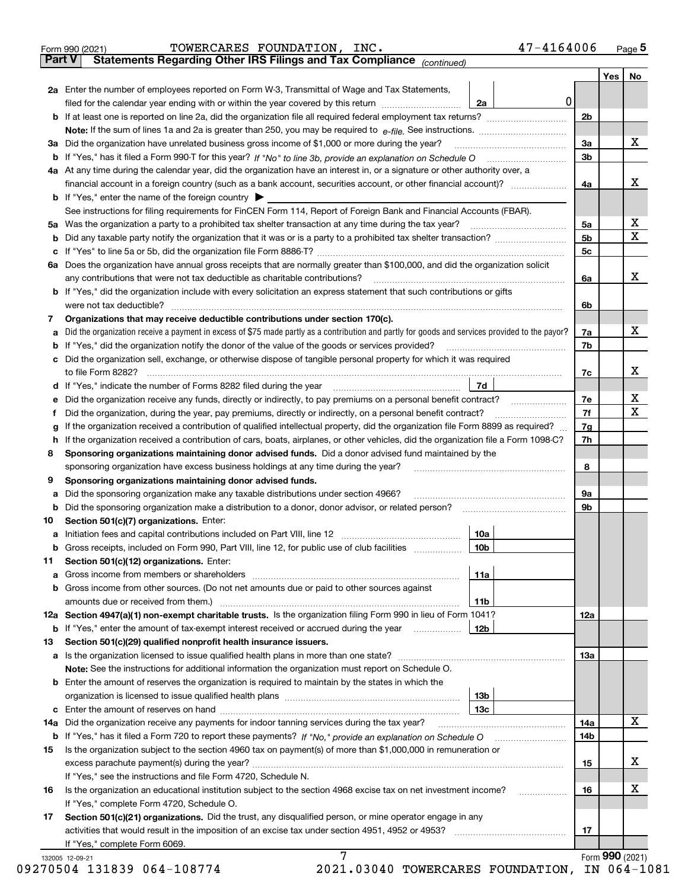| Form 990 (2021) |                                                                                                | TOWERCARES FOUNDATION, INC. |  | 47-4164006 | Page $5$ |
|-----------------|------------------------------------------------------------------------------------------------|-----------------------------|--|------------|----------|
|                 | <b>Part V</b> Statements Regarding Other IRS Filings and Tax Compliance <sub>(continued)</sub> |                             |  |            |          |

*(continued)*

|     |                                                                                                                                                                                            |                                    |   |                | Yes | <b>No</b>       |
|-----|--------------------------------------------------------------------------------------------------------------------------------------------------------------------------------------------|------------------------------------|---|----------------|-----|-----------------|
|     | 2a Enter the number of employees reported on Form W-3, Transmittal of Wage and Tax Statements,                                                                                             |                                    |   |                |     |                 |
|     | filed for the calendar year ending with or within the year covered by this return                                                                                                          | 2a                                 | 0 |                |     |                 |
|     |                                                                                                                                                                                            |                                    |   | 2 <sub>b</sub> |     |                 |
|     |                                                                                                                                                                                            |                                    |   |                |     |                 |
|     | 3a Did the organization have unrelated business gross income of \$1,000 or more during the year?                                                                                           |                                    |   | 3a             |     | х               |
|     |                                                                                                                                                                                            |                                    |   | 3b             |     |                 |
|     | 4a At any time during the calendar year, did the organization have an interest in, or a signature or other authority over, a                                                               |                                    |   |                |     | х               |
|     | <b>b</b> If "Yes," enter the name of the foreign country $\triangleright$                                                                                                                  |                                    |   | 4a             |     |                 |
|     | See instructions for filing requirements for FinCEN Form 114, Report of Foreign Bank and Financial Accounts (FBAR).                                                                        |                                    |   |                |     |                 |
| 5а  | Was the organization a party to a prohibited tax shelter transaction at any time during the tax year?                                                                                      |                                    |   | 5a             |     | х               |
| b   |                                                                                                                                                                                            |                                    |   | 5b             |     | X               |
|     |                                                                                                                                                                                            |                                    |   | 5c             |     |                 |
| 6а  | Does the organization have annual gross receipts that are normally greater than \$100,000, and did the organization solicit                                                                |                                    |   |                |     |                 |
|     | any contributions that were not tax deductible as charitable contributions?                                                                                                                |                                    |   | 6a             |     | х               |
|     | b If "Yes," did the organization include with every solicitation an express statement that such contributions or gifts                                                                     |                                    |   |                |     |                 |
|     | were not tax deductible?                                                                                                                                                                   |                                    |   | 6b             |     |                 |
| 7   | Organizations that may receive deductible contributions under section 170(c).                                                                                                              |                                    |   |                |     |                 |
| а   | Did the organization receive a payment in excess of \$75 made partly as a contribution and partly for goods and services provided to the payor?                                            |                                    |   | 7a             |     | х               |
| b   | If "Yes," did the organization notify the donor of the value of the goods or services provided?                                                                                            |                                    |   | 7b             |     |                 |
|     | Did the organization sell, exchange, or otherwise dispose of tangible personal property for which it was required                                                                          |                                    |   |                |     |                 |
|     | to file Form 8282?                                                                                                                                                                         |                                    |   | 7c             |     | х               |
| d   | If "Yes," indicate the number of Forms 8282 filed during the year                                                                                                                          | 7d                                 |   |                |     |                 |
| е   | Did the organization receive any funds, directly or indirectly, to pay premiums on a personal benefit contract?                                                                            |                                    |   | 7е             |     | х               |
| Ť   | Did the organization, during the year, pay premiums, directly or indirectly, on a personal benefit contract?                                                                               |                                    |   | 7f             |     | X               |
| g   | If the organization received a contribution of qualified intellectual property, did the organization file Form 8899 as required?                                                           |                                    |   | 7g             |     |                 |
| h.  | If the organization received a contribution of cars, boats, airplanes, or other vehicles, did the organization file a Form 1098-C?                                                         |                                    |   | 7h             |     |                 |
| 8   | Sponsoring organizations maintaining donor advised funds. Did a donor advised fund maintained by the<br>sponsoring organization have excess business holdings at any time during the year? |                                    |   | 8              |     |                 |
| 9   | Sponsoring organizations maintaining donor advised funds.                                                                                                                                  |                                    |   |                |     |                 |
| а   | Did the sponsoring organization make any taxable distributions under section 4966?                                                                                                         |                                    |   | 9а             |     |                 |
| b   | Did the sponsoring organization make a distribution to a donor, donor advisor, or related person?                                                                                          |                                    |   | 9b             |     |                 |
| 10  | Section 501(c)(7) organizations. Enter:                                                                                                                                                    |                                    |   |                |     |                 |
| а   |                                                                                                                                                                                            | 10a                                |   |                |     |                 |
| b   | Gross receipts, included on Form 990, Part VIII, line 12, for public use of club facilities<br>$\ldots$                                                                                    | 10 <sub>b</sub>                    |   |                |     |                 |
| 11  | Section 501(c)(12) organizations. Enter:                                                                                                                                                   |                                    |   |                |     |                 |
|     | Gross income from members or shareholders                                                                                                                                                  | 11a                                |   |                |     |                 |
|     | <b>b</b> Gross income from other sources. (Do not net amounts due or paid to other sources against                                                                                         |                                    |   |                |     |                 |
|     | amounts due or received from them.)                                                                                                                                                        | 11b                                |   |                |     |                 |
|     | 12a Section 4947(a)(1) non-exempt charitable trusts. Is the organization filing Form 990 in lieu of Form 1041?                                                                             |                                    |   | 12a            |     |                 |
|     | <b>b</b> If "Yes," enter the amount of tax-exempt interest received or accrued during the year <i>manument</i>                                                                             | 12b                                |   |                |     |                 |
| 13  | Section 501(c)(29) qualified nonprofit health insurance issuers.                                                                                                                           |                                    |   |                |     |                 |
|     | a Is the organization licensed to issue qualified health plans in more than one state?                                                                                                     |                                    |   | 13a            |     |                 |
|     | Note: See the instructions for additional information the organization must report on Schedule O.                                                                                          |                                    |   |                |     |                 |
|     | <b>b</b> Enter the amount of reserves the organization is required to maintain by the states in which the                                                                                  |                                    |   |                |     |                 |
|     |                                                                                                                                                                                            | 13 <sub>b</sub><br>13 <sub>c</sub> |   |                |     |                 |
| 14a | Did the organization receive any payments for indoor tanning services during the tax year?                                                                                                 |                                    |   | 14a            |     | X               |
|     | <b>b</b> If "Yes," has it filed a Form 720 to report these payments? If "No," provide an explanation on Schedule O                                                                         |                                    |   | 14b            |     |                 |
| 15  | Is the organization subject to the section 4960 tax on payment(s) of more than \$1,000,000 in remuneration or                                                                              |                                    |   |                |     |                 |
|     |                                                                                                                                                                                            |                                    |   | 15             |     | х               |
|     | If "Yes," see the instructions and file Form 4720, Schedule N.                                                                                                                             |                                    |   |                |     |                 |
| 16  | Is the organization an educational institution subject to the section 4968 excise tax on net investment income?                                                                            |                                    |   | 16             |     | х               |
|     | If "Yes," complete Form 4720, Schedule O.                                                                                                                                                  |                                    |   |                |     |                 |
| 17  | Section 501(c)(21) organizations. Did the trust, any disqualified person, or mine operator engage in any                                                                                   |                                    |   |                |     |                 |
|     |                                                                                                                                                                                            |                                    |   | 17             |     |                 |
|     | If "Yes," complete Form 6069.                                                                                                                                                              |                                    |   |                |     |                 |
|     | 7<br>132005 12-09-21                                                                                                                                                                       |                                    |   |                |     | Form 990 (2021) |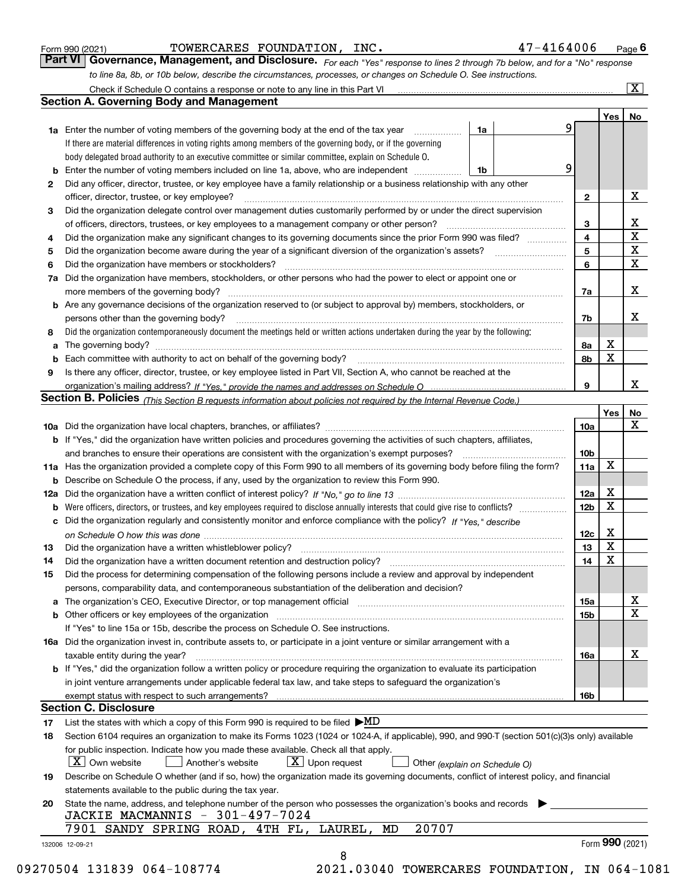|  | Form 990 (2021) |
|--|-----------------|
|  |                 |

TOWERCARES FOUNDATION, INC. 47-4164006

*For each "Yes" response to lines 2 through 7b below, and for a "No" response to line 8a, 8b, or 10b below, describe the circumstances, processes, or changes on Schedule O. See instructions.* Form 990 (2021) **COMERCARES FOUNDATION, INC.** 47-4164006 Page 6<br>**Part VI Governance, Management, and Disclosure.** For each "Yes" response to lines 2 through 7b below, and for a "No" response

|     | Check if Schedule O contains a response or note to any line in this Part VI [11] [12] Check if Schedule O contains a response or note to any line in this Part VI                                                              |    |   |                 |             | $\overline{\text{X}}$   |
|-----|--------------------------------------------------------------------------------------------------------------------------------------------------------------------------------------------------------------------------------|----|---|-----------------|-------------|-------------------------|
|     | Section A. Governing Body and Management                                                                                                                                                                                       |    |   |                 |             |                         |
|     |                                                                                                                                                                                                                                |    |   |                 | Yes         | No                      |
|     | <b>1a</b> Enter the number of voting members of the governing body at the end of the tax year <i>manumum</i>                                                                                                                   | 1a | 9 |                 |             |                         |
|     | If there are material differences in voting rights among members of the governing body, or if the governing                                                                                                                    |    |   |                 |             |                         |
|     | body delegated broad authority to an executive committee or similar committee, explain on Schedule O.                                                                                                                          |    |   |                 |             |                         |
| b   | Enter the number of voting members included on line 1a, above, who are independent                                                                                                                                             | 1b | 9 |                 |             |                         |
| 2   | Did any officer, director, trustee, or key employee have a family relationship or a business relationship with any other                                                                                                       |    |   |                 |             |                         |
|     | officer, director, trustee, or key employee?                                                                                                                                                                                   |    |   | $\mathbf{2}$    |             | X                       |
| З   | Did the organization delegate control over management duties customarily performed by or under the direct supervision                                                                                                          |    |   |                 |             |                         |
|     | of officers, directors, trustees, or key employees to a management company or other person?                                                                                                                                    |    |   | 3               |             | х                       |
| 4   | Did the organization make any significant changes to its governing documents since the prior Form 990 was filed?                                                                                                               |    |   | 4               |             | $\overline{\textbf{x}}$ |
| 5   | Did the organization become aware during the year of a significant diversion of the organization's assets?                                                                                                                     |    |   | 5               |             | $\overline{\mathbf{x}}$ |
| 6   | Did the organization have members or stockholders?                                                                                                                                                                             |    |   | 6               |             | $\mathbf X$             |
| 7a  | Did the organization have members, stockholders, or other persons who had the power to elect or appoint one or                                                                                                                 |    |   |                 |             |                         |
|     |                                                                                                                                                                                                                                |    |   | 7a              |             | x                       |
|     | <b>b</b> Are any governance decisions of the organization reserved to (or subject to approval by) members, stockholders, or                                                                                                    |    |   |                 |             |                         |
|     | persons other than the governing body?                                                                                                                                                                                         |    |   | 7b              |             | х                       |
| 8   | Did the organization contemporaneously document the meetings held or written actions undertaken during the year by the following:                                                                                              |    |   |                 |             |                         |
|     | <b>a</b> The governing body?                                                                                                                                                                                                   |    |   | 8a              | х           |                         |
| b   |                                                                                                                                                                                                                                |    |   | 8b              | $\mathbf x$ |                         |
| 9   | Is there any officer, director, trustee, or key employee listed in Part VII, Section A, who cannot be reached at the                                                                                                           |    |   |                 |             |                         |
|     |                                                                                                                                                                                                                                |    |   | 9               |             | x                       |
|     | Section B. Policies (This Section B requests information about policies not required by the Internal Revenue Code.)                                                                                                            |    |   |                 |             |                         |
|     |                                                                                                                                                                                                                                |    |   |                 | Yes         | No                      |
|     |                                                                                                                                                                                                                                |    |   | 10a             |             | X                       |
|     | b If "Yes," did the organization have written policies and procedures governing the activities of such chapters, affiliates,                                                                                                   |    |   |                 |             |                         |
|     | and branches to ensure their operations are consistent with the organization's exempt purposes?                                                                                                                                |    |   | 10 <sub>b</sub> |             |                         |
|     | 11a Has the organization provided a complete copy of this Form 990 to all members of its governing body before filing the form?                                                                                                |    |   | 11a             | X           |                         |
| b   | Describe on Schedule O the process, if any, used by the organization to review this Form 990.                                                                                                                                  |    |   |                 |             |                         |
| 12a |                                                                                                                                                                                                                                |    |   | 12a             | х           |                         |
|     |                                                                                                                                                                                                                                |    |   | 12 <sub>b</sub> | X           |                         |
|     | c Did the organization regularly and consistently monitor and enforce compliance with the policy? If "Yes." describe                                                                                                           |    |   |                 |             |                         |
|     |                                                                                                                                                                                                                                |    |   | 12c             | х           |                         |
| 13  | Did the organization have a written whistleblower policy?                                                                                                                                                                      |    |   | 13              | X           |                         |
| 14  | Did the organization have a written document retention and destruction policy?                                                                                                                                                 |    |   | 14              | X           |                         |
| 15  | Did the process for determining compensation of the following persons include a review and approval by independent                                                                                                             |    |   |                 |             |                         |
|     | persons, comparability data, and contemporaneous substantiation of the deliberation and decision?                                                                                                                              |    |   |                 |             |                         |
|     | a The organization's CEO, Executive Director, or top management official manufactured content content of the organization's CEO, Executive Director, or top management official manufactured content of the state of the state |    |   | 15a             |             | х                       |
|     |                                                                                                                                                                                                                                |    |   | 15b             |             | X                       |
|     | If "Yes" to line 15a or 15b, describe the process on Schedule O. See instructions.                                                                                                                                             |    |   |                 |             |                         |
|     | 16a Did the organization invest in, contribute assets to, or participate in a joint venture or similar arrangement with a                                                                                                      |    |   |                 |             |                         |
|     | taxable entity during the year?                                                                                                                                                                                                |    |   | 16a             |             | х                       |
|     | b If "Yes," did the organization follow a written policy or procedure requiring the organization to evaluate its participation                                                                                                 |    |   |                 |             |                         |
|     | in joint venture arrangements under applicable federal tax law, and take steps to safeguard the organization's                                                                                                                 |    |   |                 |             |                         |
|     |                                                                                                                                                                                                                                |    |   | 16b             |             |                         |
|     | <b>Section C. Disclosure</b>                                                                                                                                                                                                   |    |   |                 |             |                         |
| 17  | List the states with which a copy of this Form 990 is required to be filed $\blacktriangleright$ MD                                                                                                                            |    |   |                 |             |                         |
| 18  | Section 6104 requires an organization to make its Forms 1023 (1024 or 1024-A, if applicable), 990, and 990-T (section 501(c)(3)s only) available                                                                               |    |   |                 |             |                         |
|     | for public inspection. Indicate how you made these available. Check all that apply.                                                                                                                                            |    |   |                 |             |                         |
|     | $\lfloor x \rfloor$ Own website<br>$\lfloor x \rfloor$ Upon request<br>Another's website<br>Other (explain on Schedule O)                                                                                                      |    |   |                 |             |                         |
| 19  | Describe on Schedule O whether (and if so, how) the organization made its governing documents, conflict of interest policy, and financial                                                                                      |    |   |                 |             |                         |
|     | statements available to the public during the tax year.                                                                                                                                                                        |    |   |                 |             |                         |
| 20  | State the name, address, and telephone number of the person who possesses the organization's books and records                                                                                                                 |    |   |                 |             |                         |
|     | JACKIE MACMANNIS - 301-497-7024                                                                                                                                                                                                |    |   |                 |             |                         |
|     | 20707<br>7901 SANDY SPRING ROAD, 4TH FL, LAUREL,<br>MD                                                                                                                                                                         |    |   |                 |             |                         |
|     | 132006 12-09-21                                                                                                                                                                                                                |    |   |                 |             | Form 990 (2021)         |
|     | 8                                                                                                                                                                                                                              |    |   |                 |             |                         |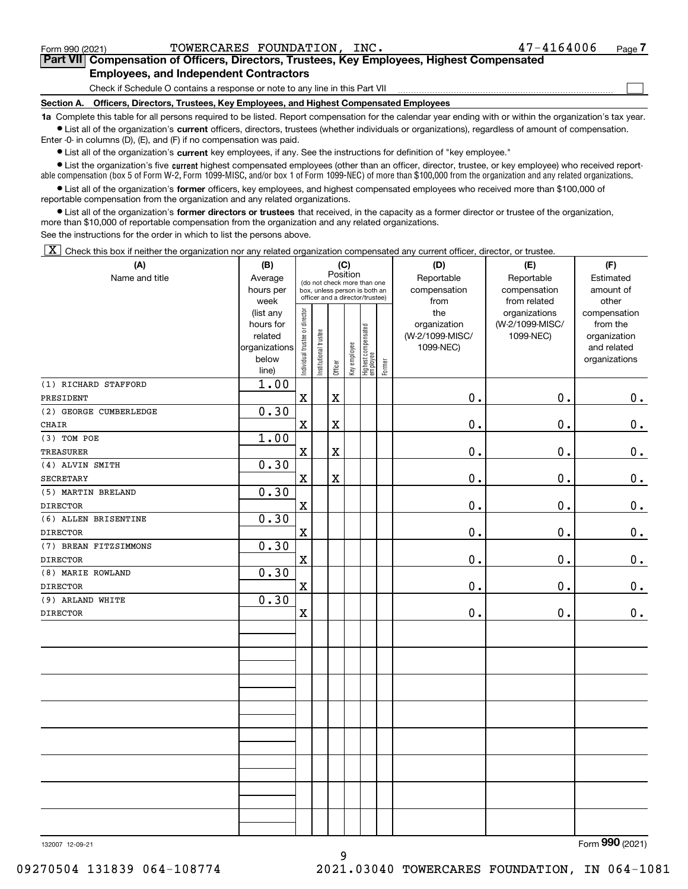$\mathcal{L}^{\text{max}}$ 

| Form 990 (2021) | TOWERCARES FOUNDATION, INC.                                                                | 47-4164006 | Page 7 |
|-----------------|--------------------------------------------------------------------------------------------|------------|--------|
|                 | Part VII Compensation of Officers, Directors, Trustees, Key Employees, Highest Compensated |            |        |
|                 | <b>Employees, and Independent Contractors</b>                                              |            |        |

Check if Schedule O contains a response or note to any line in this Part VII

**Section A. Officers, Directors, Trustees, Key Employees, and Highest Compensated Employees**

**1a**  Complete this table for all persons required to be listed. Report compensation for the calendar year ending with or within the organization's tax year. **•** List all of the organization's current officers, directors, trustees (whether individuals or organizations), regardless of amount of compensation.

Enter -0- in columns (D), (E), and (F) if no compensation was paid.

 $\bullet$  List all of the organization's  $\sf current$  key employees, if any. See the instructions for definition of "key employee."

**•** List the organization's five current highest compensated employees (other than an officer, director, trustee, or key employee) who received reportable compensation (box 5 of Form W-2, Form 1099-MISC, and/or box 1 of Form 1099-NEC) of more than \$100,000 from the organization and any related organizations.

**•** List all of the organization's former officers, key employees, and highest compensated employees who received more than \$100,000 of reportable compensation from the organization and any related organizations.

**former directors or trustees**  ¥ List all of the organization's that received, in the capacity as a former director or trustee of the organization, more than \$10,000 of reportable compensation from the organization and any related organizations.

See the instructions for the order in which to list the persons above.

 $\boxed{\textbf{X}}$  Check this box if neither the organization nor any related organization compensated any current officer, director, or trustee.

| (A)                    | (B)            |                               |                                 |             | (C)          |                                  |        | (D)             | (E)             | (F)           |
|------------------------|----------------|-------------------------------|---------------------------------|-------------|--------------|----------------------------------|--------|-----------------|-----------------|---------------|
| Name and title         | Average        |                               | (do not check more than one     | Position    |              |                                  |        | Reportable      | Reportable      | Estimated     |
|                        | hours per      |                               | box, unless person is both an   |             |              |                                  |        | compensation    | compensation    | amount of     |
|                        | week           |                               | officer and a director/trustee) |             |              |                                  |        | from            | from related    | other         |
|                        | (list any      |                               |                                 |             |              |                                  |        | the             | organizations   | compensation  |
|                        | hours for      |                               |                                 |             |              |                                  |        | organization    | (W-2/1099-MISC/ | from the      |
|                        | related        |                               |                                 |             |              |                                  |        | (W-2/1099-MISC/ | 1099-NEC)       | organization  |
|                        | organizations  |                               |                                 |             |              |                                  |        | 1099-NEC)       |                 | and related   |
|                        | below<br>line) | ndividual trustee or director | Institutional trustee           | Officer     | Key employee | Highest compensated<br> employee | Former |                 |                 | organizations |
| (1) RICHARD STAFFORD   | 1.00           |                               |                                 |             |              |                                  |        |                 |                 |               |
| PRESIDENT              |                | $\mathbf X$                   |                                 | $\mathbf X$ |              |                                  |        | 0.              | 0.              | 0.            |
| (2) GEORGE CUMBERLEDGE | 0.30           |                               |                                 |             |              |                                  |        |                 |                 |               |
| CHAIR                  |                | $\mathbf x$                   |                                 | $\rm X$     |              |                                  |        | $0$ .           | $0$ .           | $0_{.}$       |
| $(3)$ TOM POE          | 1.00           |                               |                                 |             |              |                                  |        |                 |                 |               |
| TREASURER              |                | $\mathbf X$                   |                                 | $\mathbf X$ |              |                                  |        | 0.              | 0.              | $\mathbf 0$ . |
| (4) ALVIN SMITH        | 0.30           |                               |                                 |             |              |                                  |        |                 |                 |               |
| <b>SECRETARY</b>       |                | $\mathbf X$                   |                                 | $\mathbf X$ |              |                                  |        | 0.              | 0.              | $0_{.}$       |
| (5) MARTIN BRELAND     | 0.30           |                               |                                 |             |              |                                  |        |                 |                 |               |
| <b>DIRECTOR</b>        |                | $\mathbf X$                   |                                 |             |              |                                  |        | 0.              | 0.              | $\mathbf 0$ . |
| (6) ALLEN BRISENTINE   | 0.30           |                               |                                 |             |              |                                  |        |                 |                 |               |
| <b>DIRECTOR</b>        |                | $\mathbf X$                   |                                 |             |              |                                  |        | 0.              | 0.              | $0$ .         |
| (7) BREAN FITZSIMMONS  | 0.30           |                               |                                 |             |              |                                  |        |                 |                 |               |
| <b>DIRECTOR</b>        |                | $\mathbf X$                   |                                 |             |              |                                  |        | 0.              | 0.              | $\mathbf 0$ . |
| (8) MARIE ROWLAND      | 0.30           |                               |                                 |             |              |                                  |        |                 |                 |               |
| <b>DIRECTOR</b>        |                | X                             |                                 |             |              |                                  |        | 0.              | 0.              | 0.            |
| (9) ARLAND WHITE       | 0.30           |                               |                                 |             |              |                                  |        |                 |                 |               |
| <b>DIRECTOR</b>        |                | $\mathbf X$                   |                                 |             |              |                                  |        | 0.              | 0.              | $\mathbf 0$ . |
|                        |                |                               |                                 |             |              |                                  |        |                 |                 |               |
|                        |                |                               |                                 |             |              |                                  |        |                 |                 |               |
|                        |                |                               |                                 |             |              |                                  |        |                 |                 |               |
|                        |                |                               |                                 |             |              |                                  |        |                 |                 |               |
|                        |                |                               |                                 |             |              |                                  |        |                 |                 |               |
|                        |                |                               |                                 |             |              |                                  |        |                 |                 |               |
|                        |                |                               |                                 |             |              |                                  |        |                 |                 |               |
|                        |                |                               |                                 |             |              |                                  |        |                 |                 |               |
|                        |                |                               |                                 |             |              |                                  |        |                 |                 |               |
|                        |                |                               |                                 |             |              |                                  |        |                 |                 |               |
|                        |                |                               |                                 |             |              |                                  |        |                 |                 |               |
|                        |                |                               |                                 |             |              |                                  |        |                 |                 |               |
|                        |                |                               |                                 |             |              |                                  |        |                 |                 |               |

9

132007 12-09-21

Form (2021) **990**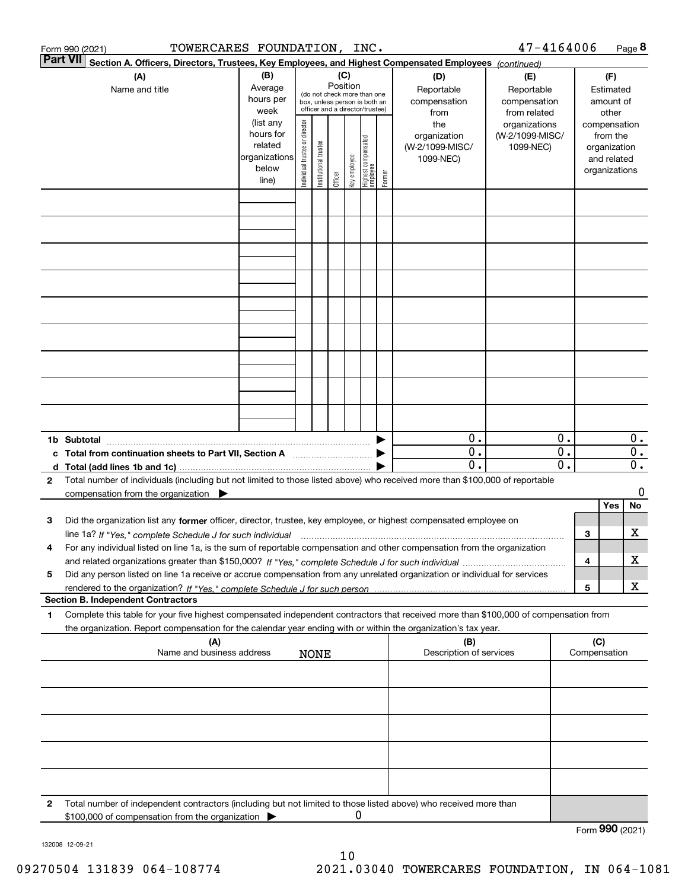|                 | TOWERCARES FOUNDATION, INC.<br>Form 990 (2021)                                                                                                                                                                                                                       |                                                         |                                |                       |                 |              |                                                                                                 |        |                                                  | 47-4164006                                                         |                                            |     |                                                          | Page 8            |
|-----------------|----------------------------------------------------------------------------------------------------------------------------------------------------------------------------------------------------------------------------------------------------------------------|---------------------------------------------------------|--------------------------------|-----------------------|-----------------|--------------|-------------------------------------------------------------------------------------------------|--------|--------------------------------------------------|--------------------------------------------------------------------|--------------------------------------------|-----|----------------------------------------------------------|-------------------|
| <b>Part VII</b> | Section A. Officers, Directors, Trustees, Key Employees, and Highest Compensated Employees (continued)                                                                                                                                                               |                                                         |                                |                       |                 |              |                                                                                                 |        |                                                  |                                                                    |                                            |     |                                                          |                   |
|                 | (A)<br>Name and title                                                                                                                                                                                                                                                | (B)<br>Average<br>hours per<br>week<br>(list any        |                                |                       | (C)<br>Position |              | (do not check more than one<br>box, unless person is both an<br>officer and a director/trustee) |        | (D)<br>Reportable<br>compensation<br>from<br>the | (E)<br>Reportable<br>compensation<br>from related<br>organizations |                                            |     | (F)<br>Estimated<br>amount of<br>other<br>compensation   |                   |
|                 |                                                                                                                                                                                                                                                                      | hours for<br>related<br>organizations<br>below<br>line) | Individual trustee or director | Institutional trustee | Officer         | key employee | Highest compensated<br>  employee                                                               | Former | organization<br>(W-2/1099-MISC/<br>1099-NEC)     | (W-2/1099-MISC/<br>1099-NEC)                                       |                                            |     | from the<br>organization<br>and related<br>organizations |                   |
|                 |                                                                                                                                                                                                                                                                      |                                                         |                                |                       |                 |              |                                                                                                 |        |                                                  |                                                                    |                                            |     |                                                          |                   |
|                 |                                                                                                                                                                                                                                                                      |                                                         |                                |                       |                 |              |                                                                                                 |        |                                                  |                                                                    |                                            |     |                                                          |                   |
|                 |                                                                                                                                                                                                                                                                      |                                                         |                                |                       |                 |              |                                                                                                 |        |                                                  |                                                                    |                                            |     |                                                          |                   |
|                 |                                                                                                                                                                                                                                                                      |                                                         |                                |                       |                 |              |                                                                                                 |        |                                                  |                                                                    |                                            |     |                                                          |                   |
|                 |                                                                                                                                                                                                                                                                      |                                                         |                                |                       |                 |              |                                                                                                 |        |                                                  |                                                                    |                                            |     |                                                          |                   |
|                 | c Total from continuation sheets to Part VII, Section A                                                                                                                                                                                                              |                                                         |                                |                       |                 |              |                                                                                                 |        | 0.<br>$\mathbf 0$ .<br>0.                        |                                                                    | 0.<br>$\overline{0}$ .<br>$\overline{0}$ . |     |                                                          | 0.<br>0.<br>$0$ . |
| $\mathbf{2}$    | Total number of individuals (including but not limited to those listed above) who received more than \$100,000 of reportable<br>compensation from the organization $\blacktriangleright$                                                                             |                                                         |                                |                       |                 |              |                                                                                                 |        |                                                  |                                                                    |                                            |     | Yes                                                      | 0<br>No           |
| 3               | Did the organization list any former officer, director, trustee, key employee, or highest compensated employee on<br>line 1a? If "Yes," complete Schedule J for such individual manufactured contained and the 1a? If "Yes," complete Schedule J for such individual |                                                         |                                |                       |                 |              |                                                                                                 |        |                                                  |                                                                    |                                            | 3   |                                                          | x                 |
| 5               | For any individual listed on line 1a, is the sum of reportable compensation and other compensation from the organization<br>Did any person listed on line 1a receive or accrue compensation from any unrelated organization or individual for services               |                                                         |                                |                       |                 |              |                                                                                                 |        |                                                  |                                                                    |                                            | 4   |                                                          | X                 |
|                 | <b>Section B. Independent Contractors</b>                                                                                                                                                                                                                            |                                                         |                                |                       |                 |              |                                                                                                 |        |                                                  |                                                                    |                                            | 5   |                                                          | х                 |
| 1               | Complete this table for your five highest compensated independent contractors that received more than \$100,000 of compensation from<br>the organization. Report compensation for the calendar year ending with or within the organization's tax year.               |                                                         |                                |                       |                 |              |                                                                                                 |        |                                                  |                                                                    |                                            |     |                                                          |                   |
|                 | (A)<br>Name and business address                                                                                                                                                                                                                                     |                                                         |                                | <b>NONE</b>           |                 |              |                                                                                                 |        | (B)<br>Description of services                   |                                                                    |                                            | (C) | Compensation                                             |                   |
|                 |                                                                                                                                                                                                                                                                      |                                                         |                                |                       |                 |              |                                                                                                 |        |                                                  |                                                                    |                                            |     |                                                          |                   |
|                 |                                                                                                                                                                                                                                                                      |                                                         |                                |                       |                 |              |                                                                                                 |        |                                                  |                                                                    |                                            |     |                                                          |                   |
|                 |                                                                                                                                                                                                                                                                      |                                                         |                                |                       |                 |              |                                                                                                 |        |                                                  |                                                                    |                                            |     |                                                          |                   |
| 2               | Total number of independent contractors (including but not limited to those listed above) who received more than                                                                                                                                                     |                                                         |                                |                       |                 |              |                                                                                                 |        |                                                  |                                                                    |                                            |     |                                                          |                   |
|                 | \$100,000 of compensation from the organization                                                                                                                                                                                                                      |                                                         |                                |                       |                 | 0            |                                                                                                 |        |                                                  |                                                                    |                                            |     | ההה                                                      |                   |

132008 12-09-21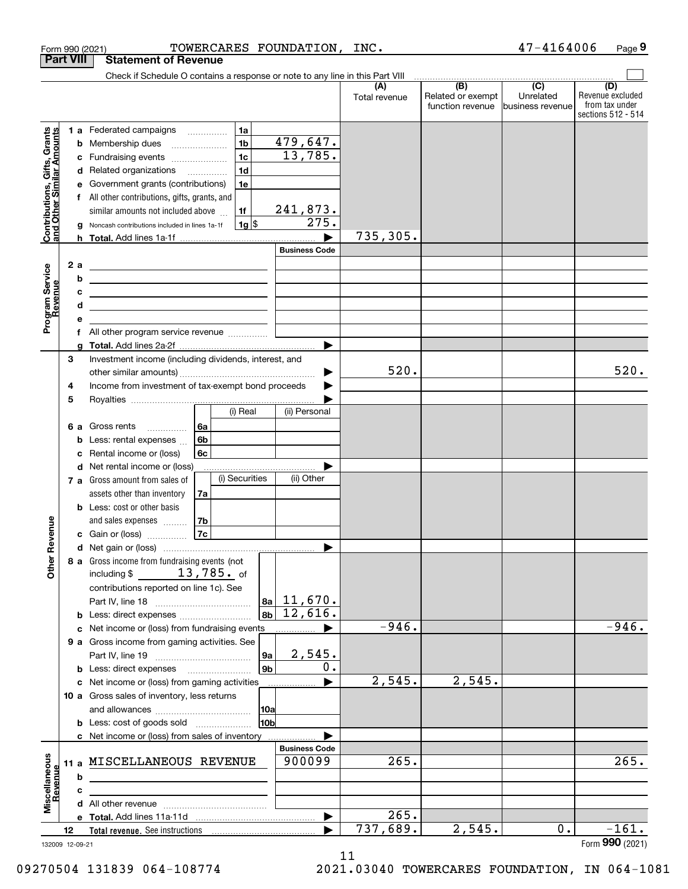| <b>Part VIII</b><br>Check if Schedule O contains a response or note to any line in this Part VIII<br>(B)<br>$\overline{C}$<br>(D)<br>(A)<br>Related or exempt<br>Unrelated<br>Total revenue<br>function revenue<br>business revenue<br>1 a Federated campaigns<br>Contributions, Gifts, Grants<br>and Other Similar Amounts<br>1a<br>479,647.<br>1 <sub>b</sub><br>Membership dues<br>b<br>13,785.<br>1 <sub>c</sub><br>Fundraising events<br>c<br>1 <sub>d</sub><br>Related organizations<br>d<br>Government grants (contributions)<br>1e<br>е<br>f All other contributions, gifts, grants, and<br><u>241,873.</u><br>similar amounts not included above<br>1f<br>275.<br>$1g$ \$<br>Noncash contributions included in lines 1a-1f<br>g<br>735, 305.<br><b>Business Code</b><br>2a<br>Program Service<br>Revenue<br><u> 1989 - Johann Stoff, deutscher Stoffen und der Stoffen und der Stoffen und der Stoffen und der Stoffen und der</u><br>b<br><u> 1989 - Johann Harry Barn, mars ar breist fan de Fryske kommunent fan de ferstjer fan de ferstjer fan de fers</u><br>c<br>d<br>е<br>All other program service revenue <i>mimiming</i><br>f<br>▶<br>a<br>Investment income (including dividends, interest, and<br>3<br>520.<br>520.<br>Income from investment of tax-exempt bond proceeds<br>4<br>5<br>(i) Real<br>(ii) Personal<br>6a<br>6 a Gross rents<br>.<br>6 <sub>b</sub><br>Less: rental expenses<br>b<br>6c<br>Rental income or (loss)<br>c<br>Net rental income or (loss)<br>d<br>(i) Securities<br>(ii) Other<br>7 a Gross amount from sales of<br>assets other than inventory<br>7a<br><b>b</b> Less: cost or other basis<br>venue<br>and sales expenses<br>7b<br>7c<br>c Gain or (loss)<br>Other Re<br>8 a Gross income from fundraising events (not<br>$13,785.$ of<br>including \$<br>contributions reported on line 1c). See<br>$11,670$ .<br> 8a <br>12,616.<br>8 <sub>b</sub><br><b>b</b> Less: direct expenses<br>$-946.$<br>Net income or (loss) from fundraising events<br>c<br>9 a Gross income from gaming activities. See<br>2,545.<br>9a<br>О.<br>9b<br>2,545.<br>2,545.<br>Net income or (loss) from gaming activities<br>c<br>10 a Gross sales of inventory, less returns<br> 10al<br>10bl<br><b>b</b> Less: cost of goods sold<br>c Net income or (loss) from sales of inventory<br><b>Business Code</b><br>Miscellaneous<br>Revenue<br>265.<br>900099<br>MISCELLANEOUS REVENUE<br>11 a<br>b<br>c<br>265.<br>▶ |  | Form 990 (2021)             | TOWERCARES FOUNDATION, INC. |          |        | 47-4164006 | Page 9                                                   |
|--------------------------------------------------------------------------------------------------------------------------------------------------------------------------------------------------------------------------------------------------------------------------------------------------------------------------------------------------------------------------------------------------------------------------------------------------------------------------------------------------------------------------------------------------------------------------------------------------------------------------------------------------------------------------------------------------------------------------------------------------------------------------------------------------------------------------------------------------------------------------------------------------------------------------------------------------------------------------------------------------------------------------------------------------------------------------------------------------------------------------------------------------------------------------------------------------------------------------------------------------------------------------------------------------------------------------------------------------------------------------------------------------------------------------------------------------------------------------------------------------------------------------------------------------------------------------------------------------------------------------------------------------------------------------------------------------------------------------------------------------------------------------------------------------------------------------------------------------------------------------------------------------------------------------------------------------------------------------------------------------------------------------------------------------------------------------------------------------------------------------------------------------------------------------------------------------------------------------------------------------------------------------------------------------------------------------------------------------------------------------------------------------------------------------------------------------|--|-----------------------------|-----------------------------|----------|--------|------------|----------------------------------------------------------|
|                                                                                                                                                                                                                                                                                                                                                                                                                                                                                                                                                                                                                                                                                                                                                                                                                                                                                                                                                                                                                                                                                                                                                                                                                                                                                                                                                                                                                                                                                                                                                                                                                                                                                                                                                                                                                                                                                                                                                                                                                                                                                                                                                                                                                                                                                                                                                                                                                                                  |  | <b>Statement of Revenue</b> |                             |          |        |            |                                                          |
|                                                                                                                                                                                                                                                                                                                                                                                                                                                                                                                                                                                                                                                                                                                                                                                                                                                                                                                                                                                                                                                                                                                                                                                                                                                                                                                                                                                                                                                                                                                                                                                                                                                                                                                                                                                                                                                                                                                                                                                                                                                                                                                                                                                                                                                                                                                                                                                                                                                  |  |                             |                             |          |        |            |                                                          |
|                                                                                                                                                                                                                                                                                                                                                                                                                                                                                                                                                                                                                                                                                                                                                                                                                                                                                                                                                                                                                                                                                                                                                                                                                                                                                                                                                                                                                                                                                                                                                                                                                                                                                                                                                                                                                                                                                                                                                                                                                                                                                                                                                                                                                                                                                                                                                                                                                                                  |  |                             |                             |          |        |            | Revenue excluded<br>from tax under<br>sections 512 - 514 |
|                                                                                                                                                                                                                                                                                                                                                                                                                                                                                                                                                                                                                                                                                                                                                                                                                                                                                                                                                                                                                                                                                                                                                                                                                                                                                                                                                                                                                                                                                                                                                                                                                                                                                                                                                                                                                                                                                                                                                                                                                                                                                                                                                                                                                                                                                                                                                                                                                                                  |  |                             |                             |          |        |            |                                                          |
|                                                                                                                                                                                                                                                                                                                                                                                                                                                                                                                                                                                                                                                                                                                                                                                                                                                                                                                                                                                                                                                                                                                                                                                                                                                                                                                                                                                                                                                                                                                                                                                                                                                                                                                                                                                                                                                                                                                                                                                                                                                                                                                                                                                                                                                                                                                                                                                                                                                  |  |                             |                             |          |        |            |                                                          |
|                                                                                                                                                                                                                                                                                                                                                                                                                                                                                                                                                                                                                                                                                                                                                                                                                                                                                                                                                                                                                                                                                                                                                                                                                                                                                                                                                                                                                                                                                                                                                                                                                                                                                                                                                                                                                                                                                                                                                                                                                                                                                                                                                                                                                                                                                                                                                                                                                                                  |  |                             |                             |          |        |            |                                                          |
|                                                                                                                                                                                                                                                                                                                                                                                                                                                                                                                                                                                                                                                                                                                                                                                                                                                                                                                                                                                                                                                                                                                                                                                                                                                                                                                                                                                                                                                                                                                                                                                                                                                                                                                                                                                                                                                                                                                                                                                                                                                                                                                                                                                                                                                                                                                                                                                                                                                  |  |                             |                             |          |        |            |                                                          |
|                                                                                                                                                                                                                                                                                                                                                                                                                                                                                                                                                                                                                                                                                                                                                                                                                                                                                                                                                                                                                                                                                                                                                                                                                                                                                                                                                                                                                                                                                                                                                                                                                                                                                                                                                                                                                                                                                                                                                                                                                                                                                                                                                                                                                                                                                                                                                                                                                                                  |  |                             |                             |          |        |            |                                                          |
|                                                                                                                                                                                                                                                                                                                                                                                                                                                                                                                                                                                                                                                                                                                                                                                                                                                                                                                                                                                                                                                                                                                                                                                                                                                                                                                                                                                                                                                                                                                                                                                                                                                                                                                                                                                                                                                                                                                                                                                                                                                                                                                                                                                                                                                                                                                                                                                                                                                  |  |                             |                             |          |        |            |                                                          |
|                                                                                                                                                                                                                                                                                                                                                                                                                                                                                                                                                                                                                                                                                                                                                                                                                                                                                                                                                                                                                                                                                                                                                                                                                                                                                                                                                                                                                                                                                                                                                                                                                                                                                                                                                                                                                                                                                                                                                                                                                                                                                                                                                                                                                                                                                                                                                                                                                                                  |  |                             |                             |          |        |            |                                                          |
|                                                                                                                                                                                                                                                                                                                                                                                                                                                                                                                                                                                                                                                                                                                                                                                                                                                                                                                                                                                                                                                                                                                                                                                                                                                                                                                                                                                                                                                                                                                                                                                                                                                                                                                                                                                                                                                                                                                                                                                                                                                                                                                                                                                                                                                                                                                                                                                                                                                  |  |                             |                             |          |        |            |                                                          |
|                                                                                                                                                                                                                                                                                                                                                                                                                                                                                                                                                                                                                                                                                                                                                                                                                                                                                                                                                                                                                                                                                                                                                                                                                                                                                                                                                                                                                                                                                                                                                                                                                                                                                                                                                                                                                                                                                                                                                                                                                                                                                                                                                                                                                                                                                                                                                                                                                                                  |  |                             |                             |          |        |            |                                                          |
|                                                                                                                                                                                                                                                                                                                                                                                                                                                                                                                                                                                                                                                                                                                                                                                                                                                                                                                                                                                                                                                                                                                                                                                                                                                                                                                                                                                                                                                                                                                                                                                                                                                                                                                                                                                                                                                                                                                                                                                                                                                                                                                                                                                                                                                                                                                                                                                                                                                  |  |                             |                             |          |        |            |                                                          |
|                                                                                                                                                                                                                                                                                                                                                                                                                                                                                                                                                                                                                                                                                                                                                                                                                                                                                                                                                                                                                                                                                                                                                                                                                                                                                                                                                                                                                                                                                                                                                                                                                                                                                                                                                                                                                                                                                                                                                                                                                                                                                                                                                                                                                                                                                                                                                                                                                                                  |  |                             |                             |          |        |            |                                                          |
|                                                                                                                                                                                                                                                                                                                                                                                                                                                                                                                                                                                                                                                                                                                                                                                                                                                                                                                                                                                                                                                                                                                                                                                                                                                                                                                                                                                                                                                                                                                                                                                                                                                                                                                                                                                                                                                                                                                                                                                                                                                                                                                                                                                                                                                                                                                                                                                                                                                  |  |                             |                             |          |        |            |                                                          |
|                                                                                                                                                                                                                                                                                                                                                                                                                                                                                                                                                                                                                                                                                                                                                                                                                                                                                                                                                                                                                                                                                                                                                                                                                                                                                                                                                                                                                                                                                                                                                                                                                                                                                                                                                                                                                                                                                                                                                                                                                                                                                                                                                                                                                                                                                                                                                                                                                                                  |  |                             |                             |          |        |            |                                                          |
|                                                                                                                                                                                                                                                                                                                                                                                                                                                                                                                                                                                                                                                                                                                                                                                                                                                                                                                                                                                                                                                                                                                                                                                                                                                                                                                                                                                                                                                                                                                                                                                                                                                                                                                                                                                                                                                                                                                                                                                                                                                                                                                                                                                                                                                                                                                                                                                                                                                  |  |                             |                             |          |        |            |                                                          |
|                                                                                                                                                                                                                                                                                                                                                                                                                                                                                                                                                                                                                                                                                                                                                                                                                                                                                                                                                                                                                                                                                                                                                                                                                                                                                                                                                                                                                                                                                                                                                                                                                                                                                                                                                                                                                                                                                                                                                                                                                                                                                                                                                                                                                                                                                                                                                                                                                                                  |  |                             |                             |          |        |            |                                                          |
|                                                                                                                                                                                                                                                                                                                                                                                                                                                                                                                                                                                                                                                                                                                                                                                                                                                                                                                                                                                                                                                                                                                                                                                                                                                                                                                                                                                                                                                                                                                                                                                                                                                                                                                                                                                                                                                                                                                                                                                                                                                                                                                                                                                                                                                                                                                                                                                                                                                  |  |                             |                             |          |        |            |                                                          |
|                                                                                                                                                                                                                                                                                                                                                                                                                                                                                                                                                                                                                                                                                                                                                                                                                                                                                                                                                                                                                                                                                                                                                                                                                                                                                                                                                                                                                                                                                                                                                                                                                                                                                                                                                                                                                                                                                                                                                                                                                                                                                                                                                                                                                                                                                                                                                                                                                                                  |  |                             |                             |          |        |            |                                                          |
|                                                                                                                                                                                                                                                                                                                                                                                                                                                                                                                                                                                                                                                                                                                                                                                                                                                                                                                                                                                                                                                                                                                                                                                                                                                                                                                                                                                                                                                                                                                                                                                                                                                                                                                                                                                                                                                                                                                                                                                                                                                                                                                                                                                                                                                                                                                                                                                                                                                  |  |                             |                             |          |        |            |                                                          |
|                                                                                                                                                                                                                                                                                                                                                                                                                                                                                                                                                                                                                                                                                                                                                                                                                                                                                                                                                                                                                                                                                                                                                                                                                                                                                                                                                                                                                                                                                                                                                                                                                                                                                                                                                                                                                                                                                                                                                                                                                                                                                                                                                                                                                                                                                                                                                                                                                                                  |  |                             |                             |          |        |            |                                                          |
|                                                                                                                                                                                                                                                                                                                                                                                                                                                                                                                                                                                                                                                                                                                                                                                                                                                                                                                                                                                                                                                                                                                                                                                                                                                                                                                                                                                                                                                                                                                                                                                                                                                                                                                                                                                                                                                                                                                                                                                                                                                                                                                                                                                                                                                                                                                                                                                                                                                  |  |                             |                             |          |        |            |                                                          |
|                                                                                                                                                                                                                                                                                                                                                                                                                                                                                                                                                                                                                                                                                                                                                                                                                                                                                                                                                                                                                                                                                                                                                                                                                                                                                                                                                                                                                                                                                                                                                                                                                                                                                                                                                                                                                                                                                                                                                                                                                                                                                                                                                                                                                                                                                                                                                                                                                                                  |  |                             |                             |          |        |            |                                                          |
|                                                                                                                                                                                                                                                                                                                                                                                                                                                                                                                                                                                                                                                                                                                                                                                                                                                                                                                                                                                                                                                                                                                                                                                                                                                                                                                                                                                                                                                                                                                                                                                                                                                                                                                                                                                                                                                                                                                                                                                                                                                                                                                                                                                                                                                                                                                                                                                                                                                  |  |                             |                             |          |        |            |                                                          |
|                                                                                                                                                                                                                                                                                                                                                                                                                                                                                                                                                                                                                                                                                                                                                                                                                                                                                                                                                                                                                                                                                                                                                                                                                                                                                                                                                                                                                                                                                                                                                                                                                                                                                                                                                                                                                                                                                                                                                                                                                                                                                                                                                                                                                                                                                                                                                                                                                                                  |  |                             |                             |          |        |            |                                                          |
|                                                                                                                                                                                                                                                                                                                                                                                                                                                                                                                                                                                                                                                                                                                                                                                                                                                                                                                                                                                                                                                                                                                                                                                                                                                                                                                                                                                                                                                                                                                                                                                                                                                                                                                                                                                                                                                                                                                                                                                                                                                                                                                                                                                                                                                                                                                                                                                                                                                  |  |                             |                             |          |        |            |                                                          |
|                                                                                                                                                                                                                                                                                                                                                                                                                                                                                                                                                                                                                                                                                                                                                                                                                                                                                                                                                                                                                                                                                                                                                                                                                                                                                                                                                                                                                                                                                                                                                                                                                                                                                                                                                                                                                                                                                                                                                                                                                                                                                                                                                                                                                                                                                                                                                                                                                                                  |  |                             |                             |          |        |            |                                                          |
|                                                                                                                                                                                                                                                                                                                                                                                                                                                                                                                                                                                                                                                                                                                                                                                                                                                                                                                                                                                                                                                                                                                                                                                                                                                                                                                                                                                                                                                                                                                                                                                                                                                                                                                                                                                                                                                                                                                                                                                                                                                                                                                                                                                                                                                                                                                                                                                                                                                  |  |                             |                             |          |        |            |                                                          |
|                                                                                                                                                                                                                                                                                                                                                                                                                                                                                                                                                                                                                                                                                                                                                                                                                                                                                                                                                                                                                                                                                                                                                                                                                                                                                                                                                                                                                                                                                                                                                                                                                                                                                                                                                                                                                                                                                                                                                                                                                                                                                                                                                                                                                                                                                                                                                                                                                                                  |  |                             |                             |          |        |            |                                                          |
|                                                                                                                                                                                                                                                                                                                                                                                                                                                                                                                                                                                                                                                                                                                                                                                                                                                                                                                                                                                                                                                                                                                                                                                                                                                                                                                                                                                                                                                                                                                                                                                                                                                                                                                                                                                                                                                                                                                                                                                                                                                                                                                                                                                                                                                                                                                                                                                                                                                  |  |                             |                             |          |        |            |                                                          |
|                                                                                                                                                                                                                                                                                                                                                                                                                                                                                                                                                                                                                                                                                                                                                                                                                                                                                                                                                                                                                                                                                                                                                                                                                                                                                                                                                                                                                                                                                                                                                                                                                                                                                                                                                                                                                                                                                                                                                                                                                                                                                                                                                                                                                                                                                                                                                                                                                                                  |  |                             |                             |          |        |            |                                                          |
|                                                                                                                                                                                                                                                                                                                                                                                                                                                                                                                                                                                                                                                                                                                                                                                                                                                                                                                                                                                                                                                                                                                                                                                                                                                                                                                                                                                                                                                                                                                                                                                                                                                                                                                                                                                                                                                                                                                                                                                                                                                                                                                                                                                                                                                                                                                                                                                                                                                  |  |                             |                             |          |        |            |                                                          |
|                                                                                                                                                                                                                                                                                                                                                                                                                                                                                                                                                                                                                                                                                                                                                                                                                                                                                                                                                                                                                                                                                                                                                                                                                                                                                                                                                                                                                                                                                                                                                                                                                                                                                                                                                                                                                                                                                                                                                                                                                                                                                                                                                                                                                                                                                                                                                                                                                                                  |  |                             |                             |          |        |            |                                                          |
|                                                                                                                                                                                                                                                                                                                                                                                                                                                                                                                                                                                                                                                                                                                                                                                                                                                                                                                                                                                                                                                                                                                                                                                                                                                                                                                                                                                                                                                                                                                                                                                                                                                                                                                                                                                                                                                                                                                                                                                                                                                                                                                                                                                                                                                                                                                                                                                                                                                  |  |                             |                             |          |        |            |                                                          |
|                                                                                                                                                                                                                                                                                                                                                                                                                                                                                                                                                                                                                                                                                                                                                                                                                                                                                                                                                                                                                                                                                                                                                                                                                                                                                                                                                                                                                                                                                                                                                                                                                                                                                                                                                                                                                                                                                                                                                                                                                                                                                                                                                                                                                                                                                                                                                                                                                                                  |  |                             |                             |          |        |            |                                                          |
|                                                                                                                                                                                                                                                                                                                                                                                                                                                                                                                                                                                                                                                                                                                                                                                                                                                                                                                                                                                                                                                                                                                                                                                                                                                                                                                                                                                                                                                                                                                                                                                                                                                                                                                                                                                                                                                                                                                                                                                                                                                                                                                                                                                                                                                                                                                                                                                                                                                  |  |                             |                             |          |        |            |                                                          |
|                                                                                                                                                                                                                                                                                                                                                                                                                                                                                                                                                                                                                                                                                                                                                                                                                                                                                                                                                                                                                                                                                                                                                                                                                                                                                                                                                                                                                                                                                                                                                                                                                                                                                                                                                                                                                                                                                                                                                                                                                                                                                                                                                                                                                                                                                                                                                                                                                                                  |  |                             |                             |          |        |            | $-946.$                                                  |
|                                                                                                                                                                                                                                                                                                                                                                                                                                                                                                                                                                                                                                                                                                                                                                                                                                                                                                                                                                                                                                                                                                                                                                                                                                                                                                                                                                                                                                                                                                                                                                                                                                                                                                                                                                                                                                                                                                                                                                                                                                                                                                                                                                                                                                                                                                                                                                                                                                                  |  |                             |                             |          |        |            |                                                          |
|                                                                                                                                                                                                                                                                                                                                                                                                                                                                                                                                                                                                                                                                                                                                                                                                                                                                                                                                                                                                                                                                                                                                                                                                                                                                                                                                                                                                                                                                                                                                                                                                                                                                                                                                                                                                                                                                                                                                                                                                                                                                                                                                                                                                                                                                                                                                                                                                                                                  |  |                             |                             |          |        |            |                                                          |
|                                                                                                                                                                                                                                                                                                                                                                                                                                                                                                                                                                                                                                                                                                                                                                                                                                                                                                                                                                                                                                                                                                                                                                                                                                                                                                                                                                                                                                                                                                                                                                                                                                                                                                                                                                                                                                                                                                                                                                                                                                                                                                                                                                                                                                                                                                                                                                                                                                                  |  |                             |                             |          |        |            |                                                          |
|                                                                                                                                                                                                                                                                                                                                                                                                                                                                                                                                                                                                                                                                                                                                                                                                                                                                                                                                                                                                                                                                                                                                                                                                                                                                                                                                                                                                                                                                                                                                                                                                                                                                                                                                                                                                                                                                                                                                                                                                                                                                                                                                                                                                                                                                                                                                                                                                                                                  |  |                             |                             |          |        |            |                                                          |
|                                                                                                                                                                                                                                                                                                                                                                                                                                                                                                                                                                                                                                                                                                                                                                                                                                                                                                                                                                                                                                                                                                                                                                                                                                                                                                                                                                                                                                                                                                                                                                                                                                                                                                                                                                                                                                                                                                                                                                                                                                                                                                                                                                                                                                                                                                                                                                                                                                                  |  |                             |                             |          |        |            |                                                          |
|                                                                                                                                                                                                                                                                                                                                                                                                                                                                                                                                                                                                                                                                                                                                                                                                                                                                                                                                                                                                                                                                                                                                                                                                                                                                                                                                                                                                                                                                                                                                                                                                                                                                                                                                                                                                                                                                                                                                                                                                                                                                                                                                                                                                                                                                                                                                                                                                                                                  |  |                             |                             |          |        |            |                                                          |
|                                                                                                                                                                                                                                                                                                                                                                                                                                                                                                                                                                                                                                                                                                                                                                                                                                                                                                                                                                                                                                                                                                                                                                                                                                                                                                                                                                                                                                                                                                                                                                                                                                                                                                                                                                                                                                                                                                                                                                                                                                                                                                                                                                                                                                                                                                                                                                                                                                                  |  |                             |                             |          |        |            |                                                          |
|                                                                                                                                                                                                                                                                                                                                                                                                                                                                                                                                                                                                                                                                                                                                                                                                                                                                                                                                                                                                                                                                                                                                                                                                                                                                                                                                                                                                                                                                                                                                                                                                                                                                                                                                                                                                                                                                                                                                                                                                                                                                                                                                                                                                                                                                                                                                                                                                                                                  |  |                             |                             |          |        |            |                                                          |
|                                                                                                                                                                                                                                                                                                                                                                                                                                                                                                                                                                                                                                                                                                                                                                                                                                                                                                                                                                                                                                                                                                                                                                                                                                                                                                                                                                                                                                                                                                                                                                                                                                                                                                                                                                                                                                                                                                                                                                                                                                                                                                                                                                                                                                                                                                                                                                                                                                                  |  |                             |                             |          |        |            | 265.                                                     |
|                                                                                                                                                                                                                                                                                                                                                                                                                                                                                                                                                                                                                                                                                                                                                                                                                                                                                                                                                                                                                                                                                                                                                                                                                                                                                                                                                                                                                                                                                                                                                                                                                                                                                                                                                                                                                                                                                                                                                                                                                                                                                                                                                                                                                                                                                                                                                                                                                                                  |  |                             |                             |          |        |            |                                                          |
|                                                                                                                                                                                                                                                                                                                                                                                                                                                                                                                                                                                                                                                                                                                                                                                                                                                                                                                                                                                                                                                                                                                                                                                                                                                                                                                                                                                                                                                                                                                                                                                                                                                                                                                                                                                                                                                                                                                                                                                                                                                                                                                                                                                                                                                                                                                                                                                                                                                  |  |                             |                             |          |        |            |                                                          |
|                                                                                                                                                                                                                                                                                                                                                                                                                                                                                                                                                                                                                                                                                                                                                                                                                                                                                                                                                                                                                                                                                                                                                                                                                                                                                                                                                                                                                                                                                                                                                                                                                                                                                                                                                                                                                                                                                                                                                                                                                                                                                                                                                                                                                                                                                                                                                                                                                                                  |  |                             |                             |          |        |            |                                                          |
|                                                                                                                                                                                                                                                                                                                                                                                                                                                                                                                                                                                                                                                                                                                                                                                                                                                                                                                                                                                                                                                                                                                                                                                                                                                                                                                                                                                                                                                                                                                                                                                                                                                                                                                                                                                                                                                                                                                                                                                                                                                                                                                                                                                                                                                                                                                                                                                                                                                  |  |                             |                             | 737,689. | 2,545. | $0$ .      | $-161.$                                                  |
| 12<br>132009 12-09-21                                                                                                                                                                                                                                                                                                                                                                                                                                                                                                                                                                                                                                                                                                                                                                                                                                                                                                                                                                                                                                                                                                                                                                                                                                                                                                                                                                                                                                                                                                                                                                                                                                                                                                                                                                                                                                                                                                                                                                                                                                                                                                                                                                                                                                                                                                                                                                                                                            |  |                             |                             |          |        |            | Form 990 (2021)                                          |

<sup>11</sup>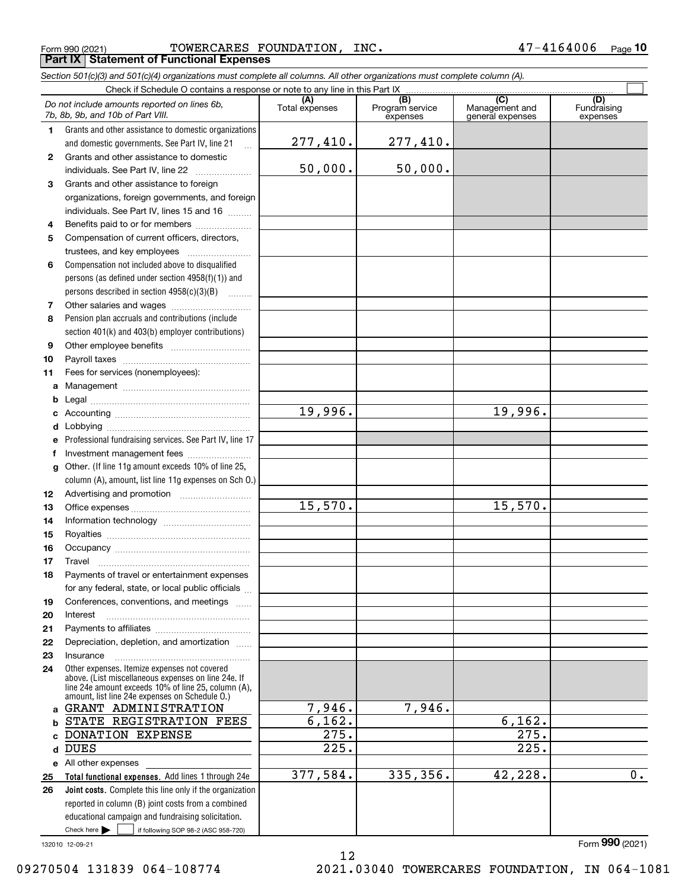Form 990 (2021) TOWERCARES FOUNDATION,INC . 4 7 – 41 6 4 0 0 6  $\,$  Page **Part IX Statement of Functional Expenses**

*Section 501(c)(3) and 501(c)(4) organizations must complete all columns. All other organizations must complete column (A).*

|              | Do not include amounts reported on lines 6b,<br>7b, 8b, 9b, and 10b of Part VIII.                                             | (A)<br>Total expenses | (B)<br>Program service<br>expenses | $\overline{C}$<br>Management and<br>general expenses | (D)<br>Fundraising<br>expenses |
|--------------|-------------------------------------------------------------------------------------------------------------------------------|-----------------------|------------------------------------|------------------------------------------------------|--------------------------------|
| 1.           | Grants and other assistance to domestic organizations                                                                         |                       |                                    |                                                      |                                |
|              | and domestic governments. See Part IV, line 21                                                                                | 277,410.              | 277,410.                           |                                                      |                                |
| $\mathbf{2}$ | Grants and other assistance to domestic                                                                                       |                       |                                    |                                                      |                                |
|              | individuals. See Part IV, line 22                                                                                             | 50,000.               | 50,000.                            |                                                      |                                |
| 3            | Grants and other assistance to foreign                                                                                        |                       |                                    |                                                      |                                |
|              | organizations, foreign governments, and foreign                                                                               |                       |                                    |                                                      |                                |
|              | individuals. See Part IV, lines 15 and 16                                                                                     |                       |                                    |                                                      |                                |
| 4            | Benefits paid to or for members                                                                                               |                       |                                    |                                                      |                                |
| 5            | Compensation of current officers, directors,                                                                                  |                       |                                    |                                                      |                                |
|              | trustees, and key employees                                                                                                   |                       |                                    |                                                      |                                |
| 6            | Compensation not included above to disqualified                                                                               |                       |                                    |                                                      |                                |
|              | persons (as defined under section $4958(f)(1)$ ) and                                                                          |                       |                                    |                                                      |                                |
|              | persons described in section 4958(c)(3)(B)                                                                                    |                       |                                    |                                                      |                                |
| 7            |                                                                                                                               |                       |                                    |                                                      |                                |
| 8            | Pension plan accruals and contributions (include                                                                              |                       |                                    |                                                      |                                |
|              | section 401(k) and 403(b) employer contributions)                                                                             |                       |                                    |                                                      |                                |
| 9            |                                                                                                                               |                       |                                    |                                                      |                                |
| 10           |                                                                                                                               |                       |                                    |                                                      |                                |
| 11           | Fees for services (nonemployees):                                                                                             |                       |                                    |                                                      |                                |
| a            |                                                                                                                               |                       |                                    |                                                      |                                |
| b            |                                                                                                                               |                       |                                    |                                                      |                                |
| c            |                                                                                                                               | 19,996.               |                                    | 19,996.                                              |                                |
| d            |                                                                                                                               |                       |                                    |                                                      |                                |
| e            | Professional fundraising services. See Part IV, line 17                                                                       |                       |                                    |                                                      |                                |
| f            | Investment management fees                                                                                                    |                       |                                    |                                                      |                                |
| g            | Other. (If line 11g amount exceeds 10% of line 25,                                                                            |                       |                                    |                                                      |                                |
|              | column (A), amount, list line 11g expenses on Sch O.)                                                                         |                       |                                    |                                                      |                                |
| 12           |                                                                                                                               |                       |                                    |                                                      |                                |
| 13           |                                                                                                                               | 15,570.               |                                    | 15,570.                                              |                                |
| 14           |                                                                                                                               |                       |                                    |                                                      |                                |
| 15           |                                                                                                                               |                       |                                    |                                                      |                                |
| 16           |                                                                                                                               |                       |                                    |                                                      |                                |
| 17           | Travel                                                                                                                        |                       |                                    |                                                      |                                |
| 18           | Payments of travel or entertainment expenses                                                                                  |                       |                                    |                                                      |                                |
|              | for any federal, state, or local public officials                                                                             |                       |                                    |                                                      |                                |
| 19           | Conferences, conventions, and meetings                                                                                        |                       |                                    |                                                      |                                |
| 20           | Interest                                                                                                                      |                       |                                    |                                                      |                                |
| 21           |                                                                                                                               |                       |                                    |                                                      |                                |
| 22           | Depreciation, depletion, and amortization                                                                                     |                       |                                    |                                                      |                                |
| 23           | Insurance                                                                                                                     |                       |                                    |                                                      |                                |
| 24           | Other expenses. Itemize expenses not covered<br>above. (List miscellaneous expenses on line 24e. If                           |                       |                                    |                                                      |                                |
|              | line 24e amount exceeds 10% of line 25, column (A),                                                                           |                       |                                    |                                                      |                                |
|              | amount, list line 24e expenses on Schedule O.)<br>a GRANT ADMINISTRATION                                                      | 7,946.                | 7,946.                             |                                                      |                                |
|              | <b>b STATE REGISTRATION FEES</b>                                                                                              | 6, 162.               |                                    | 6, 162.                                              |                                |
|              |                                                                                                                               | 275.                  |                                    | 275.                                                 |                                |
| c.           | DONATION EXPENSE<br>d DUES                                                                                                    | $\overline{225}$ .    |                                    | 225.                                                 |                                |
|              |                                                                                                                               |                       |                                    |                                                      |                                |
|              | e All other expenses                                                                                                          | 377,584.              | 335,356.                           | 42,228.                                              | $0$ .                          |
| 25           | Total functional expenses. Add lines 1 through 24e                                                                            |                       |                                    |                                                      |                                |
| 26           | Joint costs. Complete this line only if the organization                                                                      |                       |                                    |                                                      |                                |
|              | reported in column (B) joint costs from a combined                                                                            |                       |                                    |                                                      |                                |
|              | educational campaign and fundraising solicitation.<br>Check here $\blacktriangleright$<br>if following SOP 98-2 (ASC 958-720) |                       |                                    |                                                      |                                |
|              | 132010 12-09-21                                                                                                               |                       |                                    |                                                      | Form 990 (2021)                |
|              |                                                                                                                               |                       |                                    |                                                      |                                |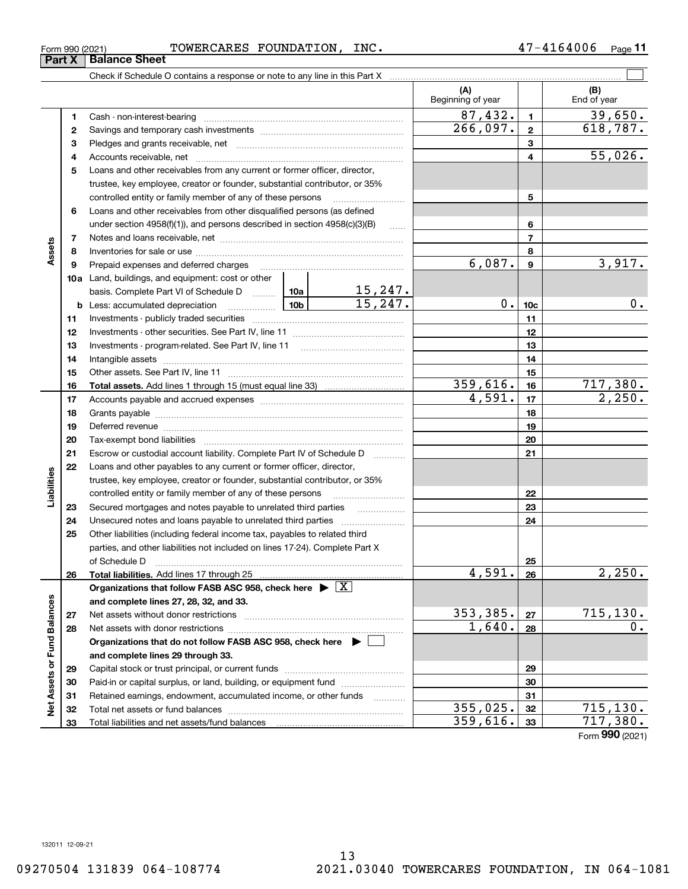**33**

Form (2021) **990**

Total liabilities and net assets/fund balances

 $87,432.$  1 39,650. **11**Cash - non-interest-bearing ~~~~~~~~~~~~~~~~~~~~~~~~~  $266,097.$  2 618,787. **22**Savings and temporary cash investments ~~~~~~~~~~~~~~~~~~**33**Pledges and grants receivable, net ~~~~~~~~~~~~~~~~~~~~~ 55,026. Accounts receivable, net ~~~~~~~~~~~~~~~~~~~~~~~~~~ **44**Loans and other receivables from any current or former officer, director, **5**trustee, key employee, creator or founder, substantial contributor, or 35% controlled entity or family member of any of these persons ............................ **5**Loans and other receivables from other disqualified persons (as defined **6**under section  $4958(f)(1)$ , and persons described in section  $4958(c)(3)(B)$ **677**Notes and loans receivable, net ~~~~~~~~~~~~~~~~~~~~~~~**Assets 88**Inventories for sale or use ~~~~~~~~~~~~~~~~~~~~~~~~~~6,087. 3,917. **99**Prepaid expenses and deferred charges ~~~~~~~~~~~~~~~~~~ **10a**Land, buildings, and equipment: cost or other 15,247. basis. Complete Part VI of Schedule D will aller  $15,247.$  0.  $10c$  0. 0. **10cb** Less: accumulated depreciation  $\ldots$  **10b 1111**Investments - publicly traded securities ~~~~~~~~~~~~~~~~~~~ **1212**Investments - other securities. See Part IV, line 11 ~~~~~~~~~~~~~~ **1313**Investments - program-related. See Part IV, line 11 [2010] [2010] [2010] [2010] [2010] [2010] [2010] [2010] [2 **1414**Intangible assets ~~~~~~~~~~~~~~~~~~~~~~~~~~~~~~ Other assets. See Part IV, line 11 ~~~~~~~~~~~~~~~~~~~~~~ **1515**359,616. 717,380. **1616Total assets.**  Add lines 1 through 15 (must equal line 33)  $4,591.$  |  $17$  |  $2,250.$ **1717**Accounts payable and accrued expenses ~~~~~~~~~~~~~~~~~~ **1818**Grants payable ~~~~~~~~~~~~~~~~~~~~~~~~~~~~~~~ **1919**Deferred revenue ~~~~~~~~~~~~~~~~~~~~~~~~~~~~~~ **2020**Tax-exempt bond liabilities …………………………………………………………… Escrow or custodial account liability. Complete Part IV of Schedule D **212122**Loans and other payables to any current or former officer, director, iabilities **Liabilities** trustee, key employee, creator or founder, substantial contributor, or 35% controlled entity or family member of any of these persons ~~~~~~~~~**22**Secured mortgages and notes payable to unrelated third parties ~~~~~~ **2323**Unsecured notes and loans payable to unrelated third parties  $\ldots$ **242425**Other liabilities (including federal income tax, payables to related third parties, and other liabilities not included on lines 17-24). Complete Part X of Schedule D ~~~~~~~~~~~~~~~~~~~~~~~~~~~~~~~ **25** $4,591. |26| 2,250.$ **2626Total liabilities.**  Add lines 17 through 25 **Organizations that follow FASB ASC 958, check here** | X Assets or Fund Balances **Net Assets or Fund Balances and complete lines 27, 28, 32, and 33.**  $353,385. |27|$  715,130. **2727**Net assets without donor restrictions ~~~~~~~~~~~~~~~~~~~~  $1,640.$  | 28 |  $0.$ **2828**Net assets with donor restrictions ~~~~~~~~~~~~~~~~~~~~~~ **Organizations that do not follow FASB ASC 958, check here** | **and complete lines 29 through 33. 2929**Capital stock or trust principal, or current funds ~~~~~~~~~~~~~~~**3030**Paid-in or capital surplus, or land, building, or equipment fund www.commun.com **31**Retained earnings, endowment, accumulated income, or other funds **31**ğ Total net assets or fund balances ~~~~~~~~~~~~~~~~~~~~~~  $355,025.$   $32$  | 715,130. **3232** $359,616.$   $33$   $717,380.$ **33**

Form 990 (2021) TOWERCARES FOUNDATION,INC . 4 7 – 41 6 4 0 0 6  $\,$  Page

47-4164006 Page 11

 $\mathcal{L}^{\text{max}}$ 

**(A) (B)**

Beginning of year | | End of year

| Form 990 (2021)             |  |  |
|-----------------------------|--|--|
| <b>Part X Balance Sheet</b> |  |  |

Check if Schedule O contains a response or note to any line in this Part X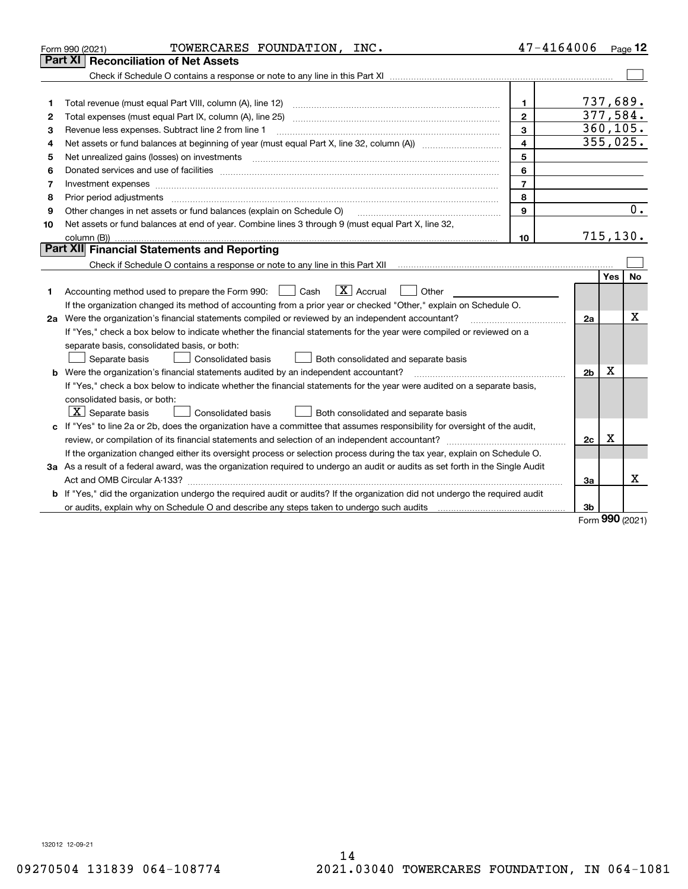|    | TOWERCARES FOUNDATION, INC.<br>Form 990 (2021)                                                                                                                                                                                 | 47-4164006     |                |            | $P_{\text{aqe}}$ 12 |
|----|--------------------------------------------------------------------------------------------------------------------------------------------------------------------------------------------------------------------------------|----------------|----------------|------------|---------------------|
|    | <b>Reconciliation of Net Assets</b><br>Part XI                                                                                                                                                                                 |                |                |            |                     |
|    |                                                                                                                                                                                                                                |                |                |            |                     |
|    |                                                                                                                                                                                                                                |                |                |            |                     |
| 1  | Total revenue (must equal Part VIII, column (A), line 12)                                                                                                                                                                      | $\mathbf{1}$   | 737,689.       |            |                     |
| 2  |                                                                                                                                                                                                                                | $\mathbf{2}$   | 377,584.       |            |                     |
| З  | Revenue less expenses. Subtract line 2 from line 1                                                                                                                                                                             | 3              | 360, 105.      |            |                     |
| 4  |                                                                                                                                                                                                                                | 4              | 355,025.       |            |                     |
| 5  |                                                                                                                                                                                                                                | 5              |                |            |                     |
| 6  | Donated services and use of facilities [111] matter contracts and the service of facilities [11] matter contracts and use of facilities [11] matter contracts and the service of facilities [11] matter contracts and the serv | 6              |                |            |                     |
| 7  | Investment expenses www.communication.com/www.communication.com/www.communication.com/www.com                                                                                                                                  | $\overline{7}$ |                |            |                     |
| 8  | Prior period adjustments                                                                                                                                                                                                       | 8              |                |            |                     |
| 9  | Other changes in net assets or fund balances (explain on Schedule O)                                                                                                                                                           | $\mathbf{Q}$   |                |            | 0.                  |
| 10 | Net assets or fund balances at end of year. Combine lines 3 through 9 (must equal Part X, line 32,                                                                                                                             |                |                |            |                     |
|    | column (B))                                                                                                                                                                                                                    | 10             | 715, 130.      |            |                     |
|    | Part XII Financial Statements and Reporting                                                                                                                                                                                    |                |                |            |                     |
|    |                                                                                                                                                                                                                                |                |                |            |                     |
|    |                                                                                                                                                                                                                                |                |                | <b>Yes</b> | No                  |
| 1. | $ X $ Accrual<br>Cash<br>Accounting method used to prepare the Form 990:<br>Other                                                                                                                                              |                |                |            |                     |
|    | If the organization changed its method of accounting from a prior year or checked "Other," explain on Schedule O.                                                                                                              |                |                |            |                     |
|    | 2a Were the organization's financial statements compiled or reviewed by an independent accountant?                                                                                                                             |                | 2a             |            | х                   |
|    | If "Yes," check a box below to indicate whether the financial statements for the year were compiled or reviewed on a                                                                                                           |                |                |            |                     |
|    | separate basis, consolidated basis, or both:                                                                                                                                                                                   |                |                |            |                     |
|    | Separate basis<br>Consolidated basis<br>Both consolidated and separate basis                                                                                                                                                   |                |                |            |                     |
|    | <b>b</b> Were the organization's financial statements audited by an independent accountant?                                                                                                                                    |                | 2 <sub>b</sub> | Χ          |                     |
|    | If "Yes," check a box below to indicate whether the financial statements for the year were audited on a separate basis,                                                                                                        |                |                |            |                     |
|    | consolidated basis, or both:                                                                                                                                                                                                   |                |                |            |                     |
|    | $\vert$ X $\vert$ Separate basis<br>Consolidated basis<br>Both consolidated and separate basis                                                                                                                                 |                |                |            |                     |
|    | c If "Yes" to line 2a or 2b, does the organization have a committee that assumes responsibility for oversight of the audit,                                                                                                    |                |                |            |                     |
|    |                                                                                                                                                                                                                                |                | 2c             | x          |                     |
|    | If the organization changed either its oversight process or selection process during the tax year, explain on Schedule O.                                                                                                      |                |                |            |                     |
|    | 3a As a result of a federal award, was the organization required to undergo an audit or audits as set forth in the Single Audit                                                                                                |                |                |            |                     |
|    |                                                                                                                                                                                                                                |                | Зa             |            | х                   |
|    | b If "Yes," did the organization undergo the required audit or audits? If the organization did not undergo the required audit                                                                                                  |                |                |            |                     |
|    |                                                                                                                                                                                                                                |                | 3b             | ההח        |                     |

Form (2021) **990**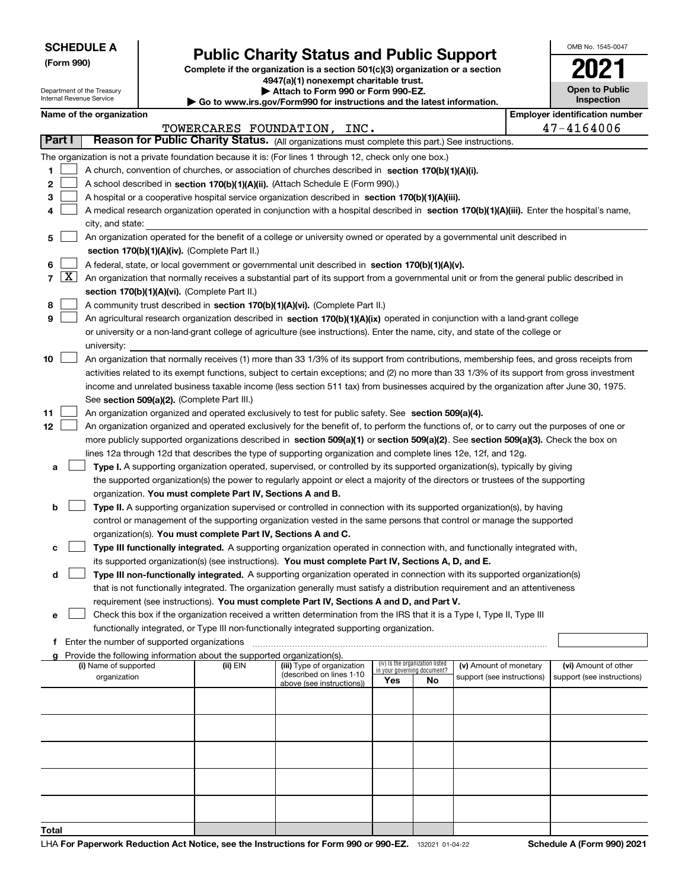Department of the Treasury Internal Revenue Service

**(Form 990)**

# **Public Charity Status and Public Support**

**Complete if the organization is a section 501(c)(3) organization or a section**

**4947(a)(1) nonexempt charitable trust. | Attach to Form 990 or Form 990-EZ.** 

**| Go to www.irs.gov/Form990 for instructions and the latest information.**

| OMB No. 1545-0047                   |
|-------------------------------------|
| 02                                  |
| <b>Open to Public</b><br>Inspection |

 $\blacksquare$ 

## **Name of the organization Employer identification number**

|       |        |                                                                                                                                              |          | TOWERCARES FOUNDATION, INC.                           |                                    |                                 |                            | 47-4164006                 |
|-------|--------|----------------------------------------------------------------------------------------------------------------------------------------------|----------|-------------------------------------------------------|------------------------------------|---------------------------------|----------------------------|----------------------------|
|       | Part I | Reason for Public Charity Status. (All organizations must complete this part.) See instructions.                                             |          |                                                       |                                    |                                 |                            |                            |
|       |        | The organization is not a private foundation because it is: (For lines 1 through 12, check only one box.)                                    |          |                                                       |                                    |                                 |                            |                            |
| 1.    |        | A church, convention of churches, or association of churches described in section 170(b)(1)(A)(i).                                           |          |                                                       |                                    |                                 |                            |                            |
| 2     |        | A school described in section 170(b)(1)(A)(ii). (Attach Schedule E (Form 990).)                                                              |          |                                                       |                                    |                                 |                            |                            |
| 3     |        | A hospital or a cooperative hospital service organization described in section 170(b)(1)(A)(iii).                                            |          |                                                       |                                    |                                 |                            |                            |
| 4     |        | A medical research organization operated in conjunction with a hospital described in section 170(b)(1)(A)(iii). Enter the hospital's name,   |          |                                                       |                                    |                                 |                            |                            |
|       |        | city, and state:                                                                                                                             |          |                                                       |                                    |                                 |                            |                            |
| 5     |        | An organization operated for the benefit of a college or university owned or operated by a governmental unit described in                    |          |                                                       |                                    |                                 |                            |                            |
|       |        | section 170(b)(1)(A)(iv). (Complete Part II.)                                                                                                |          |                                                       |                                    |                                 |                            |                            |
| 6.    |        | A federal, state, or local government or governmental unit described in section 170(b)(1)(A)(v).                                             |          |                                                       |                                    |                                 |                            |                            |
|       | 7   X  | An organization that normally receives a substantial part of its support from a governmental unit or from the general public described in    |          |                                                       |                                    |                                 |                            |                            |
|       |        | section 170(b)(1)(A)(vi). (Complete Part II.)                                                                                                |          |                                                       |                                    |                                 |                            |                            |
| 8     |        | A community trust described in section 170(b)(1)(A)(vi). (Complete Part II.)                                                                 |          |                                                       |                                    |                                 |                            |                            |
| 9     |        | An agricultural research organization described in section 170(b)(1)(A)(ix) operated in conjunction with a land-grant college                |          |                                                       |                                    |                                 |                            |                            |
|       |        | or university or a non-land-grant college of agriculture (see instructions). Enter the name, city, and state of the college or               |          |                                                       |                                    |                                 |                            |                            |
|       |        | university:                                                                                                                                  |          |                                                       |                                    |                                 |                            |                            |
| 10    |        | An organization that normally receives (1) more than 33 1/3% of its support from contributions, membership fees, and gross receipts from     |          |                                                       |                                    |                                 |                            |                            |
|       |        | activities related to its exempt functions, subject to certain exceptions; and (2) no more than 33 1/3% of its support from gross investment |          |                                                       |                                    |                                 |                            |                            |
|       |        | income and unrelated business taxable income (less section 511 tax) from businesses acquired by the organization after June 30, 1975.        |          |                                                       |                                    |                                 |                            |                            |
|       |        | See section 509(a)(2). (Complete Part III.)                                                                                                  |          |                                                       |                                    |                                 |                            |                            |
| 11    |        | An organization organized and operated exclusively to test for public safety. See section 509(a)(4).                                         |          |                                                       |                                    |                                 |                            |                            |
| 12    |        | An organization organized and operated exclusively for the benefit of, to perform the functions of, or to carry out the purposes of one or   |          |                                                       |                                    |                                 |                            |                            |
|       |        | more publicly supported organizations described in section 509(a)(1) or section 509(a)(2). See section 509(a)(3). Check the box on           |          |                                                       |                                    |                                 |                            |                            |
|       |        | lines 12a through 12d that describes the type of supporting organization and complete lines 12e, 12f, and 12g.                               |          |                                                       |                                    |                                 |                            |                            |
| а     |        | Type I. A supporting organization operated, supervised, or controlled by its supported organization(s), typically by giving                  |          |                                                       |                                    |                                 |                            |                            |
|       |        | the supported organization(s) the power to regularly appoint or elect a majority of the directors or trustees of the supporting              |          |                                                       |                                    |                                 |                            |                            |
|       |        | organization. You must complete Part IV, Sections A and B.                                                                                   |          |                                                       |                                    |                                 |                            |                            |
| b     |        | Type II. A supporting organization supervised or controlled in connection with its supported organization(s), by having                      |          |                                                       |                                    |                                 |                            |                            |
|       |        | control or management of the supporting organization vested in the same persons that control or manage the supported                         |          |                                                       |                                    |                                 |                            |                            |
|       |        | organization(s). You must complete Part IV, Sections A and C.                                                                                |          |                                                       |                                    |                                 |                            |                            |
| с     |        | Type III functionally integrated. A supporting organization operated in connection with, and functionally integrated with,                   |          |                                                       |                                    |                                 |                            |                            |
|       |        | its supported organization(s) (see instructions). You must complete Part IV, Sections A, D, and E.                                           |          |                                                       |                                    |                                 |                            |                            |
| d     |        | Type III non-functionally integrated. A supporting organization operated in connection with its supported organization(s)                    |          |                                                       |                                    |                                 |                            |                            |
|       |        | that is not functionally integrated. The organization generally must satisfy a distribution requirement and an attentiveness                 |          |                                                       |                                    |                                 |                            |                            |
|       |        | requirement (see instructions). You must complete Part IV, Sections A and D, and Part V.                                                     |          |                                                       |                                    |                                 |                            |                            |
| е     |        | Check this box if the organization received a written determination from the IRS that it is a Type I, Type II, Type III                      |          |                                                       |                                    |                                 |                            |                            |
|       |        | functionally integrated, or Type III non-functionally integrated supporting organization.                                                    |          |                                                       |                                    |                                 |                            |                            |
| f     |        | Enter the number of supported organizations                                                                                                  |          |                                                       |                                    |                                 |                            |                            |
| a     |        | Provide the following information about the supported organization(s).<br>(i) Name of supported                                              | (ii) EIN | (iii) Type of organization                            |                                    | (iv) Is the organization listed | (v) Amount of monetary     | (vi) Amount of other       |
|       |        | organization                                                                                                                                 |          | (described on lines 1-10<br>above (see instructions)) | in your governing document?<br>Yes | No                              | support (see instructions) | support (see instructions) |
|       |        |                                                                                                                                              |          |                                                       |                                    |                                 |                            |                            |
|       |        |                                                                                                                                              |          |                                                       |                                    |                                 |                            |                            |
|       |        |                                                                                                                                              |          |                                                       |                                    |                                 |                            |                            |
|       |        |                                                                                                                                              |          |                                                       |                                    |                                 |                            |                            |
|       |        |                                                                                                                                              |          |                                                       |                                    |                                 |                            |                            |
|       |        |                                                                                                                                              |          |                                                       |                                    |                                 |                            |                            |
|       |        |                                                                                                                                              |          |                                                       |                                    |                                 |                            |                            |
|       |        |                                                                                                                                              |          |                                                       |                                    |                                 |                            |                            |
|       |        |                                                                                                                                              |          |                                                       |                                    |                                 |                            |                            |
| Total |        |                                                                                                                                              |          |                                                       |                                    |                                 |                            |                            |
|       |        |                                                                                                                                              |          |                                                       |                                    |                                 |                            |                            |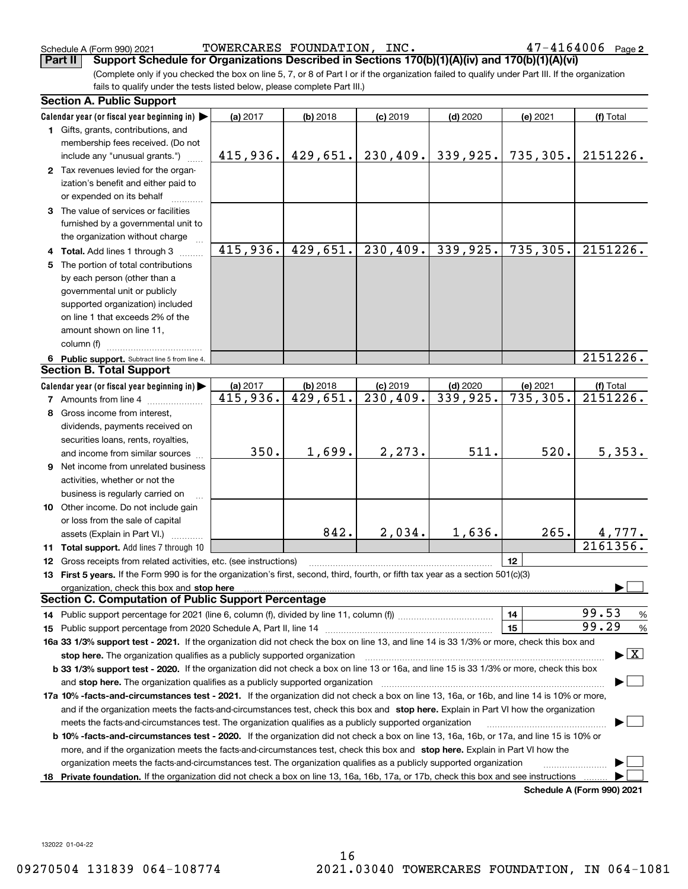Schedule A (Form 990) 2021 TOWERCARES FOUNDATION, INC 47-4164006 Page

 $47 - 4164006$  Page 2

(Complete only if you checked the box on line 5, 7, or 8 of Part I or if the organization failed to qualify under Part III. If the organization fails to qualify under the tests listed below, please complete Part III.) **Part II Support Schedule for Organizations Described in Sections 170(b)(1)(A)(iv) and 170(b)(1)(A)(vi)**

| <b>Section A. Public Support</b>                                                                                                               |          |            |                        |            |                        |                                          |
|------------------------------------------------------------------------------------------------------------------------------------------------|----------|------------|------------------------|------------|------------------------|------------------------------------------|
| Calendar year (or fiscal year beginning in)                                                                                                    | (a) 2017 | $(b)$ 2018 | $(c)$ 2019             | $(d)$ 2020 | (e) 2021               | (f) Total                                |
| 1 Gifts, grants, contributions, and<br>membership fees received. (Do not                                                                       |          |            |                        |            |                        |                                          |
| include any "unusual grants.")                                                                                                                 | 415,936. | 429,651.   | 230, 409.              | 339,925.   | 735,305.               | 2151226.                                 |
| 2 Tax revenues levied for the organ-<br>ization's benefit and either paid to<br>or expended on its behalf                                      |          |            |                        |            |                        |                                          |
| 3 The value of services or facilities<br>furnished by a governmental unit to                                                                   |          |            |                        |            |                        |                                          |
| the organization without charge                                                                                                                | 415,936. | 429,651.   | 230,409.               | 339,925.   | 735,305.               | 2151226.                                 |
| 4 Total. Add lines 1 through 3                                                                                                                 |          |            |                        |            |                        |                                          |
| 5 The portion of total contributions<br>by each person (other than a                                                                           |          |            |                        |            |                        |                                          |
| governmental unit or publicly                                                                                                                  |          |            |                        |            |                        |                                          |
| supported organization) included                                                                                                               |          |            |                        |            |                        |                                          |
| on line 1 that exceeds 2% of the                                                                                                               |          |            |                        |            |                        |                                          |
| amount shown on line 11,                                                                                                                       |          |            |                        |            |                        |                                          |
| column (f)                                                                                                                                     |          |            |                        |            |                        |                                          |
|                                                                                                                                                |          |            |                        |            |                        | 2151226.                                 |
| 6 Public support. Subtract line 5 from line 4.<br><b>Section B. Total Support</b>                                                              |          |            |                        |            |                        |                                          |
| Calendar year (or fiscal year beginning in)                                                                                                    | (a) 2017 | $(b)$ 2018 | $(c)$ 2019             | $(d)$ 2020 | (e) 2021               | (f) Total                                |
| <b>7</b> Amounts from line 4                                                                                                                   | 415,936. | 429,651.   | $\overline{230,409}$ . | 339,925.   | $\overline{735,305}$ . | 2151226.                                 |
| 8 Gross income from interest,                                                                                                                  |          |            |                        |            |                        |                                          |
| dividends, payments received on                                                                                                                |          |            |                        |            |                        |                                          |
| securities loans, rents, royalties,                                                                                                            |          |            |                        |            |                        |                                          |
| and income from similar sources                                                                                                                | 350.     | 1,699.     | 2, 273.                | 511.       | 520.                   | 5,353.                                   |
| 9 Net income from unrelated business                                                                                                           |          |            |                        |            |                        |                                          |
| activities, whether or not the                                                                                                                 |          |            |                        |            |                        |                                          |
| business is regularly carried on                                                                                                               |          |            |                        |            |                        |                                          |
| 10 Other income. Do not include gain                                                                                                           |          |            |                        |            |                        |                                          |
| or loss from the sale of capital                                                                                                               |          |            |                        |            |                        |                                          |
| assets (Explain in Part VI.)                                                                                                                   |          | 842.       | 2,034.                 | 1,636.     | 265.                   | 4,777.                                   |
| 11 Total support. Add lines 7 through 10                                                                                                       |          |            |                        |            |                        | 2161356.                                 |
| 12 Gross receipts from related activities, etc. (see instructions)                                                                             |          |            |                        |            | 12                     |                                          |
| 13 First 5 years. If the Form 990 is for the organization's first, second, third, fourth, or fifth tax year as a section 501(c)(3)             |          |            |                        |            |                        |                                          |
| organization, check this box and stop here                                                                                                     |          |            |                        |            |                        |                                          |
| <b>Section C. Computation of Public Support Percentage</b>                                                                                     |          |            |                        |            |                        |                                          |
| 14 Public support percentage for 2021 (line 6, column (f), divided by line 11, column (f) <i>mummumumum</i>                                    |          |            |                        |            | 14                     | 99.53<br>%                               |
|                                                                                                                                                |          |            |                        |            | 15                     | 99.29<br>%                               |
| 16a 33 1/3% support test - 2021. If the organization did not check the box on line 13, and line 14 is 33 1/3% or more, check this box and      |          |            |                        |            |                        |                                          |
| stop here. The organization qualifies as a publicly supported organization                                                                     |          |            |                        |            |                        | $\blacktriangleright$ $\boxed{\text{X}}$ |
| b 33 1/3% support test - 2020. If the organization did not check a box on line 13 or 16a, and line 15 is 33 1/3% or more, check this box       |          |            |                        |            |                        |                                          |
| and stop here. The organization qualifies as a publicly supported organization                                                                 |          |            |                        |            |                        |                                          |
| 17a 10% -facts-and-circumstances test - 2021. If the organization did not check a box on line 13, 16a, or 16b, and line 14 is 10% or more,     |          |            |                        |            |                        |                                          |
| and if the organization meets the facts-and-circumstances test, check this box and stop here. Explain in Part VI how the organization          |          |            |                        |            |                        |                                          |
| meets the facts-and-circumstances test. The organization qualifies as a publicly supported organization                                        |          |            |                        |            |                        |                                          |
| <b>b 10% -facts-and-circumstances test - 2020.</b> If the organization did not check a box on line 13, 16a, 16b, or 17a, and line 15 is 10% or |          |            |                        |            |                        |                                          |
| more, and if the organization meets the facts-and-circumstances test, check this box and stop here. Explain in Part VI how the                 |          |            |                        |            |                        |                                          |
| organization meets the facts-and-circumstances test. The organization qualifies as a publicly supported organization                           |          |            |                        |            |                        |                                          |
| 18 Private foundation. If the organization did not check a box on line 13, 16a, 16b, 17a, or 17b, check this box and see instructions          |          |            |                        |            |                        |                                          |
|                                                                                                                                                |          |            |                        |            |                        | Schedule A (Form 990) 2021               |

132022 01-04-22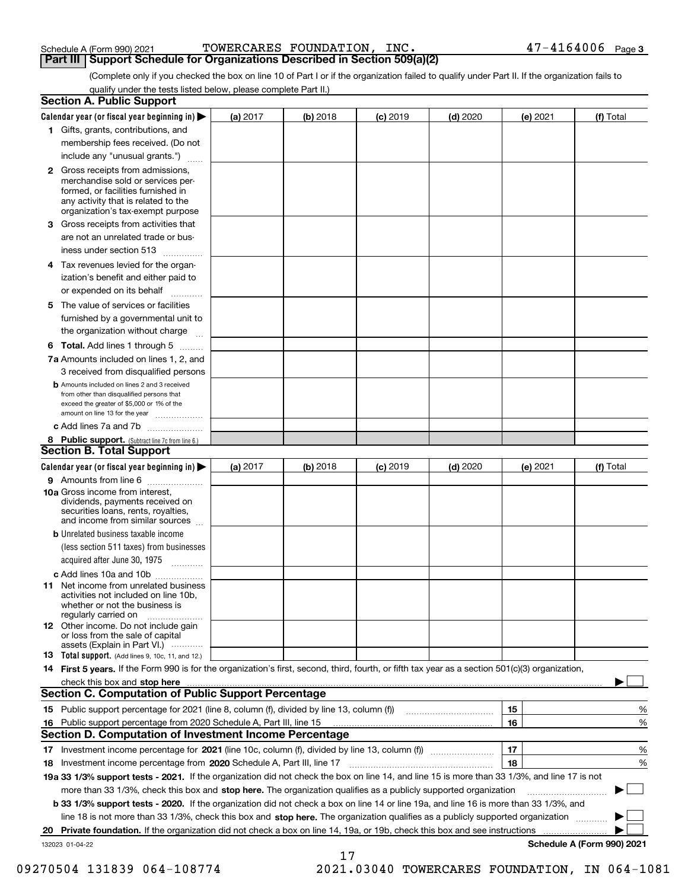| Schedule A (Form 990) 2021 |  |  |
|----------------------------|--|--|
|                            |  |  |

Schedule A (Form 990) 2021 TOWERCARES FOUNDATION, INC 47-4164006 Page

**Part III Support Schedule for Organizations Described in Section 509(a)(2)** 

(Complete only if you checked the box on line 10 of Part I or if the organization failed to qualify under Part II. If the organization fails to qualify under the tests listed below, please complete Part II.)

|    | <b>Section A. Public Support</b>                                                                                                                                                                                                                                                |          |          |            |            |          |                            |
|----|---------------------------------------------------------------------------------------------------------------------------------------------------------------------------------------------------------------------------------------------------------------------------------|----------|----------|------------|------------|----------|----------------------------|
|    | Calendar year (or fiscal year beginning in) $\blacktriangleright$                                                                                                                                                                                                               | (a) 2017 | (b) 2018 | $(c)$ 2019 | $(d)$ 2020 | (e) 2021 | (f) Total                  |
|    | 1 Gifts, grants, contributions, and                                                                                                                                                                                                                                             |          |          |            |            |          |                            |
|    | membership fees received. (Do not                                                                                                                                                                                                                                               |          |          |            |            |          |                            |
|    | include any "unusual grants.")                                                                                                                                                                                                                                                  |          |          |            |            |          |                            |
|    | <b>2</b> Gross receipts from admissions,<br>merchandise sold or services per-<br>formed, or facilities furnished in<br>any activity that is related to the<br>organization's tax-exempt purpose                                                                                 |          |          |            |            |          |                            |
|    | 3 Gross receipts from activities that<br>are not an unrelated trade or bus-<br>iness under section 513                                                                                                                                                                          |          |          |            |            |          |                            |
|    | 4 Tax revenues levied for the organ-                                                                                                                                                                                                                                            |          |          |            |            |          |                            |
|    | ization's benefit and either paid to<br>or expended on its behalf                                                                                                                                                                                                               |          |          |            |            |          |                            |
|    | .                                                                                                                                                                                                                                                                               |          |          |            |            |          |                            |
|    | 5 The value of services or facilities<br>furnished by a governmental unit to<br>the organization without charge                                                                                                                                                                 |          |          |            |            |          |                            |
|    | <b>6 Total.</b> Add lines 1 through 5                                                                                                                                                                                                                                           |          |          |            |            |          |                            |
|    | 7a Amounts included on lines 1, 2, and<br>3 received from disqualified persons                                                                                                                                                                                                  |          |          |            |            |          |                            |
|    | <b>b</b> Amounts included on lines 2 and 3 received                                                                                                                                                                                                                             |          |          |            |            |          |                            |
|    | from other than disqualified persons that<br>exceed the greater of \$5,000 or 1% of the<br>amount on line 13 for the year                                                                                                                                                       |          |          |            |            |          |                            |
|    | c Add lines 7a and 7b                                                                                                                                                                                                                                                           |          |          |            |            |          |                            |
|    | 8 Public support. (Subtract line 7c from line 6.)                                                                                                                                                                                                                               |          |          |            |            |          |                            |
|    | <b>Section B. Total Support</b>                                                                                                                                                                                                                                                 |          |          |            |            |          |                            |
|    | Calendar year (or fiscal year beginning in)                                                                                                                                                                                                                                     | (a) 2017 | (b) 2018 | $(c)$ 2019 | $(d)$ 2020 | (e) 2021 | (f) Total                  |
|    | 9 Amounts from line 6                                                                                                                                                                                                                                                           |          |          |            |            |          |                            |
|    | 10a Gross income from interest,<br>dividends, payments received on<br>securities loans, rents, royalties,<br>and income from similar sources                                                                                                                                    |          |          |            |            |          |                            |
|    | <b>b</b> Unrelated business taxable income                                                                                                                                                                                                                                      |          |          |            |            |          |                            |
|    | (less section 511 taxes) from businesses                                                                                                                                                                                                                                        |          |          |            |            |          |                            |
|    | acquired after June 30, 1975                                                                                                                                                                                                                                                    |          |          |            |            |          |                            |
|    | c Add lines 10a and 10b<br>11 Net income from unrelated business<br>activities not included on line 10b,<br>whether or not the business is<br>regularly carried on                                                                                                              |          |          |            |            |          |                            |
|    | <b>12</b> Other income. Do not include gain<br>or loss from the sale of capital<br>assets (Explain in Part VI.)                                                                                                                                                                 |          |          |            |            |          |                            |
|    | <b>13</b> Total support. (Add lines 9, 10c, 11, and 12.)                                                                                                                                                                                                                        |          |          |            |            |          |                            |
|    | 14 First 5 years. If the Form 990 is for the organization's first, second, third, fourth, or fifth tax year as a section 501(c)(3) organization,                                                                                                                                |          |          |            |            |          |                            |
|    | check this box and stop here <i>macuum content and accordination of the state of the state state state and</i> stop here and stop here and stop here and stop here and stop here and stop here and stop here and stop here and stop                                             |          |          |            |            |          |                            |
|    | <b>Section C. Computation of Public Support Percentage</b>                                                                                                                                                                                                                      |          |          |            |            |          |                            |
|    | 15 Public support percentage for 2021 (line 8, column (f), divided by line 13, column (f))                                                                                                                                                                                      |          |          |            |            | 15       | %                          |
|    | 16 Public support percentage from 2020 Schedule A, Part III, line 15                                                                                                                                                                                                            |          |          |            |            | 16       | %                          |
|    | <b>Section D. Computation of Investment Income Percentage</b>                                                                                                                                                                                                                   |          |          |            |            |          |                            |
|    | 17 Investment income percentage for 2021 (line 10c, column (f), divided by line 13, column (f))                                                                                                                                                                                 |          |          |            |            | 17       | %                          |
|    | <b>18</b> Investment income percentage from <b>2020</b> Schedule A, Part III, line 17                                                                                                                                                                                           |          |          |            |            | 18       | %                          |
|    | 19a 33 1/3% support tests - 2021. If the organization did not check the box on line 14, and line 15 is more than 33 1/3%, and line 17 is not                                                                                                                                    |          |          |            |            |          | $\sim$ 1                   |
|    | more than 33 1/3%, check this box and stop here. The organization qualifies as a publicly supported organization                                                                                                                                                                |          |          |            |            |          |                            |
|    | <b>b 33 1/3% support tests - 2020.</b> If the organization did not check a box on line 14 or line 19a, and line 16 is more than 33 1/3%, and<br>line 18 is not more than 33 1/3%, check this box and stop here. The organization qualifies as a publicly supported organization |          |          |            |            |          |                            |
| 20 | Private foundation. If the organization did not check a box on line 14, 19a, or 19b, check this box and see instructions                                                                                                                                                        |          |          |            |            |          |                            |
|    | 132023 01-04-22                                                                                                                                                                                                                                                                 |          |          |            |            |          | Schedule A (Form 990) 2021 |
|    |                                                                                                                                                                                                                                                                                 |          |          |            |            |          |                            |

17

 <sup>09270504 131839 064-108774 2021.03040</sup> TOWERCARES FOUNDATION, IN 064-1081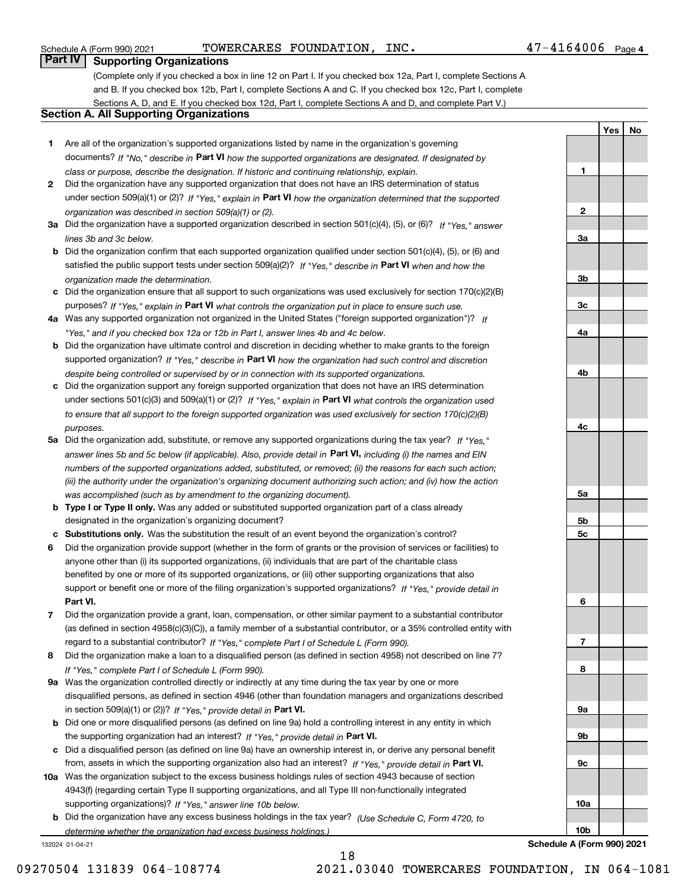### Schedule A (Form 990) 2021 TOWERCARES FOUNDATION, INC 47-4164006 Page

**1**

**2**

**3a**

**3b**

**3c**

**4a**

**4b**

**4c**

**5a**

**5b5c**

**6**

**7**

**8**

**9a**

**9b**

**9c**

**10a**

**YesNo**

## **Part IV Supporting Organizations**

(Complete only if you checked a box in line 12 on Part I. If you checked box 12a, Part I, complete Sections A and B. If you checked box 12b, Part I, complete Sections A and C. If you checked box 12c, Part I, complete Sections A, D, and E. If you checked box 12d, Part I, complete Sections A and D, and complete Part V.)

## **Section A. All Supporting Organizations**

- **1** Are all of the organization's supported organizations listed by name in the organization's governing documents? If "No," describe in **Part VI** how the supported organizations are designated. If designated by *class or purpose, describe the designation. If historic and continuing relationship, explain.*
- **2** Did the organization have any supported organization that does not have an IRS determination of status under section 509(a)(1) or (2)? If "Yes," explain in Part VI how the organization determined that the supported *organization was described in section 509(a)(1) or (2).*
- **3a** Did the organization have a supported organization described in section 501(c)(4), (5), or (6)? If "Yes," answer *lines 3b and 3c below.*
- **b** Did the organization confirm that each supported organization qualified under section 501(c)(4), (5), or (6) and satisfied the public support tests under section 509(a)(2)? If "Yes," describe in **Part VI** when and how the *organization made the determination.*
- **c**Did the organization ensure that all support to such organizations was used exclusively for section 170(c)(2)(B) purposes? If "Yes," explain in **Part VI** what controls the organization put in place to ensure such use.
- **4a***If* Was any supported organization not organized in the United States ("foreign supported organization")? *"Yes," and if you checked box 12a or 12b in Part I, answer lines 4b and 4c below.*
- **b** Did the organization have ultimate control and discretion in deciding whether to make grants to the foreign supported organization? If "Yes," describe in **Part VI** how the organization had such control and discretion *despite being controlled or supervised by or in connection with its supported organizations.*
- **c** Did the organization support any foreign supported organization that does not have an IRS determination under sections 501(c)(3) and 509(a)(1) or (2)? If "Yes," explain in **Part VI** what controls the organization used *to ensure that all support to the foreign supported organization was used exclusively for section 170(c)(2)(B) purposes.*
- **5a** Did the organization add, substitute, or remove any supported organizations during the tax year? If "Yes," answer lines 5b and 5c below (if applicable). Also, provide detail in **Part VI,** including (i) the names and EIN *numbers of the supported organizations added, substituted, or removed; (ii) the reasons for each such action; (iii) the authority under the organization's organizing document authorizing such action; and (iv) how the action was accomplished (such as by amendment to the organizing document).*
- **b** Type I or Type II only. Was any added or substituted supported organization part of a class already designated in the organization's organizing document?
- **cSubstitutions only.**  Was the substitution the result of an event beyond the organization's control?
- **6** Did the organization provide support (whether in the form of grants or the provision of services or facilities) to **Part VI.** *If "Yes," provide detail in* support or benefit one or more of the filing organization's supported organizations? anyone other than (i) its supported organizations, (ii) individuals that are part of the charitable class benefited by one or more of its supported organizations, or (iii) other supporting organizations that also
- **7**Did the organization provide a grant, loan, compensation, or other similar payment to a substantial contributor regard to a substantial contributor? If "Yes," complete Part I of Schedule L (Form 990). (as defined in section 4958(c)(3)(C)), a family member of a substantial contributor, or a 35% controlled entity with
- **8** Did the organization make a loan to a disqualified person (as defined in section 4958) not described on line 7? *If "Yes," complete Part I of Schedule L (Form 990).*
- **9a** Was the organization controlled directly or indirectly at any time during the tax year by one or more in section 509(a)(1) or (2))? If "Yes," *provide detail in* <code>Part VI.</code> disqualified persons, as defined in section 4946 (other than foundation managers and organizations described
- **b** Did one or more disqualified persons (as defined on line 9a) hold a controlling interest in any entity in which the supporting organization had an interest? If "Yes," provide detail in P**art VI**.
- **c**Did a disqualified person (as defined on line 9a) have an ownership interest in, or derive any personal benefit from, assets in which the supporting organization also had an interest? If "Yes," provide detail in P**art VI.**
- **10a** Was the organization subject to the excess business holdings rules of section 4943 because of section supporting organizations)? If "Yes," answer line 10b below. 4943(f) (regarding certain Type II supporting organizations, and all Type III non-functionally integrated
- **b** Did the organization have any excess business holdings in the tax year? (Use Schedule C, Form 4720, to *determine whether the organization had excess business holdings.)*

18

132024 01-04-21

**10bSchedule A (Form 990) 2021**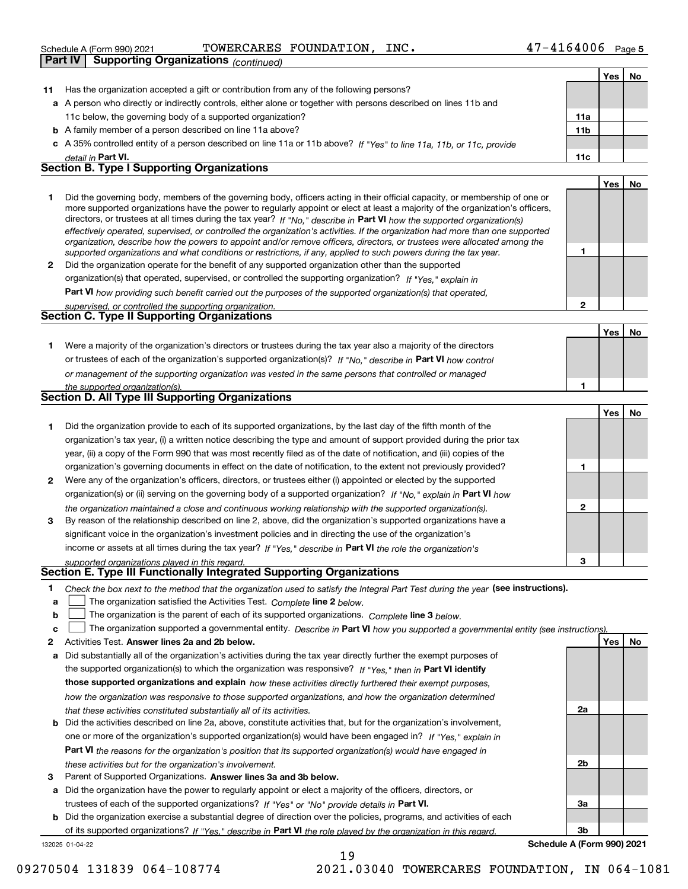|                | Schedule A (Form 990) 2021                | TOWERCARES | FOUNDATION | INC. | 04006 | Page 5 |
|----------------|-------------------------------------------|------------|------------|------|-------|--------|
| <b>Part IV</b> | Supporting Organizations $_{(continued)}$ |            |            |      |       |        |
|                |                                           |            |            |      |       |        |

|              | <b>Part IV</b><br><b>Supporting Organizations</b> (continued)                                                                                                                                                                                                                                                                                                                                                                                                                                                                                                                                                                                        |                 |     |           |
|--------------|------------------------------------------------------------------------------------------------------------------------------------------------------------------------------------------------------------------------------------------------------------------------------------------------------------------------------------------------------------------------------------------------------------------------------------------------------------------------------------------------------------------------------------------------------------------------------------------------------------------------------------------------------|-----------------|-----|-----------|
|              |                                                                                                                                                                                                                                                                                                                                                                                                                                                                                                                                                                                                                                                      |                 | Yes | No        |
| 11           | Has the organization accepted a gift or contribution from any of the following persons?                                                                                                                                                                                                                                                                                                                                                                                                                                                                                                                                                              |                 |     |           |
|              | a A person who directly or indirectly controls, either alone or together with persons described on lines 11b and                                                                                                                                                                                                                                                                                                                                                                                                                                                                                                                                     |                 |     |           |
|              | 11c below, the governing body of a supported organization?                                                                                                                                                                                                                                                                                                                                                                                                                                                                                                                                                                                           | 11a             |     |           |
|              | <b>b</b> A family member of a person described on line 11a above?                                                                                                                                                                                                                                                                                                                                                                                                                                                                                                                                                                                    | 11 <sub>b</sub> |     |           |
|              | c A 35% controlled entity of a person described on line 11a or 11b above? If "Yes" to line 11a, 11b, or 11c, provide                                                                                                                                                                                                                                                                                                                                                                                                                                                                                                                                 |                 |     |           |
|              | detail in Part VI.                                                                                                                                                                                                                                                                                                                                                                                                                                                                                                                                                                                                                                   | 11c             |     |           |
|              | <b>Section B. Type I Supporting Organizations</b>                                                                                                                                                                                                                                                                                                                                                                                                                                                                                                                                                                                                    |                 |     |           |
|              |                                                                                                                                                                                                                                                                                                                                                                                                                                                                                                                                                                                                                                                      |                 | Yes | No        |
| 1            | Did the governing body, members of the governing body, officers acting in their official capacity, or membership of one or<br>more supported organizations have the power to regularly appoint or elect at least a majority of the organization's officers,<br>directors, or trustees at all times during the tax year? If "No," describe in Part VI how the supported organization(s)<br>effectively operated, supervised, or controlled the organization's activities. If the organization had more than one supported<br>organization, describe how the powers to appoint and/or remove officers, directors, or trustees were allocated among the |                 |     |           |
|              | supported organizations and what conditions or restrictions, if any, applied to such powers during the tax year.                                                                                                                                                                                                                                                                                                                                                                                                                                                                                                                                     | 1               |     |           |
| $\mathbf{2}$ | Did the organization operate for the benefit of any supported organization other than the supported                                                                                                                                                                                                                                                                                                                                                                                                                                                                                                                                                  |                 |     |           |
|              | organization(s) that operated, supervised, or controlled the supporting organization? If "Yes," explain in                                                                                                                                                                                                                                                                                                                                                                                                                                                                                                                                           |                 |     |           |
|              | Part VI how providing such benefit carried out the purposes of the supported organization(s) that operated,                                                                                                                                                                                                                                                                                                                                                                                                                                                                                                                                          |                 |     |           |
|              | supervised, or controlled the supporting organization.<br>Section C. Type II Supporting Organizations                                                                                                                                                                                                                                                                                                                                                                                                                                                                                                                                                | $\mathbf{2}$    |     |           |
|              |                                                                                                                                                                                                                                                                                                                                                                                                                                                                                                                                                                                                                                                      |                 |     |           |
|              |                                                                                                                                                                                                                                                                                                                                                                                                                                                                                                                                                                                                                                                      |                 | Yes | No        |
| 1            | Were a majority of the organization's directors or trustees during the tax year also a majority of the directors                                                                                                                                                                                                                                                                                                                                                                                                                                                                                                                                     |                 |     |           |
|              | or trustees of each of the organization's supported organization(s)? If "No." describe in Part VI how control                                                                                                                                                                                                                                                                                                                                                                                                                                                                                                                                        |                 |     |           |
|              | or management of the supporting organization was vested in the same persons that controlled or managed                                                                                                                                                                                                                                                                                                                                                                                                                                                                                                                                               |                 |     |           |
|              | the supported organization(s).<br>Section D. All Type III Supporting Organizations                                                                                                                                                                                                                                                                                                                                                                                                                                                                                                                                                                   | 1               |     |           |
|              |                                                                                                                                                                                                                                                                                                                                                                                                                                                                                                                                                                                                                                                      |                 |     |           |
|              |                                                                                                                                                                                                                                                                                                                                                                                                                                                                                                                                                                                                                                                      |                 | Yes | <b>No</b> |
| 1            | Did the organization provide to each of its supported organizations, by the last day of the fifth month of the                                                                                                                                                                                                                                                                                                                                                                                                                                                                                                                                       |                 |     |           |
|              | organization's tax year, (i) a written notice describing the type and amount of support provided during the prior tax                                                                                                                                                                                                                                                                                                                                                                                                                                                                                                                                |                 |     |           |
|              | year, (ii) a copy of the Form 990 that was most recently filed as of the date of notification, and (iii) copies of the                                                                                                                                                                                                                                                                                                                                                                                                                                                                                                                               |                 |     |           |
|              | organization's governing documents in effect on the date of notification, to the extent not previously provided?                                                                                                                                                                                                                                                                                                                                                                                                                                                                                                                                     | 1               |     |           |
| 2            | Were any of the organization's officers, directors, or trustees either (i) appointed or elected by the supported                                                                                                                                                                                                                                                                                                                                                                                                                                                                                                                                     |                 |     |           |
|              | organization(s) or (ii) serving on the governing body of a supported organization? If "No." explain in <b>Part VI</b> how                                                                                                                                                                                                                                                                                                                                                                                                                                                                                                                            |                 |     |           |

**3** By reason of the relationship described on line 2, above, did the organization's supported organizations have a income or assets at all times during the tax year? If "Yes," describe in **Part VI** the role the organization's *the organization maintained a close and continuous working relationship with the supported organization(s).* significant voice in the organization's investment policies and in directing the use of the organization's

*supported organizations played in this regard.*

## **Section E. Type III Functionally Integrated Supporting Organizations**

| Check the box next to the method that the organization used to satisfy the Integral Part Test during the year (see instructions). |  |
|-----------------------------------------------------------------------------------------------------------------------------------|--|
|                                                                                                                                   |  |

- **a**The organization satisfied the Activities Test. *Complete* line 2 below.  $\mathcal{L}^{\text{max}}$
- **b**The organization is the parent of each of its supported organizations. *Complete* line 3 *below.*  $\mathcal{L}^{\text{max}}$

|  |  | c <u>L</u> The organization supported a governmental entity. Describe in Part VI how you supported a governmental entity (see instructions). |  |
|--|--|----------------------------------------------------------------------------------------------------------------------------------------------|--|
|--|--|----------------------------------------------------------------------------------------------------------------------------------------------|--|

- **2Answer lines 2a and 2b below. Yes No** Activities Test.
- **a** Did substantially all of the organization's activities during the tax year directly further the exempt purposes of the supported organization(s) to which the organization was responsive? If "Yes," then in **Part VI identify those supported organizations and explain**  *how these activities directly furthered their exempt purposes, how the organization was responsive to those supported organizations, and how the organization determined that these activities constituted substantially all of its activities.*
- **b** Did the activities described on line 2a, above, constitute activities that, but for the organization's involvement, **Part VI**  *the reasons for the organization's position that its supported organization(s) would have engaged in* one or more of the organization's supported organization(s) would have been engaged in? If "Yes," e*xplain in these activities but for the organization's involvement.*
- **3** Parent of Supported Organizations. Answer lines 3a and 3b below.

**a** Did the organization have the power to regularly appoint or elect a majority of the officers, directors, or trustees of each of the supported organizations? If "Yes" or "No" provide details in **Part VI.** 

132025 01-04-22 **b** Did the organization exercise a substantial degree of direction over the policies, programs, and activities of each of its supported organizations? If "Yes," describe in Part VI the role played by the organization in this regard.

**3bSchedule A (Form 990) 2021**

**2a**

**2b**

**3a**

**2**

**3**

09270504 131839 064-108774 2021.03040 TOWERCARES FOUNDATION, IN 064-1081

19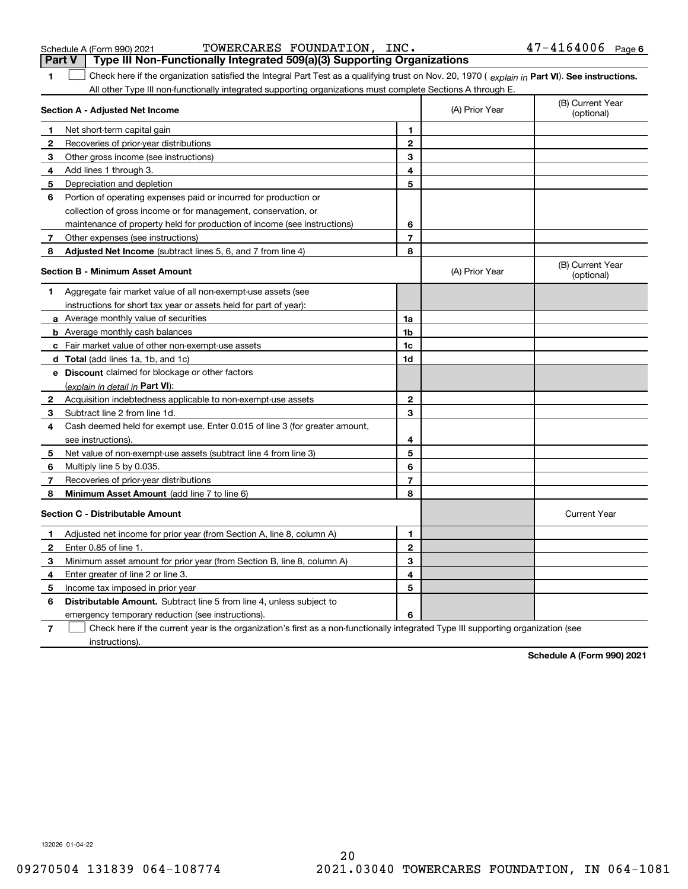| 132026 01-04-22 |
|-----------------|

|                | Section A - Adjusted Net Income                                             |                | (A) Prior Year | (B) Current Year<br>(optional) |
|----------------|-----------------------------------------------------------------------------|----------------|----------------|--------------------------------|
| 1              | Net short-term capital gain                                                 | 1              |                |                                |
| 2              | Recoveries of prior-year distributions                                      | $\mathbf{2}$   |                |                                |
| З              | Other gross income (see instructions)                                       | 3              |                |                                |
| 4              | Add lines 1 through 3.                                                      | 4              |                |                                |
| 5              | Depreciation and depletion                                                  | 5              |                |                                |
| 6              | Portion of operating expenses paid or incurred for production or            |                |                |                                |
|                | collection of gross income or for management, conservation, or              |                |                |                                |
|                | maintenance of property held for production of income (see instructions)    | 6              |                |                                |
| $\overline{7}$ | Other expenses (see instructions)                                           | $\overline{7}$ |                |                                |
| 8              | <b>Adjusted Net Income</b> (subtract lines 5, 6, and 7 from line 4)         | 8              |                |                                |
|                | Section B - Minimum Asset Amount                                            |                | (A) Prior Year | (B) Current Year<br>(optional) |
| 1              | Aggregate fair market value of all non-exempt-use assets (see               |                |                |                                |
|                | instructions for short tax year or assets held for part of year):           |                |                |                                |
|                | a Average monthly value of securities                                       | 1a             |                |                                |
|                | <b>b</b> Average monthly cash balances                                      | 1b             |                |                                |
|                | c Fair market value of other non-exempt-use assets                          | 1c             |                |                                |
|                | <b>d</b> Total (add lines 1a, 1b, and 1c)                                   | 1d             |                |                                |
|                | e Discount claimed for blockage or other factors                            |                |                |                                |
|                | (explain in detail in Part VI):                                             |                |                |                                |
| 2              | Acquisition indebtedness applicable to non-exempt-use assets                | $\mathbf{2}$   |                |                                |
| 3              | Subtract line 2 from line 1d.                                               | 3              |                |                                |
| 4              | Cash deemed held for exempt use. Enter 0.015 of line 3 (for greater amount, |                |                |                                |
|                | see instructions).                                                          | 4              |                |                                |
| 5              | Net value of non-exempt-use assets (subtract line 4 from line 3)            | 5              |                |                                |
| 6              | Multiply line 5 by 0.035.                                                   | 6              |                |                                |
| 7              | Recoveries of prior-year distributions                                      | $\overline{7}$ |                |                                |
| 8              | Minimum Asset Amount (add line 7 to line 6)                                 | 8              |                |                                |
|                | Section C - Distributable Amount                                            |                |                | <b>Current Year</b>            |
| 1              | Adjusted net income for prior year (from Section A, line 8, column A)       | 1.             |                |                                |
| 2              | Enter 0.85 of line 1.                                                       | $\mathbf{2}$   |                |                                |
| З              | Minimum asset amount for prior year (from Section B, line 8, column A)      | 3              |                |                                |
| 4              | Enter greater of line 2 or line 3.                                          | 4              |                |                                |
| 5              | Income tax imposed in prior year                                            | 5              |                |                                |
| 6              | <b>Distributable Amount.</b> Subtract line 5 from line 4, unless subject to |                |                |                                |
|                | emergency temporary reduction (see instructions).                           | 6              |                |                                |

**7**Check here if the current year is the organization's first as a non-functionally integrated Type III supporting organization (see instructions).

**Schedule A (Form 990) 2021**

| e A (Form 990) 2021 |  | TO' |
|---------------------|--|-----|
|---------------------|--|-----|

**1**

Schedule A (Form 990) 2021 TOWERCARES FOUNDATION, INC 47-4164006 Page

**Part V Type III Non-Functionally Integrated 509(a)(3) Supporting Organizations**   $\mathcal{L}^{\text{max}}$ 

**Part VI** Check here if the organization satisfied the Integral Part Test as a qualifying trust on Nov. 20, 1970 ( explain in Part **VI**). See instructions.

All other Type III non-functionally integrated supporting organizations must complete Sections A through E.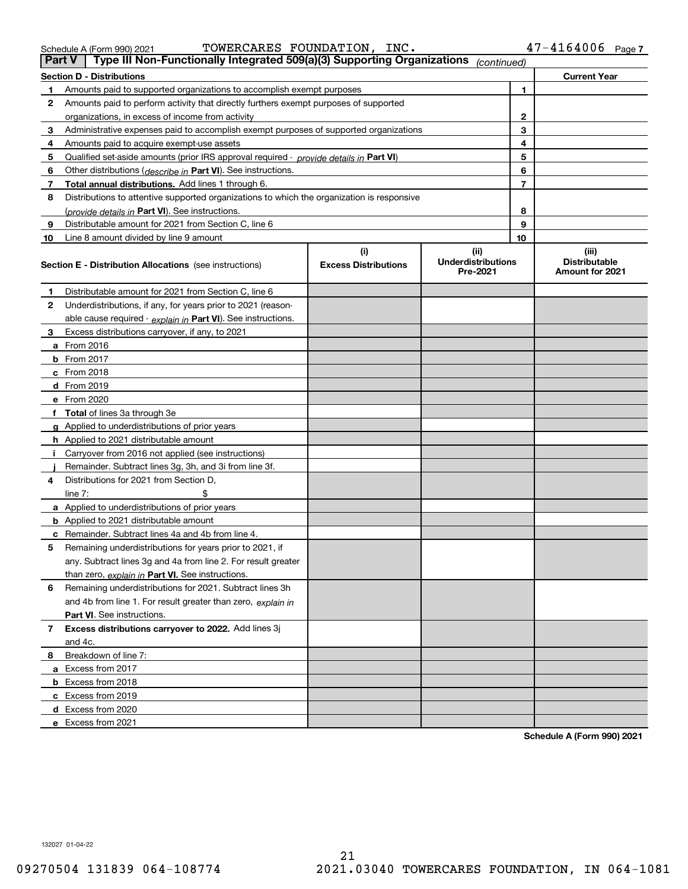**Schedule A (Form 990) 2021**

|    | organizations, in excess of income from activity                                           |                                    |                                                | 2              |                                                         |
|----|--------------------------------------------------------------------------------------------|------------------------------------|------------------------------------------------|----------------|---------------------------------------------------------|
| 3  | Administrative expenses paid to accomplish exempt purposes of supported organizations      |                                    |                                                | 3              |                                                         |
| 4  | Amounts paid to acquire exempt-use assets                                                  |                                    |                                                | 4              |                                                         |
| 5  | Qualified set-aside amounts (prior IRS approval required - provide details in Part VI)     |                                    |                                                | 5              |                                                         |
| 6  | Other distributions (describe in Part VI). See instructions.                               |                                    |                                                | 6              |                                                         |
| 7  | Total annual distributions. Add lines 1 through 6.                                         |                                    |                                                | $\overline{7}$ |                                                         |
| 8  | Distributions to attentive supported organizations to which the organization is responsive |                                    |                                                |                |                                                         |
|    | (provide details in Part VI). See instructions.                                            |                                    |                                                | 8              |                                                         |
| 9  | Distributable amount for 2021 from Section C, line 6                                       |                                    |                                                | 9              |                                                         |
| 10 | Line 8 amount divided by line 9 amount                                                     |                                    |                                                | 10             |                                                         |
|    | Section E - Distribution Allocations (see instructions)                                    | (i)<br><b>Excess Distributions</b> | (iii)<br><b>Underdistributions</b><br>Pre-2021 |                | (iii)<br><b>Distributable</b><br><b>Amount for 2021</b> |
| 1. | Distributable amount for 2021 from Section C, line 6                                       |                                    |                                                |                |                                                         |
| 2  | Underdistributions, if any, for years prior to 2021 (reason-                               |                                    |                                                |                |                                                         |
|    | able cause required - explain in Part VI). See instructions.                               |                                    |                                                |                |                                                         |
| 3  | Excess distributions carryover, if any, to 2021                                            |                                    |                                                |                |                                                         |
|    | <b>a</b> From 2016                                                                         |                                    |                                                |                |                                                         |
|    | <b>b</b> From 2017                                                                         |                                    |                                                |                |                                                         |
|    | c From 2018                                                                                |                                    |                                                |                |                                                         |
|    | <b>d</b> From 2019                                                                         |                                    |                                                |                |                                                         |
|    | e From 2020                                                                                |                                    |                                                |                |                                                         |
|    | f Total of lines 3a through 3e                                                             |                                    |                                                |                |                                                         |
|    | g Applied to underdistributions of prior years                                             |                                    |                                                |                |                                                         |
|    | <b>h</b> Applied to 2021 distributable amount                                              |                                    |                                                |                |                                                         |
| Ť. | Carryover from 2016 not applied (see instructions)                                         |                                    |                                                |                |                                                         |
|    | Remainder. Subtract lines 3g, 3h, and 3i from line 3f.                                     |                                    |                                                |                |                                                         |
| 4  | Distributions for 2021 from Section D,                                                     |                                    |                                                |                |                                                         |
|    | line $7:$                                                                                  |                                    |                                                |                |                                                         |
|    | <b>a</b> Applied to underdistributions of prior years                                      |                                    |                                                |                |                                                         |
|    | <b>b</b> Applied to 2021 distributable amount                                              |                                    |                                                |                |                                                         |
|    | <b>c</b> Remainder. Subtract lines 4a and 4b from line 4.                                  |                                    |                                                |                |                                                         |
| 5  | Remaining underdistributions for years prior to 2021, if                                   |                                    |                                                |                |                                                         |
|    | any. Subtract lines 3g and 4a from line 2. For result greater                              |                                    |                                                |                |                                                         |
|    | than zero, explain in Part VI. See instructions.                                           |                                    |                                                |                |                                                         |
| 6  | Remaining underdistributions for 2021. Subtract lines 3h                                   |                                    |                                                |                |                                                         |
|    | and 4b from line 1. For result greater than zero, explain in                               |                                    |                                                |                |                                                         |
|    | <b>Part VI.</b> See instructions.                                                          |                                    |                                                |                |                                                         |
| 7  | Excess distributions carryover to 2022. Add lines 3j                                       |                                    |                                                |                |                                                         |
|    | and 4c.                                                                                    |                                    |                                                |                |                                                         |
| 8  | Breakdown of line 7:                                                                       |                                    |                                                |                |                                                         |
|    | a Excess from 2017                                                                         |                                    |                                                |                |                                                         |
|    | <b>b</b> Excess from 2018                                                                  |                                    |                                                |                |                                                         |
|    | c Excess from 2019                                                                         |                                    |                                                |                |                                                         |
|    | d Excess from 2020                                                                         |                                    |                                                |                |                                                         |
|    | e Excess from 2021                                                                         |                                    |                                                |                |                                                         |

Schedule A (Form 990) 2021 TOWERCARES FOUNDATION, INC 47-4164006 Page

**1** Amounts paid to supported organizations to accomplish exempt purposes

Amounts paid to perform activity that directly furthers exempt purposes of supported

**Section D - Distributions Current Year** 

 $47 - 4164006$  Page 7

 $\frac{1}{1}$ 

**1**

|  | Schedule A (Form 990) 2021 |                                                                                                   | TOWERCARES FOUNDATION, INC. |  |
|--|----------------------------|---------------------------------------------------------------------------------------------------|-----------------------------|--|
|  |                            | <b>Part V</b> Type III Non-Functionally Integrated 509(a)(3) Supporting Organizations (continued) |                             |  |

**2**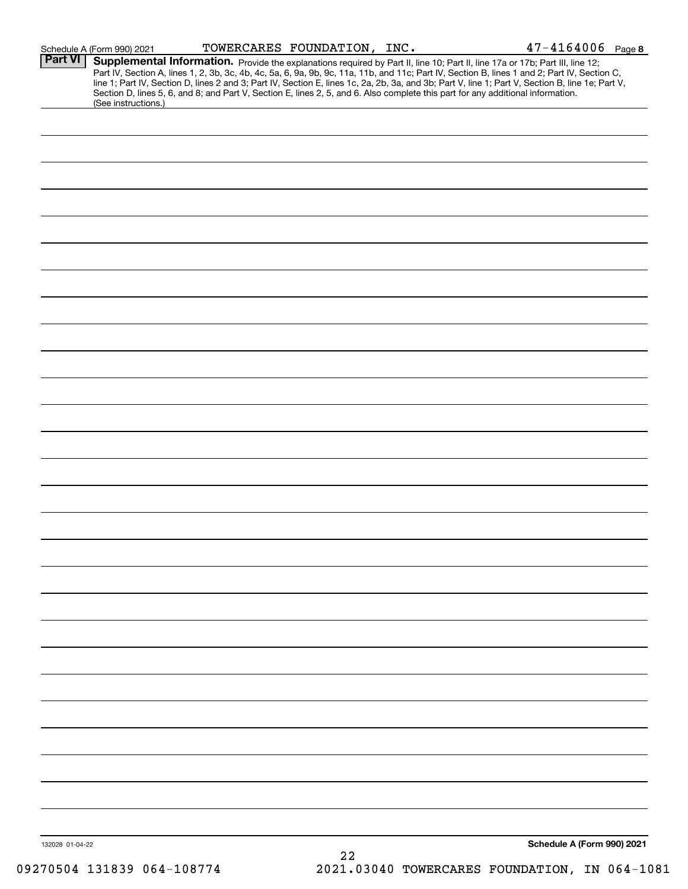|                 | Schedule A (Form 990) 2021 | TOWERCARES FOUNDATION, INC. |                                                                                                                                                                                                                                                                                                                                                                                                                                                                                                                            | $47 - 4164006$ Page 8      |
|-----------------|----------------------------|-----------------------------|----------------------------------------------------------------------------------------------------------------------------------------------------------------------------------------------------------------------------------------------------------------------------------------------------------------------------------------------------------------------------------------------------------------------------------------------------------------------------------------------------------------------------|----------------------------|
| <b>Part VI</b>  | (See instructions.)        |                             | <b>Supplemental Information.</b> Provide the explanations required by Part II, line 10; Part II, line 17a or 17b; Part III, line 12; Part IV, Section A, lines 1, 2, 3b, 3c, 4b, 4c, 5a, 6, 9a, 9b, 9c, 11a, 11b, and 11c; Part IV,<br>line 1; Part IV, Section D, lines 2 and 3; Part IV, Section E, lines 1c, 2a, 2b, 3a, and 3b; Part V, line 1; Part V, Section B, line 1e; Part V,<br>Section D, lines 5, 6, and 8; and Part V, Section E, lines 2, 5, and 6. Also complete this part for any additional information. |                            |
|                 |                            |                             |                                                                                                                                                                                                                                                                                                                                                                                                                                                                                                                            |                            |
|                 |                            |                             |                                                                                                                                                                                                                                                                                                                                                                                                                                                                                                                            |                            |
|                 |                            |                             |                                                                                                                                                                                                                                                                                                                                                                                                                                                                                                                            |                            |
|                 |                            |                             |                                                                                                                                                                                                                                                                                                                                                                                                                                                                                                                            |                            |
|                 |                            |                             |                                                                                                                                                                                                                                                                                                                                                                                                                                                                                                                            |                            |
|                 |                            |                             |                                                                                                                                                                                                                                                                                                                                                                                                                                                                                                                            |                            |
|                 |                            |                             |                                                                                                                                                                                                                                                                                                                                                                                                                                                                                                                            |                            |
|                 |                            |                             |                                                                                                                                                                                                                                                                                                                                                                                                                                                                                                                            |                            |
|                 |                            |                             |                                                                                                                                                                                                                                                                                                                                                                                                                                                                                                                            |                            |
|                 |                            |                             |                                                                                                                                                                                                                                                                                                                                                                                                                                                                                                                            |                            |
|                 |                            |                             |                                                                                                                                                                                                                                                                                                                                                                                                                                                                                                                            |                            |
|                 |                            |                             |                                                                                                                                                                                                                                                                                                                                                                                                                                                                                                                            |                            |
|                 |                            |                             |                                                                                                                                                                                                                                                                                                                                                                                                                                                                                                                            |                            |
|                 |                            |                             |                                                                                                                                                                                                                                                                                                                                                                                                                                                                                                                            |                            |
|                 |                            |                             |                                                                                                                                                                                                                                                                                                                                                                                                                                                                                                                            |                            |
|                 |                            |                             |                                                                                                                                                                                                                                                                                                                                                                                                                                                                                                                            |                            |
|                 |                            |                             |                                                                                                                                                                                                                                                                                                                                                                                                                                                                                                                            |                            |
|                 |                            |                             |                                                                                                                                                                                                                                                                                                                                                                                                                                                                                                                            |                            |
|                 |                            |                             |                                                                                                                                                                                                                                                                                                                                                                                                                                                                                                                            |                            |
|                 |                            |                             |                                                                                                                                                                                                                                                                                                                                                                                                                                                                                                                            |                            |
|                 |                            |                             |                                                                                                                                                                                                                                                                                                                                                                                                                                                                                                                            |                            |
|                 |                            |                             |                                                                                                                                                                                                                                                                                                                                                                                                                                                                                                                            |                            |
|                 |                            |                             |                                                                                                                                                                                                                                                                                                                                                                                                                                                                                                                            |                            |
|                 |                            |                             |                                                                                                                                                                                                                                                                                                                                                                                                                                                                                                                            |                            |
|                 |                            |                             |                                                                                                                                                                                                                                                                                                                                                                                                                                                                                                                            |                            |
|                 |                            |                             |                                                                                                                                                                                                                                                                                                                                                                                                                                                                                                                            |                            |
|                 |                            |                             |                                                                                                                                                                                                                                                                                                                                                                                                                                                                                                                            |                            |
|                 |                            |                             |                                                                                                                                                                                                                                                                                                                                                                                                                                                                                                                            |                            |
| 132028 01-04-22 |                            | 22                          |                                                                                                                                                                                                                                                                                                                                                                                                                                                                                                                            | Schedule A (Form 990) 2021 |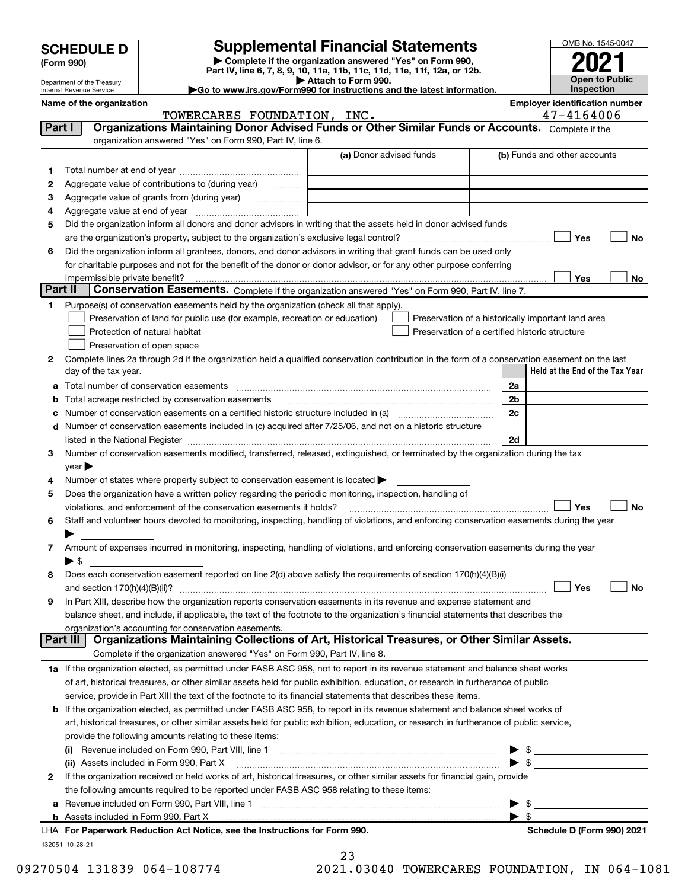|  |  | <b>SCHEDULE D</b> |
|--|--|-------------------|
|--|--|-------------------|

| (Form 990) |  |
|------------|--|
|------------|--|

# **SCHEDULE D Supplemental Financial Statements**

**| Complete if the organization answered "Yes" on Form 990, Part IV, line 6, 7, 8, 9, 10, 11a, 11b, 11c, 11d, 11e, 11f, 12a, or 12b. | Attach to Form 990.**



Internal Revenue Service

Department of the Treasury

**|Go to www.irs.gov/Form990 for instructions and the latest information.**

|         | Name of the organization<br>TOWERCARES FOUNDATION, INC.                                                                                        | <b>Employer identification number</b><br>47-4164006 |
|---------|------------------------------------------------------------------------------------------------------------------------------------------------|-----------------------------------------------------|
| Part I  | Organizations Maintaining Donor Advised Funds or Other Similar Funds or Accounts. Complete if the                                              |                                                     |
|         | organization answered "Yes" on Form 990, Part IV, line 6.                                                                                      |                                                     |
|         | (a) Donor advised funds                                                                                                                        | (b) Funds and other accounts                        |
|         |                                                                                                                                                |                                                     |
| 1       |                                                                                                                                                |                                                     |
| 2       | Aggregate value of contributions to (during year)                                                                                              |                                                     |
| з       | Aggregate value of grants from (during year)                                                                                                   |                                                     |
| 4       |                                                                                                                                                |                                                     |
| 5       | Did the organization inform all donors and donor advisors in writing that the assets held in donor advised funds                               |                                                     |
|         |                                                                                                                                                | Yes<br><b>No</b>                                    |
| 6       | Did the organization inform all grantees, donors, and donor advisors in writing that grant funds can be used only                              |                                                     |
|         | for charitable purposes and not for the benefit of the donor or donor advisor, or for any other purpose conferring                             |                                                     |
|         |                                                                                                                                                | Yes<br>No                                           |
| Part II | <b>Conservation Easements.</b> Complete if the organization answered "Yes" on Form 990, Part IV, line 7.                                       |                                                     |
| 1       | Purpose(s) of conservation easements held by the organization (check all that apply).                                                          |                                                     |
|         | Preservation of land for public use (for example, recreation or education)                                                                     | Preservation of a historically important land area  |
|         | Protection of natural habitat                                                                                                                  | Preservation of a certified historic structure      |
|         | Preservation of open space                                                                                                                     |                                                     |
| 2       | Complete lines 2a through 2d if the organization held a qualified conservation contribution in the form of a conservation easement on the last |                                                     |
|         | day of the tax year.                                                                                                                           | Held at the End of the Tax Year                     |
|         | a Total number of conservation easements                                                                                                       | 2a                                                  |
| b       | Total acreage restricted by conservation easements                                                                                             | 2b                                                  |
| с       |                                                                                                                                                | 2c                                                  |
|         | d Number of conservation easements included in (c) acquired after 7/25/06, and not on a historic structure                                     |                                                     |
|         |                                                                                                                                                | 2d                                                  |
| 3       | Number of conservation easements modified, transferred, released, extinguished, or terminated by the organization during the tax               |                                                     |
|         | $year \triangleright$                                                                                                                          |                                                     |
| 4       | Number of states where property subject to conservation easement is located >                                                                  |                                                     |
| 5       | Does the organization have a written policy regarding the periodic monitoring, inspection, handling of                                         |                                                     |
|         | violations, and enforcement of the conservation easements it holds?                                                                            | Yes<br><b>No</b>                                    |
| 6       | Staff and volunteer hours devoted to monitoring, inspecting, handling of violations, and enforcing conservation easements during the year      |                                                     |
|         |                                                                                                                                                |                                                     |
| 7       | Amount of expenses incurred in monitoring, inspecting, handling of violations, and enforcing conservation easements during the year            |                                                     |
|         | $\blacktriangleright$ \$                                                                                                                       |                                                     |
| 8       | Does each conservation easement reported on line 2(d) above satisfy the requirements of section 170(h)(4)(B)(i)                                |                                                     |
|         |                                                                                                                                                | Yes<br><b>No</b>                                    |
| 9       | In Part XIII, describe how the organization reports conservation easements in its revenue and expense statement and                            |                                                     |
|         | balance sheet, and include, if applicable, the text of the footnote to the organization's financial statements that describes the              |                                                     |
|         | organization's accounting for conservation easements.                                                                                          |                                                     |
|         | Organizations Maintaining Collections of Art, Historical Treasures, or Other Similar Assets.<br>Part III                                       |                                                     |
|         | Complete if the organization answered "Yes" on Form 990, Part IV, line 8.                                                                      |                                                     |
|         | 1a If the organization elected, as permitted under FASB ASC 958, not to report in its revenue statement and balance sheet works                |                                                     |
|         | of art, historical treasures, or other similar assets held for public exhibition, education, or research in furtherance of public              |                                                     |
|         | service, provide in Part XIII the text of the footnote to its financial statements that describes these items.                                 |                                                     |
| b       | If the organization elected, as permitted under FASB ASC 958, to report in its revenue statement and balance sheet works of                    |                                                     |
|         | art, historical treasures, or other similar assets held for public exhibition, education, or research in furtherance of public service,        |                                                     |
|         | provide the following amounts relating to these items:                                                                                         |                                                     |
|         |                                                                                                                                                | $\blacktriangleright$ \$                            |
|         | (ii) Assets included in Form 990, Part X                                                                                                       | $\blacktriangleright$ \$                            |
| 2       | If the organization received or held works of art, historical treasures, or other similar assets for financial gain, provide                   |                                                     |
|         | the following amounts required to be reported under FASB ASC 958 relating to these items:                                                      |                                                     |
| а       |                                                                                                                                                | $\blacktriangleright$ s                             |
|         |                                                                                                                                                | $\blacktriangleright$ \$                            |

**b**Assets included in Form 990, Part X

| LHA For Paperwork Reduction Act Notice, see the Instructions for Form 990 |  |  |  |
|---------------------------------------------------------------------------|--|--|--|
| 132051 10-28-21                                                           |  |  |  |

**For Paperwork Reduction Act Notice, Schedule D (Form 990) 2021** 

23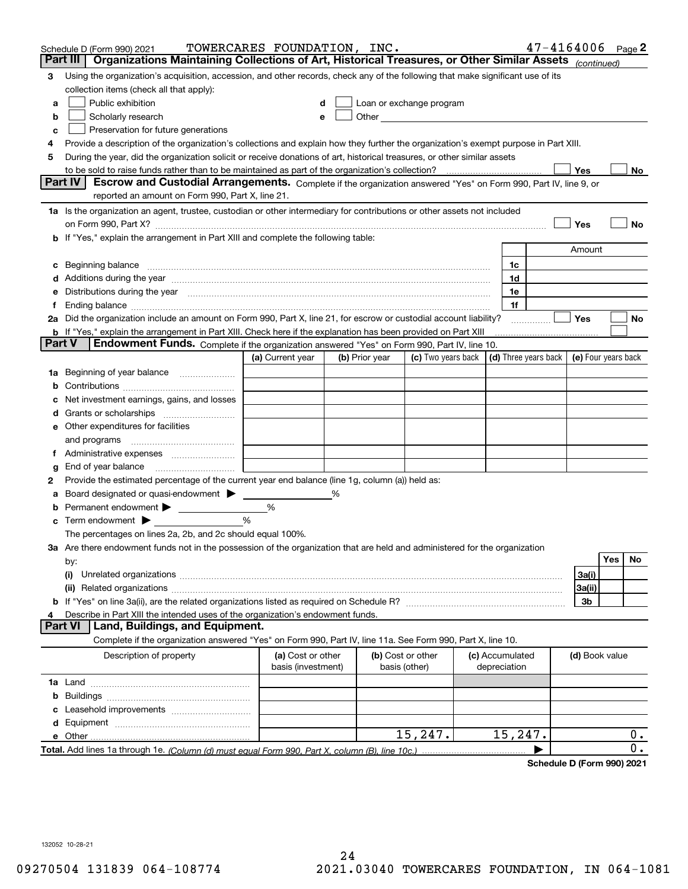|        | Schedule D (Form 990) 2021                                                                                                                                                                                                     | TOWERCARES FOUNDATION, INC. |   |                |                                                                                                                                                                                                                               |                 | $47 - 4164006$ Page 2 |                     |            |           |
|--------|--------------------------------------------------------------------------------------------------------------------------------------------------------------------------------------------------------------------------------|-----------------------------|---|----------------|-------------------------------------------------------------------------------------------------------------------------------------------------------------------------------------------------------------------------------|-----------------|-----------------------|---------------------|------------|-----------|
|        | Organizations Maintaining Collections of Art, Historical Treasures, or Other Similar Assets (continued)<br>Part III                                                                                                            |                             |   |                |                                                                                                                                                                                                                               |                 |                       |                     |            |           |
| 3      | Using the organization's acquisition, accession, and other records, check any of the following that make significant use of its                                                                                                |                             |   |                |                                                                                                                                                                                                                               |                 |                       |                     |            |           |
|        | collection items (check all that apply):                                                                                                                                                                                       |                             |   |                |                                                                                                                                                                                                                               |                 |                       |                     |            |           |
| a      | Public exhibition                                                                                                                                                                                                              |                             |   |                | Loan or exchange program                                                                                                                                                                                                      |                 |                       |                     |            |           |
| b      | Scholarly research                                                                                                                                                                                                             |                             |   |                | Other and the contract of the contract of the contract of the contract of the contract of the contract of the contract of the contract of the contract of the contract of the contract of the contract of the contract of the |                 |                       |                     |            |           |
| с      | Preservation for future generations                                                                                                                                                                                            |                             |   |                |                                                                                                                                                                                                                               |                 |                       |                     |            |           |
| 4      | Provide a description of the organization's collections and explain how they further the organization's exempt purpose in Part XIII.                                                                                           |                             |   |                |                                                                                                                                                                                                                               |                 |                       |                     |            |           |
| 5      | During the year, did the organization solicit or receive donations of art, historical treasures, or other similar assets                                                                                                       |                             |   |                |                                                                                                                                                                                                                               |                 |                       |                     |            |           |
|        | to be sold to raise funds rather than to be maintained as part of the organization's collection?<br><b>Part IV</b>                                                                                                             |                             |   |                |                                                                                                                                                                                                                               |                 |                       | Yes                 |            | No        |
|        | Escrow and Custodial Arrangements. Complete if the organization answered "Yes" on Form 990, Part IV, line 9, or<br>reported an amount on Form 990, Part X, line 21.                                                            |                             |   |                |                                                                                                                                                                                                                               |                 |                       |                     |            |           |
|        |                                                                                                                                                                                                                                |                             |   |                |                                                                                                                                                                                                                               |                 |                       |                     |            |           |
|        | 1a Is the organization an agent, trustee, custodian or other intermediary for contributions or other assets not included                                                                                                       |                             |   |                |                                                                                                                                                                                                                               |                 |                       | Yes                 |            | No        |
|        | on Form 990, Part X? [11] matter contracts and contracts and contracts are contracted as a form 990, Part X?<br><b>b</b> If "Yes," explain the arrangement in Part XIII and complete the following table:                      |                             |   |                |                                                                                                                                                                                                                               |                 |                       |                     |            |           |
|        |                                                                                                                                                                                                                                |                             |   |                |                                                                                                                                                                                                                               |                 |                       | Amount              |            |           |
| c      | Beginning balance <u>www.marent.com married was contracted</u> and the contracted and the contracted and the contracted                                                                                                        |                             |   |                |                                                                                                                                                                                                                               | 1c              |                       |                     |            |           |
|        | d Additions during the year measurements are all an according to the year.                                                                                                                                                     |                             |   |                |                                                                                                                                                                                                                               | 1d              |                       |                     |            |           |
|        | e Distributions during the year manufactured and continuum and contained and the year manufactured and contained and the year manufactured and contained and contained and contained and contained and contained and contained |                             |   |                |                                                                                                                                                                                                                               | 1e              |                       |                     |            |           |
|        |                                                                                                                                                                                                                                |                             |   |                |                                                                                                                                                                                                                               | 1f              |                       |                     |            |           |
|        | 2a Did the organization include an amount on Form 990, Part X, line 21, for escrow or custodial account liability?                                                                                                             |                             |   |                |                                                                                                                                                                                                                               |                 | .                     | Yes                 |            | No        |
|        | <b>b</b> If "Yes," explain the arrangement in Part XIII. Check here if the explanation has been provided on Part XIII                                                                                                          |                             |   |                |                                                                                                                                                                                                                               |                 |                       |                     |            |           |
| Part V | Endowment Funds. Complete if the organization answered "Yes" on Form 990, Part IV, line 10.                                                                                                                                    |                             |   |                |                                                                                                                                                                                                                               |                 |                       |                     |            |           |
|        |                                                                                                                                                                                                                                | (a) Current year            |   | (b) Prior year | (c) Two years back $\vert$ (d) Three years back $\vert$                                                                                                                                                                       |                 |                       | (e) Four years back |            |           |
|        | 1a Beginning of year balance                                                                                                                                                                                                   |                             |   |                |                                                                                                                                                                                                                               |                 |                       |                     |            |           |
| b      |                                                                                                                                                                                                                                |                             |   |                |                                                                                                                                                                                                                               |                 |                       |                     |            |           |
|        | Net investment earnings, gains, and losses                                                                                                                                                                                     |                             |   |                |                                                                                                                                                                                                                               |                 |                       |                     |            |           |
|        |                                                                                                                                                                                                                                |                             |   |                |                                                                                                                                                                                                                               |                 |                       |                     |            |           |
|        | e Other expenditures for facilities                                                                                                                                                                                            |                             |   |                |                                                                                                                                                                                                                               |                 |                       |                     |            |           |
|        |                                                                                                                                                                                                                                |                             |   |                |                                                                                                                                                                                                                               |                 |                       |                     |            |           |
|        | f Administrative expenses                                                                                                                                                                                                      |                             |   |                |                                                                                                                                                                                                                               |                 |                       |                     |            |           |
| g      | End of year balance <i>manually contained</i>                                                                                                                                                                                  |                             |   |                |                                                                                                                                                                                                                               |                 |                       |                     |            |           |
| 2      | Provide the estimated percentage of the current year end balance (line 1g, column (a)) held as:                                                                                                                                |                             |   |                |                                                                                                                                                                                                                               |                 |                       |                     |            |           |
| а      | Board designated or quasi-endowment >                                                                                                                                                                                          |                             | % |                |                                                                                                                                                                                                                               |                 |                       |                     |            |           |
| b      | Permanent endowment >                                                                                                                                                                                                          | %                           |   |                |                                                                                                                                                                                                                               |                 |                       |                     |            |           |
|        | <b>c</b> Term endowment $\blacktriangleright$                                                                                                                                                                                  | %                           |   |                |                                                                                                                                                                                                                               |                 |                       |                     |            |           |
|        | The percentages on lines 2a, 2b, and 2c should equal 100%.                                                                                                                                                                     |                             |   |                |                                                                                                                                                                                                                               |                 |                       |                     |            |           |
|        | 3a Are there endowment funds not in the possession of the organization that are held and administered for the organization                                                                                                     |                             |   |                |                                                                                                                                                                                                                               |                 |                       |                     | <b>Yes</b> | <b>No</b> |
|        | by:                                                                                                                                                                                                                            |                             |   |                |                                                                                                                                                                                                                               |                 |                       |                     |            |           |
|        | (i)                                                                                                                                                                                                                            |                             |   |                |                                                                                                                                                                                                                               |                 |                       | 3a(i)               |            |           |
|        |                                                                                                                                                                                                                                |                             |   |                |                                                                                                                                                                                                                               |                 |                       | 3a(ii)<br>3b        |            |           |
|        | Describe in Part XIII the intended uses of the organization's endowment funds.                                                                                                                                                 |                             |   |                |                                                                                                                                                                                                                               |                 |                       |                     |            |           |
|        | Part VI<br>Land, Buildings, and Equipment.                                                                                                                                                                                     |                             |   |                |                                                                                                                                                                                                                               |                 |                       |                     |            |           |
|        | Complete if the organization answered "Yes" on Form 990, Part IV, line 11a. See Form 990, Part X, line 10.                                                                                                                     |                             |   |                |                                                                                                                                                                                                                               |                 |                       |                     |            |           |
|        | Description of property                                                                                                                                                                                                        | (a) Cost or other           |   |                | (b) Cost or other                                                                                                                                                                                                             | (c) Accumulated |                       | (d) Book value      |            |           |
|        |                                                                                                                                                                                                                                | basis (investment)          |   |                | basis (other)                                                                                                                                                                                                                 | depreciation    |                       |                     |            |           |
|        |                                                                                                                                                                                                                                |                             |   |                |                                                                                                                                                                                                                               |                 |                       |                     |            |           |
| b      |                                                                                                                                                                                                                                |                             |   |                |                                                                                                                                                                                                                               |                 |                       |                     |            |           |
|        |                                                                                                                                                                                                                                |                             |   |                |                                                                                                                                                                                                                               |                 |                       |                     |            |           |
|        |                                                                                                                                                                                                                                |                             |   |                |                                                                                                                                                                                                                               |                 |                       |                     |            |           |
|        |                                                                                                                                                                                                                                |                             |   |                | 15,247.                                                                                                                                                                                                                       | 15,247.         |                       |                     |            | 0.        |
|        |                                                                                                                                                                                                                                |                             |   |                |                                                                                                                                                                                                                               |                 |                       |                     |            | 0.        |

**Schedule D (Form 990) 2021**

132052 10-28-21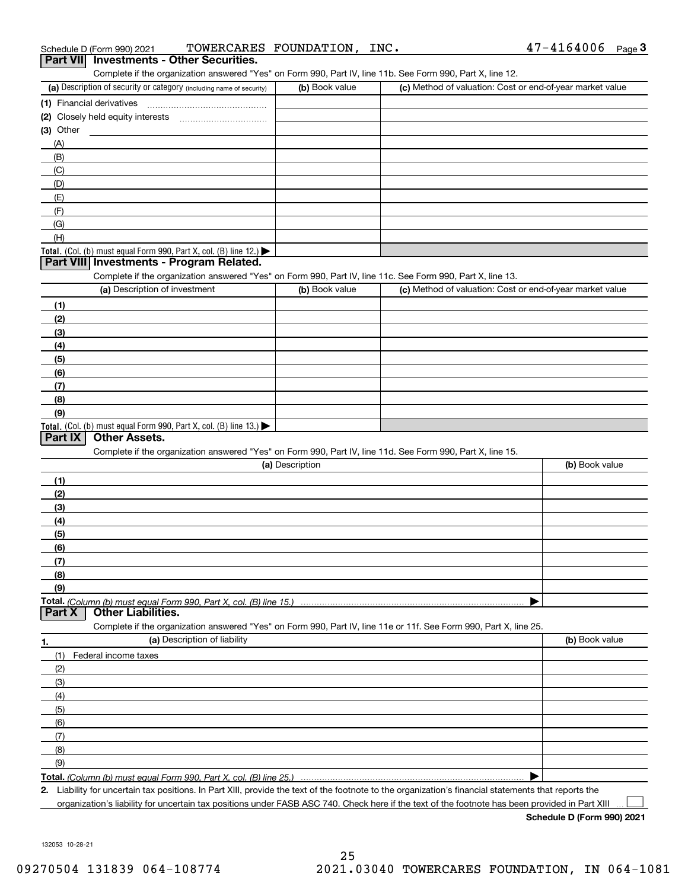| (a) Description of security or category (including name of security)                                                                                 | (b) Book value  | (c) Method of valuation: Cost or end-of-year market value |                |
|------------------------------------------------------------------------------------------------------------------------------------------------------|-----------------|-----------------------------------------------------------|----------------|
| (1) Financial derivatives                                                                                                                            |                 |                                                           |                |
| (2) Closely held equity interests                                                                                                                    |                 |                                                           |                |
| (3) Other                                                                                                                                            |                 |                                                           |                |
| (A)                                                                                                                                                  |                 |                                                           |                |
| (B)                                                                                                                                                  |                 |                                                           |                |
| (C)                                                                                                                                                  |                 |                                                           |                |
| (D)                                                                                                                                                  |                 |                                                           |                |
| (E)                                                                                                                                                  |                 |                                                           |                |
| (F)                                                                                                                                                  |                 |                                                           |                |
| (G)                                                                                                                                                  |                 |                                                           |                |
| (H)                                                                                                                                                  |                 |                                                           |                |
| Total. (Col. (b) must equal Form 990, Part X, col. (B) line 12.) $\blacktriangleright$                                                               |                 |                                                           |                |
| Part VIII Investments - Program Related.                                                                                                             |                 |                                                           |                |
| Complete if the organization answered "Yes" on Form 990, Part IV, line 11c. See Form 990, Part X, line 13.                                           |                 |                                                           |                |
| (a) Description of investment                                                                                                                        | (b) Book value  | (c) Method of valuation: Cost or end-of-year market value |                |
| (1)                                                                                                                                                  |                 |                                                           |                |
| (2)                                                                                                                                                  |                 |                                                           |                |
| (3)                                                                                                                                                  |                 |                                                           |                |
| (4)                                                                                                                                                  |                 |                                                           |                |
| (5)                                                                                                                                                  |                 |                                                           |                |
| (6)                                                                                                                                                  |                 |                                                           |                |
| (7)                                                                                                                                                  |                 |                                                           |                |
| (8)                                                                                                                                                  |                 |                                                           |                |
| (9)                                                                                                                                                  |                 |                                                           |                |
| Total. (Col. (b) must equal Form 990, Part X, col. (B) line 13.)                                                                                     |                 |                                                           |                |
| <b>Other Assets.</b><br>Part IX                                                                                                                      |                 |                                                           |                |
| Complete if the organization answered "Yes" on Form 990, Part IV, line 11d. See Form 990, Part X, line 15.                                           |                 |                                                           |                |
|                                                                                                                                                      | (a) Description |                                                           | (b) Book value |
| (1)                                                                                                                                                  |                 |                                                           |                |
| (2)                                                                                                                                                  |                 |                                                           |                |
| (3)                                                                                                                                                  |                 |                                                           |                |
| (4)                                                                                                                                                  |                 |                                                           |                |
| (5)                                                                                                                                                  |                 |                                                           |                |
| (6)                                                                                                                                                  |                 |                                                           |                |
| (7)                                                                                                                                                  |                 |                                                           |                |
| (8)                                                                                                                                                  |                 |                                                           |                |
| (9)                                                                                                                                                  |                 |                                                           |                |
|                                                                                                                                                      |                 |                                                           |                |
| <b>Other Liabilities.</b><br>Part X                                                                                                                  |                 |                                                           |                |
| Complete if the organization answered "Yes" on Form 990, Part IV, line 11e or 11f. See Form 990, Part X, line 25.                                    |                 |                                                           |                |
| (a) Description of liability<br>1.                                                                                                                   |                 |                                                           | (b) Book value |
| (1)<br>Federal income taxes                                                                                                                          |                 |                                                           |                |
| (2)                                                                                                                                                  |                 |                                                           |                |
| (3)                                                                                                                                                  |                 |                                                           |                |
| (4)                                                                                                                                                  |                 |                                                           |                |
| (5)                                                                                                                                                  |                 |                                                           |                |
| (6)                                                                                                                                                  |                 |                                                           |                |
| (7)                                                                                                                                                  |                 |                                                           |                |
| (8)                                                                                                                                                  |                 |                                                           |                |
| (9)                                                                                                                                                  |                 |                                                           |                |
| Total. (Column (b) must equal Form 990, Part X, col. (B) line 25.)                                                                                   |                 |                                                           |                |
| 2. Liability for uncertain tax positions. In Part XIII, provide the text of the footnote to the organization's financial statements that reports the |                 |                                                           |                |

organization's liability for uncertain tax positions under FASB ASC 740. Check here if the text of the footnote has been provided in Part XIII

 $\mathcal{L}^{\text{max}}$ 

 $\overline{L}$  Description of security or estegeny  $\overline{L}$ Complete if the organization answered "Yes" on Form 990, Part IV, line 11b. See Form 990, Part X, line 12.

| lead in a consultation on a contrario and a consultation of the contrario or contrario                     |                |                                                           |
|------------------------------------------------------------------------------------------------------------|----------------|-----------------------------------------------------------|
| (1) Financial derivatives                                                                                  |                |                                                           |
| (2) Closely held equity interests                                                                          |                |                                                           |
| (3) Other                                                                                                  |                |                                                           |
| (A)                                                                                                        |                |                                                           |
| (B)                                                                                                        |                |                                                           |
| (C)                                                                                                        |                |                                                           |
| (D)                                                                                                        |                |                                                           |
| (E)                                                                                                        |                |                                                           |
| (F)                                                                                                        |                |                                                           |
| (G)                                                                                                        |                |                                                           |
| (H)                                                                                                        |                |                                                           |
| Total. (Col. (b) must equal Form 990, Part X, col. (B) line 12.) $\blacktriangleright$                     |                |                                                           |
| Part VIII Investments - Program Related.                                                                   |                |                                                           |
| Complete if the organization answered "Yes" on Form 990, Part IV, line 11c. See Form 990, Part X, line 13. |                |                                                           |
| (a) Description of investment                                                                              | (b) Book value | (c) Method of valuation: Cost or end-of-year market value |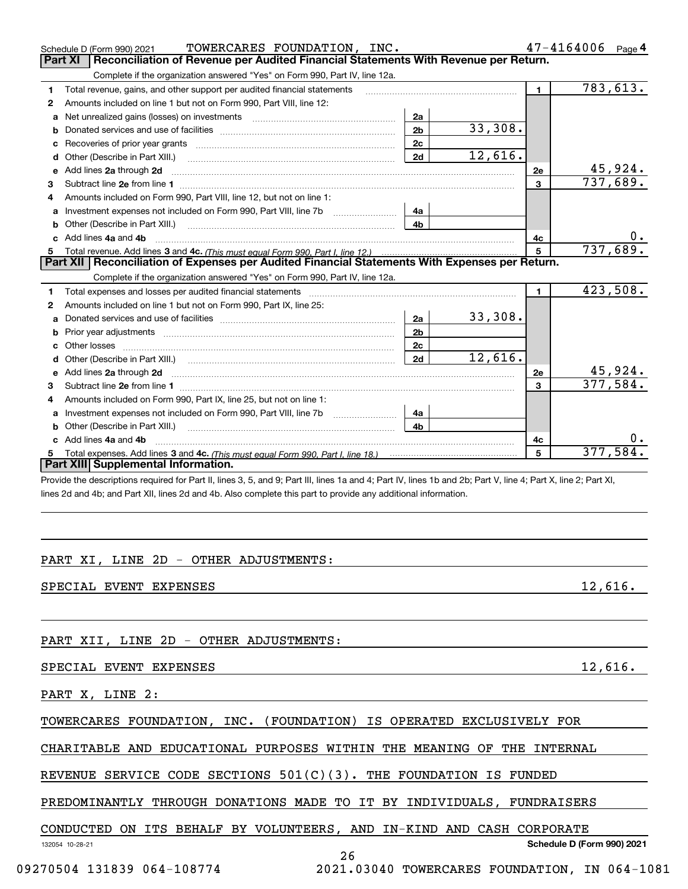|                | TOWERCARES FOUNDATION, INC.<br>Schedule D (Form 990) 2021                                                                                                      |                |         |                | $47 - 4164006$ Page 4 |                        |
|----------------|----------------------------------------------------------------------------------------------------------------------------------------------------------------|----------------|---------|----------------|-----------------------|------------------------|
| <b>Part XI</b> | Reconciliation of Revenue per Audited Financial Statements With Revenue per Return.                                                                            |                |         |                |                       |                        |
|                | Complete if the organization answered "Yes" on Form 990, Part IV, line 12a.                                                                                    |                |         |                |                       |                        |
| 1              | Total revenue, gains, and other support per audited financial statements                                                                                       |                |         | 1.             |                       | $\overline{783,613}$ . |
| 2              | Amounts included on line 1 but not on Form 990, Part VIII, line 12:                                                                                            |                |         |                |                       |                        |
| a              | Net unrealized gains (losses) on investments [11] [12] [12] [13] [13] [14] [15] [15] [15] [15] [15] [15] [15] [                                                | 2a             |         |                |                       |                        |
| b              |                                                                                                                                                                | 2 <sub>b</sub> | 33,308. |                |                       |                        |
| с              |                                                                                                                                                                | 2c             |         |                |                       |                        |
| d              | Other (Describe in Part XIII.)                                                                                                                                 | 2d             | 12,616. |                |                       |                        |
| е              | Add lines 2a through 2d                                                                                                                                        |                |         | 2e             |                       | <u>45,924.</u>         |
| 3              | Subtract line 2e from line 1                                                                                                                                   |                |         | 3              |                       | 737,689.               |
| 4              | Amounts included on Form 990, Part VIII, line 12, but not on line 1:                                                                                           |                |         |                |                       |                        |
|                | Investment expenses not included on Form 990, Part VIII, line 7b                                                                                               | 4a             |         |                |                       |                        |
| b              |                                                                                                                                                                | 4b.            |         |                |                       |                        |
|                | c Add lines 4a and 4b                                                                                                                                          |                |         | 4c             |                       | $0 \cdot$              |
| 5.             |                                                                                                                                                                |                |         | 5              |                       | 737,689.               |
|                | Part XII   Reconciliation of Expenses per Audited Financial Statements With Expenses per Return.                                                               |                |         |                |                       |                        |
|                | Complete if the organization answered "Yes" on Form 990, Part IV, line 12a.                                                                                    |                |         |                |                       |                        |
| 1              | Total expenses and losses per audited financial statements                                                                                                     |                |         | $\blacksquare$ |                       | 423,508.               |
| 2              | Amounts included on line 1 but not on Form 990, Part IX, line 25:                                                                                              |                |         |                |                       |                        |
| a              |                                                                                                                                                                | 2a             | 33,308. |                |                       |                        |
| b              |                                                                                                                                                                | 2 <sub>b</sub> |         |                |                       |                        |
|                |                                                                                                                                                                | 2c             |         |                |                       |                        |
| d              |                                                                                                                                                                | 2d             | 12,616. |                |                       |                        |
| е              | Add lines 2a through 2d                                                                                                                                        |                |         | 2e             | 377,584.              | 45,924.                |
| 3              |                                                                                                                                                                |                |         | 3              |                       |                        |
| 4              | Amounts included on Form 990, Part IX, line 25, but not on line 1:                                                                                             |                |         |                |                       |                        |
| а              | Investment expenses not included on Form 990, Part VIII, line 7b                                                                                               | 4a             |         |                |                       |                        |
| b              | Other (Describe in Part XIII.) [100] [100] [100] [100] [100] [100] [100] [100] [100] [100] [100] [100] [100] [                                                 | 4 <sub>h</sub> |         |                |                       |                        |
|                | c Add lines 4a and 4b                                                                                                                                          |                |         | 4c             |                       |                        |
| 5.             |                                                                                                                                                                |                |         | 5              |                       | 377,584.               |
|                | Part XIII Supplemental Information.                                                                                                                            |                |         |                |                       |                        |
|                | Provide the descriptions required for Part II, lines 3, 5, and 9; Part III, lines 1a and 4; Part IV, lines 1b and 2b; Part V, line 4; Part X, line 2; Part XI, |                |         |                |                       |                        |
|                | lines 2d and 4b; and Part XII, lines 2d and 4b. Also complete this part to provide any additional information.                                                 |                |         |                |                       |                        |
|                |                                                                                                                                                                |                |         |                |                       |                        |

## PART XI, LINE 2D - OTHER ADJUSTMENTS:

#### SPECIAL EVENT EXPENSES 2008 12,616.

PART XII, LINE 2D - OTHER ADJUSTMENTS:

SPECIAL EVENT EXPENSES 22, 12, 616.

PART X, LINE 2:

TOWERCARES FOUNDATION, INC. (FOUNDATION) IS OPERATED EXCLUSIVELY FOR

CHARITABLE AND EDUCATIONAL PURPOSES WITHIN THE MEANING OF THE INTERNAL

REVENUE SERVICE CODE SECTIONS  $501(C)(3)$ . THE FOUNDATION IS FUNDED

PREDOMINANTLY THROUGH DONATIONS MADE TO IT BY INDIVIDUALS, FUNDRAISERS

#### CONDUCTED ON ITS BEHALF BY VOLUNTEERS, AND IN-KIND AND CASH CORPORATE

132054 10-28-21

**Schedule D (Form 990) 2021**

26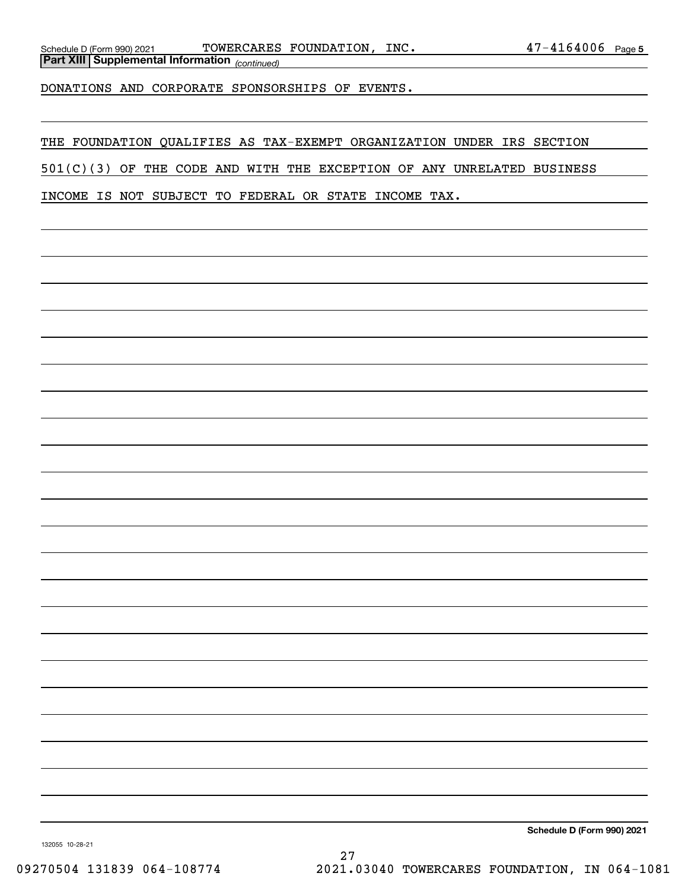DONATIONS AND CORPORATE SPONSORSHIPS OF EVENTS.

THE FOUNDATION QUALIFIES AS TAX-EXEMPT ORGANIZATION UNDER IRS SECTION

501(C)(3) OF THE CODE AND WITH THE EXCEPTION OF ANY UNRELATED BUSINESS

INCOME IS NOT SUBJECT TO FEDERAL OR STATE INCOME TAX.

**Schedule D (Form 990) 2021**

132055 10-28-21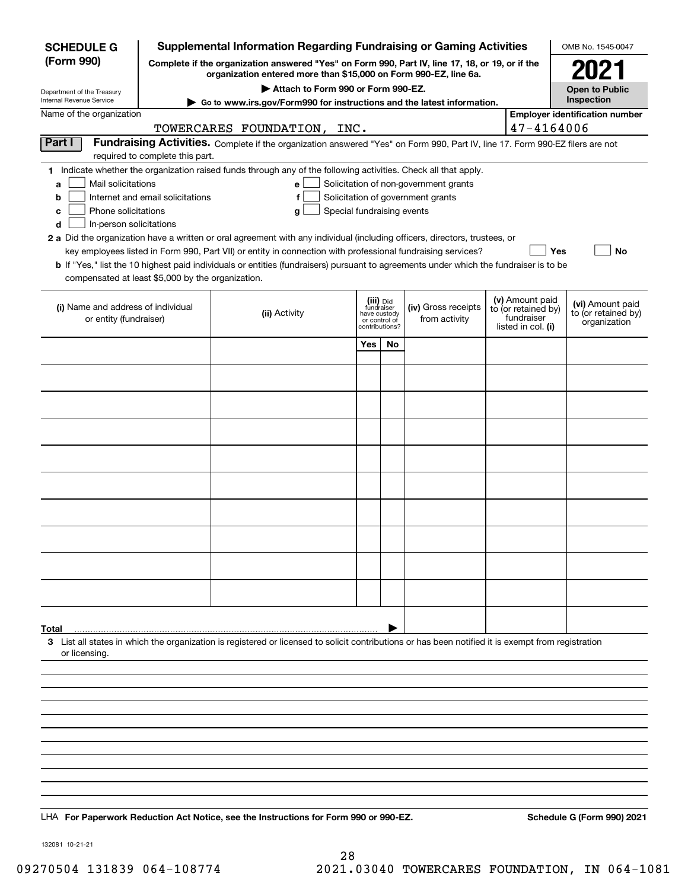| <b>SCHEDULE G</b>                                                                                                                             |                                  | <b>Supplemental Information Regarding Fundraising or Gaming Activities</b>                                                                                                                                                                                                                                                                                                                                                                                                                                                                         |                                                                            |    |                                                                            |                                                                            | OMB No. 1545-0047                                       |  |
|-----------------------------------------------------------------------------------------------------------------------------------------------|----------------------------------|----------------------------------------------------------------------------------------------------------------------------------------------------------------------------------------------------------------------------------------------------------------------------------------------------------------------------------------------------------------------------------------------------------------------------------------------------------------------------------------------------------------------------------------------------|----------------------------------------------------------------------------|----|----------------------------------------------------------------------------|----------------------------------------------------------------------------|---------------------------------------------------------|--|
| (Form 990)                                                                                                                                    |                                  | Complete if the organization answered "Yes" on Form 990, Part IV, line 17, 18, or 19, or if the<br>organization entered more than \$15,000 on Form 990-EZ, line 6a.                                                                                                                                                                                                                                                                                                                                                                                |                                                                            |    |                                                                            |                                                                            | 2021                                                    |  |
| Department of the Treasury                                                                                                                    |                                  | Attach to Form 990 or Form 990-EZ.                                                                                                                                                                                                                                                                                                                                                                                                                                                                                                                 |                                                                            |    |                                                                            |                                                                            | <b>Open to Public</b>                                   |  |
| Internal Revenue Service<br>Name of the organization                                                                                          |                                  | Go to www.irs.gov/Form990 for instructions and the latest information.                                                                                                                                                                                                                                                                                                                                                                                                                                                                             |                                                                            |    |                                                                            |                                                                            | Inspection<br><b>Employer identification number</b>     |  |
|                                                                                                                                               |                                  | TOWERCARES FOUNDATION, INC.                                                                                                                                                                                                                                                                                                                                                                                                                                                                                                                        |                                                                            |    |                                                                            | 47-4164006                                                                 |                                                         |  |
| Part I                                                                                                                                        | required to complete this part.  | Fundraising Activities. Complete if the organization answered "Yes" on Form 990, Part IV, line 17. Form 990-EZ filers are not                                                                                                                                                                                                                                                                                                                                                                                                                      |                                                                            |    |                                                                            |                                                                            |                                                         |  |
| Mail solicitations<br>a<br>b<br>Phone solicitations<br>c<br>In-person solicitations<br>d<br>compensated at least \$5,000 by the organization. | Internet and email solicitations | 1 Indicate whether the organization raised funds through any of the following activities. Check all that apply.<br>e<br>f<br>Special fundraising events<br>g<br>2 a Did the organization have a written or oral agreement with any individual (including officers, directors, trustees, or<br>key employees listed in Form 990, Part VII) or entity in connection with professional fundraising services?<br>b If "Yes," list the 10 highest paid individuals or entities (fundraisers) pursuant to agreements under which the fundraiser is to be |                                                                            |    | Solicitation of non-government grants<br>Solicitation of government grants | <b>Yes</b>                                                                 | No                                                      |  |
| (i) Name and address of individual<br>or entity (fundraiser)                                                                                  |                                  | (ii) Activity                                                                                                                                                                                                                                                                                                                                                                                                                                                                                                                                      | (iii) Did<br>fundraiser<br>have custody<br>or control of<br>contributions? |    | (iv) Gross receipts<br>from activity                                       | (v) Amount paid<br>to (or retained by)<br>fundraiser<br>listed in col. (i) | (vi) Amount paid<br>to (or retained by)<br>organization |  |
|                                                                                                                                               |                                  |                                                                                                                                                                                                                                                                                                                                                                                                                                                                                                                                                    | Yes                                                                        | No |                                                                            |                                                                            |                                                         |  |
|                                                                                                                                               |                                  |                                                                                                                                                                                                                                                                                                                                                                                                                                                                                                                                                    |                                                                            |    |                                                                            |                                                                            |                                                         |  |
|                                                                                                                                               |                                  |                                                                                                                                                                                                                                                                                                                                                                                                                                                                                                                                                    |                                                                            |    |                                                                            |                                                                            |                                                         |  |
|                                                                                                                                               |                                  |                                                                                                                                                                                                                                                                                                                                                                                                                                                                                                                                                    |                                                                            |    |                                                                            |                                                                            |                                                         |  |
|                                                                                                                                               |                                  |                                                                                                                                                                                                                                                                                                                                                                                                                                                                                                                                                    |                                                                            |    |                                                                            |                                                                            |                                                         |  |
|                                                                                                                                               |                                  |                                                                                                                                                                                                                                                                                                                                                                                                                                                                                                                                                    |                                                                            |    |                                                                            |                                                                            |                                                         |  |
|                                                                                                                                               |                                  |                                                                                                                                                                                                                                                                                                                                                                                                                                                                                                                                                    |                                                                            |    |                                                                            |                                                                            |                                                         |  |
|                                                                                                                                               |                                  |                                                                                                                                                                                                                                                                                                                                                                                                                                                                                                                                                    |                                                                            |    |                                                                            |                                                                            |                                                         |  |
|                                                                                                                                               |                                  |                                                                                                                                                                                                                                                                                                                                                                                                                                                                                                                                                    |                                                                            |    |                                                                            |                                                                            |                                                         |  |
|                                                                                                                                               |                                  |                                                                                                                                                                                                                                                                                                                                                                                                                                                                                                                                                    |                                                                            |    |                                                                            |                                                                            |                                                         |  |
|                                                                                                                                               |                                  |                                                                                                                                                                                                                                                                                                                                                                                                                                                                                                                                                    |                                                                            |    |                                                                            |                                                                            |                                                         |  |
|                                                                                                                                               |                                  |                                                                                                                                                                                                                                                                                                                                                                                                                                                                                                                                                    |                                                                            |    |                                                                            |                                                                            |                                                         |  |
|                                                                                                                                               |                                  |                                                                                                                                                                                                                                                                                                                                                                                                                                                                                                                                                    |                                                                            |    |                                                                            |                                                                            |                                                         |  |
|                                                                                                                                               |                                  |                                                                                                                                                                                                                                                                                                                                                                                                                                                                                                                                                    |                                                                            |    |                                                                            |                                                                            |                                                         |  |
|                                                                                                                                               |                                  |                                                                                                                                                                                                                                                                                                                                                                                                                                                                                                                                                    |                                                                            |    |                                                                            |                                                                            |                                                         |  |
| Total<br>or licensing.                                                                                                                        |                                  | 3 List all states in which the organization is registered or licensed to solicit contributions or has been notified it is exempt from registration                                                                                                                                                                                                                                                                                                                                                                                                 |                                                                            |    |                                                                            |                                                                            |                                                         |  |
|                                                                                                                                               |                                  |                                                                                                                                                                                                                                                                                                                                                                                                                                                                                                                                                    |                                                                            |    |                                                                            |                                                                            |                                                         |  |
|                                                                                                                                               |                                  |                                                                                                                                                                                                                                                                                                                                                                                                                                                                                                                                                    |                                                                            |    |                                                                            |                                                                            |                                                         |  |
|                                                                                                                                               |                                  |                                                                                                                                                                                                                                                                                                                                                                                                                                                                                                                                                    |                                                                            |    |                                                                            |                                                                            |                                                         |  |
|                                                                                                                                               |                                  |                                                                                                                                                                                                                                                                                                                                                                                                                                                                                                                                                    |                                                                            |    |                                                                            |                                                                            |                                                         |  |
|                                                                                                                                               |                                  |                                                                                                                                                                                                                                                                                                                                                                                                                                                                                                                                                    |                                                                            |    |                                                                            |                                                                            |                                                         |  |
|                                                                                                                                               |                                  |                                                                                                                                                                                                                                                                                                                                                                                                                                                                                                                                                    |                                                                            |    |                                                                            |                                                                            |                                                         |  |
|                                                                                                                                               |                                  |                                                                                                                                                                                                                                                                                                                                                                                                                                                                                                                                                    |                                                                            |    |                                                                            |                                                                            |                                                         |  |
|                                                                                                                                               |                                  | LHA For Paperwork Reduction Act Notice, see the Instructions for Form 990 or 990-EZ.                                                                                                                                                                                                                                                                                                                                                                                                                                                               |                                                                            |    |                                                                            |                                                                            | Schedule G (Form 990) 2021                              |  |

132081 10-21-21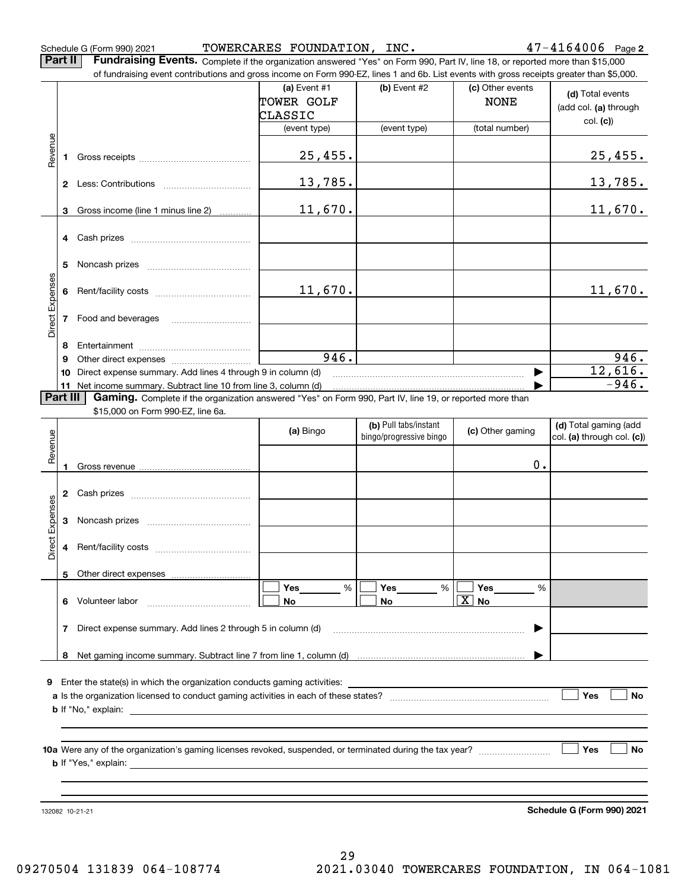Schedule G (Form 990) 2021 Page TOWERCARES FOUNDATION, INC. 47-4164006

**2**

**Part II** | Fundraising Events. Complete if the organization answered "Yes" on Form 990, Part IV, line 18, or reported more than \$15,000

|                    |          | of fundraising event contributions and gross income on Form 990-EZ, lines 1 and 6b. List events with gross receipts greater than \$5,000. |                                         |                                                  |                                 |                                                       |
|--------------------|----------|-------------------------------------------------------------------------------------------------------------------------------------------|-----------------------------------------|--------------------------------------------------|---------------------------------|-------------------------------------------------------|
|                    |          |                                                                                                                                           | (a) Event $#1$<br>TOWER GOLF<br>CLASSIC | $(b)$ Event #2                                   | (c) Other events<br><b>NONE</b> | (d) Total events<br>(add col. (a) through<br>col. (c) |
|                    |          |                                                                                                                                           | (event type)                            | (event type)                                     | (total number)                  |                                                       |
| Revenue            | 1.       |                                                                                                                                           | 25,455.                                 |                                                  |                                 | <u>25,455.</u>                                        |
|                    |          |                                                                                                                                           | 13,785.                                 |                                                  |                                 | 13,785.                                               |
|                    |          | 3 Gross income (line 1 minus line 2)                                                                                                      | 11,670.                                 |                                                  |                                 | <u>11,670.</u>                                        |
|                    |          |                                                                                                                                           |                                         |                                                  |                                 |                                                       |
|                    | 5        |                                                                                                                                           |                                         |                                                  |                                 |                                                       |
| Direct Expense     |          |                                                                                                                                           | 11,670.                                 |                                                  |                                 | 11,670.                                               |
|                    |          | 7 Food and beverages                                                                                                                      |                                         |                                                  |                                 |                                                       |
|                    |          |                                                                                                                                           |                                         |                                                  |                                 |                                                       |
|                    | 9        |                                                                                                                                           | 946.                                    |                                                  |                                 | 946.                                                  |
|                    | 10       | Direct expense summary. Add lines 4 through 9 in column (d)                                                                               |                                         |                                                  | ▶                               | 12,616.                                               |
|                    | Part III | 11 Net income summary. Subtract line 10 from line 3, column (d)                                                                           |                                         |                                                  |                                 | $-946.$                                               |
|                    |          |                                                                                                                                           |                                         |                                                  |                                 |                                                       |
|                    |          | Gaming. Complete if the organization answered "Yes" on Form 990, Part IV, line 19, or reported more than                                  |                                         |                                                  |                                 |                                                       |
|                    |          | \$15,000 on Form 990-EZ, line 6a.                                                                                                         | (a) Bingo                               | (b) Pull tabs/instant<br>bingo/progressive bingo | (c) Other gaming                | (d) Total gaming (add<br>col. (a) through col. (c))   |
| Revenue            |          |                                                                                                                                           |                                         |                                                  |                                 |                                                       |
|                    |          |                                                                                                                                           |                                         |                                                  | 0.                              |                                                       |
|                    |          |                                                                                                                                           |                                         |                                                  |                                 |                                                       |
|                    |          |                                                                                                                                           |                                         |                                                  |                                 |                                                       |
| Expenses<br>Direct |          |                                                                                                                                           |                                         |                                                  |                                 |                                                       |
|                    | 5        | Other direct expenses                                                                                                                     |                                         |                                                  |                                 |                                                       |
|                    | 6        | Volunteer labor                                                                                                                           | %<br>Yes<br>No                          | $\%$<br>Yes<br>No                                | %<br>Yes<br>$\overline{X}$ No   |                                                       |
|                    | 7        | Direct expense summary. Add lines 2 through 5 in column (d)                                                                               |                                         |                                                  |                                 |                                                       |
|                    | 8        |                                                                                                                                           |                                         |                                                  |                                 |                                                       |
| 9                  |          | Enter the state(s) in which the organization conducts gaming activities:<br><b>b</b> If "No," explain:                                    |                                         |                                                  |                                 | Yes<br>No                                             |

**10a** Were any of the organization's gaming licenses revoked, suspended, or terminated during the tax year? \_\_\_\_\_\_\_\_\_\_\_\_\_\_\_\_ **b** If "Yes," explain: **Yes No**

132082 10-21-21

**Schedule G (Form 990) 2021**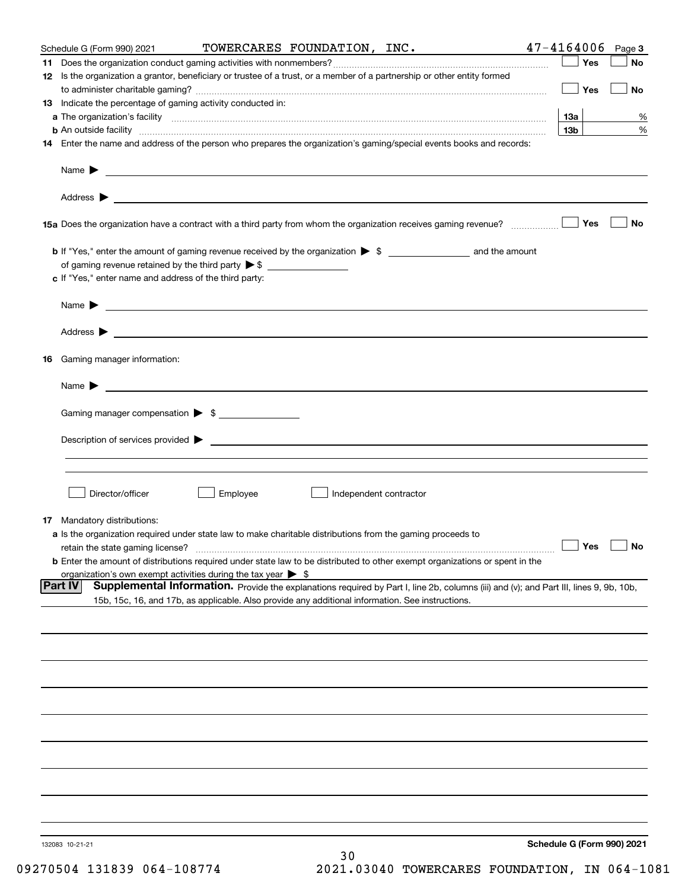|    | Schedule G (Form 990) 2021                                                                                                 |          |    | TOWERCARES FOUNDATION, INC.                                                                                                                                                                                                                           | $47 - 4164006$ Page 3      |
|----|----------------------------------------------------------------------------------------------------------------------------|----------|----|-------------------------------------------------------------------------------------------------------------------------------------------------------------------------------------------------------------------------------------------------------|----------------------------|
|    |                                                                                                                            |          |    |                                                                                                                                                                                                                                                       | Yes<br>$\sim 10$<br>No     |
|    | 12 Is the organization a grantor, beneficiary or trustee of a trust, or a member of a partnership or other entity formed   |          |    |                                                                                                                                                                                                                                                       |                            |
|    |                                                                                                                            |          |    |                                                                                                                                                                                                                                                       | Yes<br>No                  |
|    | 13 Indicate the percentage of gaming activity conducted in:                                                                |          |    |                                                                                                                                                                                                                                                       |                            |
|    |                                                                                                                            |          |    |                                                                                                                                                                                                                                                       | 13a<br>%                   |
|    |                                                                                                                            |          |    | <b>b</b> An outside facility <i>www.communicality www.communicality.communicality www.communicality www.communicality.com</i><br>14 Enter the name and address of the person who prepares the organization's gaming/special events books and records: | $\%$<br>13b                |
|    |                                                                                                                            |          |    |                                                                                                                                                                                                                                                       |                            |
|    |                                                                                                                            |          |    |                                                                                                                                                                                                                                                       |                            |
|    |                                                                                                                            |          |    |                                                                                                                                                                                                                                                       |                            |
|    |                                                                                                                            |          |    |                                                                                                                                                                                                                                                       | Yes<br>No                  |
|    |                                                                                                                            |          |    |                                                                                                                                                                                                                                                       |                            |
|    | of gaming revenue retained by the third party $\triangleright$ \$ $\_\_\_\_\_\_\_\_\_\_\_\_\_\_\_\_\_\_\_\_\_\_\_\_\_\_\_$ |          |    |                                                                                                                                                                                                                                                       |                            |
|    | c If "Yes," enter name and address of the third party:                                                                     |          |    |                                                                                                                                                                                                                                                       |                            |
|    |                                                                                                                            |          |    |                                                                                                                                                                                                                                                       |                            |
|    | Name $\blacktriangleright$ $\_\_\_\_\_\_\_\_\$                                                                             |          |    |                                                                                                                                                                                                                                                       |                            |
|    |                                                                                                                            |          |    |                                                                                                                                                                                                                                                       |                            |
|    |                                                                                                                            |          |    |                                                                                                                                                                                                                                                       |                            |
| 16 | Gaming manager information:                                                                                                |          |    |                                                                                                                                                                                                                                                       |                            |
|    |                                                                                                                            |          |    |                                                                                                                                                                                                                                                       |                            |
|    | <u> 1989 - Andrea Stadt Britain, amerikansk politiker (</u><br>Name $\blacktriangleright$                                  |          |    |                                                                                                                                                                                                                                                       |                            |
|    |                                                                                                                            |          |    |                                                                                                                                                                                                                                                       |                            |
|    | Gaming manager compensation > \$                                                                                           |          |    |                                                                                                                                                                                                                                                       |                            |
|    |                                                                                                                            |          |    | Description of services provided $\blacktriangleright$ $\_\_\_\_\_\_\_\_\_\_\_\_\_\_\_\_\_$                                                                                                                                                           |                            |
|    |                                                                                                                            |          |    |                                                                                                                                                                                                                                                       |                            |
|    |                                                                                                                            |          |    |                                                                                                                                                                                                                                                       |                            |
|    |                                                                                                                            |          |    |                                                                                                                                                                                                                                                       |                            |
|    | Director/officer                                                                                                           | Employee |    | Independent contractor                                                                                                                                                                                                                                |                            |
|    | 17 Mandatory distributions:                                                                                                |          |    |                                                                                                                                                                                                                                                       |                            |
|    | a Is the organization required under state law to make charitable distributions from the gaming proceeds to                |          |    |                                                                                                                                                                                                                                                       |                            |
|    | retain the state gaming license?                                                                                           |          |    |                                                                                                                                                                                                                                                       | _∣ Yes<br>$\Box$ No        |
|    |                                                                                                                            |          |    | <b>b</b> Enter the amount of distributions required under state law to be distributed to other exempt organizations or spent in the                                                                                                                   |                            |
|    | organization's own exempt activities during the tax year $\triangleright$ \$                                               |          |    |                                                                                                                                                                                                                                                       |                            |
|    | <b>Part IV</b>                                                                                                             |          |    | Supplemental Information. Provide the explanations required by Part I, line 2b, columns (iii) and (v); and Part III, lines 9, 9b, 10b,                                                                                                                |                            |
|    | 15b, 15c, 16, and 17b, as applicable. Also provide any additional information. See instructions.                           |          |    |                                                                                                                                                                                                                                                       |                            |
|    |                                                                                                                            |          |    |                                                                                                                                                                                                                                                       |                            |
|    |                                                                                                                            |          |    |                                                                                                                                                                                                                                                       |                            |
|    |                                                                                                                            |          |    |                                                                                                                                                                                                                                                       |                            |
|    |                                                                                                                            |          |    |                                                                                                                                                                                                                                                       |                            |
|    |                                                                                                                            |          |    |                                                                                                                                                                                                                                                       |                            |
|    |                                                                                                                            |          |    |                                                                                                                                                                                                                                                       |                            |
|    |                                                                                                                            |          |    |                                                                                                                                                                                                                                                       |                            |
|    |                                                                                                                            |          |    |                                                                                                                                                                                                                                                       |                            |
|    |                                                                                                                            |          |    |                                                                                                                                                                                                                                                       |                            |
|    |                                                                                                                            |          |    |                                                                                                                                                                                                                                                       |                            |
|    |                                                                                                                            |          |    |                                                                                                                                                                                                                                                       |                            |
|    |                                                                                                                            |          |    |                                                                                                                                                                                                                                                       |                            |
|    |                                                                                                                            |          |    |                                                                                                                                                                                                                                                       |                            |
|    |                                                                                                                            |          |    |                                                                                                                                                                                                                                                       |                            |
|    | 132083 10-21-21                                                                                                            |          |    |                                                                                                                                                                                                                                                       | Schedule G (Form 990) 2021 |
|    |                                                                                                                            |          | 30 |                                                                                                                                                                                                                                                       |                            |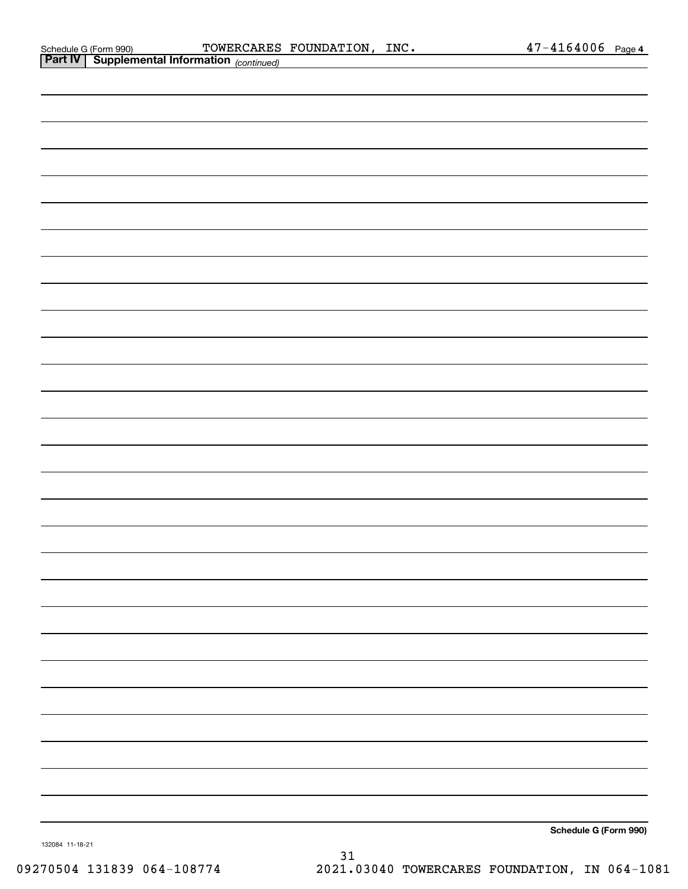| Schedule G (Form 990) |  |
|-----------------------|--|
|                       |  |

|                 | <b>Part IV   Supplemental Information</b> (continued) |
|-----------------|-------------------------------------------------------|
|                 |                                                       |
|                 |                                                       |
|                 |                                                       |
|                 |                                                       |
|                 |                                                       |
|                 |                                                       |
|                 |                                                       |
|                 |                                                       |
|                 |                                                       |
|                 |                                                       |
|                 |                                                       |
|                 |                                                       |
|                 |                                                       |
|                 |                                                       |
|                 |                                                       |
|                 |                                                       |
|                 |                                                       |
|                 |                                                       |
|                 |                                                       |
|                 |                                                       |
|                 |                                                       |
|                 |                                                       |
|                 |                                                       |
|                 |                                                       |
|                 |                                                       |
|                 |                                                       |
|                 |                                                       |
|                 |                                                       |
|                 |                                                       |
|                 |                                                       |
|                 |                                                       |
|                 |                                                       |
|                 |                                                       |
|                 |                                                       |
|                 | Schedule G (Form 990)                                 |
| 132084 11-18-21 |                                                       |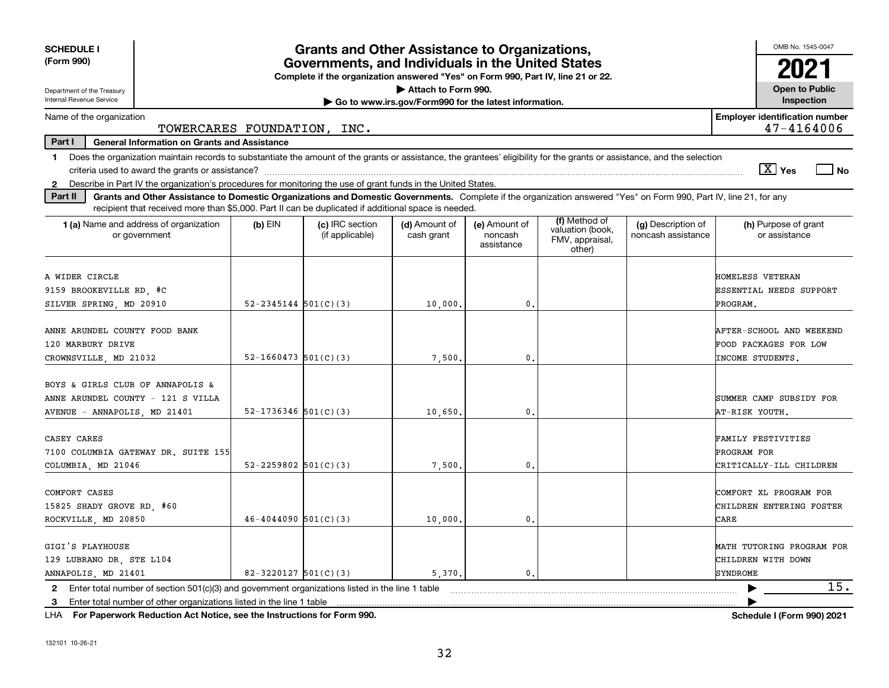| <b>SCHEDULE I</b>                                                                                                                                                                        |                            | <b>Grants and Other Assistance to Organizations,</b> |                             |                                        |                                               |                                          | OMB No. 1545-0047                                            |
|------------------------------------------------------------------------------------------------------------------------------------------------------------------------------------------|----------------------------|------------------------------------------------------|-----------------------------|----------------------------------------|-----------------------------------------------|------------------------------------------|--------------------------------------------------------------|
| (Form 990)<br>Governments, and Individuals in the United States<br>Complete if the organization answered "Yes" on Form 990, Part IV, line 21 or 22.                                      |                            |                                                      |                             |                                        |                                               |                                          | 2021                                                         |
| Department of the Treasury                                                                                                                                                               |                            |                                                      | Attach to Form 990.         |                                        |                                               |                                          | <b>Open to Public</b>                                        |
| Internal Revenue Service<br>Inspection<br>Go to www.irs.gov/Form990 for the latest information.                                                                                          |                            |                                                      |                             |                                        |                                               |                                          |                                                              |
| <b>Employer identification number</b><br>Name of the organization<br>47-4164006<br>TOWERCARES FOUNDATION, INC.                                                                           |                            |                                                      |                             |                                        |                                               |                                          |                                                              |
| Part I<br><b>General Information on Grants and Assistance</b>                                                                                                                            |                            |                                                      |                             |                                        |                                               |                                          |                                                              |
| Does the organization maintain records to substantiate the amount of the grants or assistance, the grantees' eligibility for the grants or assistance, and the selection<br>$\mathbf{1}$ |                            |                                                      |                             |                                        |                                               |                                          |                                                              |
|                                                                                                                                                                                          |                            |                                                      |                             |                                        |                                               |                                          | $\boxed{\text{X}}$ Yes<br>  No                               |
| Describe in Part IV the organization's procedures for monitoring the use of grant funds in the United States.<br>$\mathbf{2}$                                                            |                            |                                                      |                             |                                        |                                               |                                          |                                                              |
| Part II<br>Grants and Other Assistance to Domestic Organizations and Domestic Governments. Complete if the organization answered "Yes" on Form 990, Part IV, line 21, for any            |                            |                                                      |                             |                                        |                                               |                                          |                                                              |
| recipient that received more than \$5,000. Part II can be duplicated if additional space is needed.                                                                                      |                            |                                                      |                             |                                        | (f) Method of                                 |                                          |                                                              |
| 1 (a) Name and address of organization<br>or government                                                                                                                                  | $(b)$ EIN                  | (c) IRC section<br>(if applicable)                   | (d) Amount of<br>cash grant | (e) Amount of<br>noncash<br>assistance | valuation (book,<br>FMV, appraisal,<br>other) | (g) Description of<br>noncash assistance | (h) Purpose of grant<br>or assistance                        |
| A WIDER CIRCLE                                                                                                                                                                           |                            |                                                      |                             |                                        |                                               |                                          | HOMELESS VETERAN                                             |
| 9159 BROOKEVILLE RD, #C                                                                                                                                                                  |                            |                                                      |                             |                                        |                                               |                                          | ESSENTIAL NEEDS SUPPORT                                      |
| SILVER SPRING, MD 20910                                                                                                                                                                  | $52 - 2345144$ $501(C)(3)$ |                                                      | 10,000,                     | 0.                                     |                                               |                                          | PROGRAM.                                                     |
| ANNE ARUNDEL COUNTY FOOD BANK<br>120 MARBURY DRIVE                                                                                                                                       |                            |                                                      |                             |                                        |                                               |                                          | AFTER-SCHOOL AND WEEKEND<br>FOOD PACKAGES FOR LOW            |
| CROWNSVILLE, MD 21032                                                                                                                                                                    | $52 - 1660473$ $501(C)(3)$ |                                                      | 7,500                       | 0.                                     |                                               |                                          | INCOME STUDENTS.                                             |
| BOYS & GIRLS CLUB OF ANNAPOLIS &<br>ANNE ARUNDEL COUNTY - 121 S VILLA<br>AVENUE - ANNAPOLIS, MD 21401                                                                                    | $52 - 1736346$ $501(C)(3)$ |                                                      | 10,650,                     | $\mathbf{0}$ .                         |                                               |                                          | SUMMER CAMP SUBSIDY FOR<br>AT-RISK YOUTH.                    |
| CASEY CARES<br>7100 COLUMBIA GATEWAY DR. SUITE 155<br>COLUMBIA, MD 21046                                                                                                                 | $52 - 2259802$ 501(C)(3)   |                                                      | 7,500                       | 0.                                     |                                               |                                          | FAMILY FESTIVITIES<br>PROGRAM FOR<br>CRITICALLY-ILL CHILDREN |
| COMFORT CASES<br>15825 SHADY GROVE RD, #60<br>ROCKVILLE, MD 20850                                                                                                                        | $46 - 4044090$ 501(C)(3)   |                                                      | 10,000,                     | 0.                                     |                                               |                                          | COMFORT XL PROGRAM FOR<br>CHILDREN ENTERING FOSTER<br>CARE   |
| GIGI'S PLAYHOUSE<br>129 LUBRANO DR, STE L104<br>ANNAPOLIS, MD 21401                                                                                                                      | $82 - 3220127$ 501(C)(3)   |                                                      | 5,370.                      | $\mathbf{0}$ .                         |                                               |                                          | MATH TUTORING PROGRAM FOR<br>CHILDREN WITH DOWN<br>SYNDROME  |
| 2 Enter total number of section 501(c)(3) and government organizations listed in the line 1 table                                                                                        |                            |                                                      |                             |                                        |                                               |                                          | 15.                                                          |
| Enter total number of other organizations listed in the line 1 table<br>3                                                                                                                |                            |                                                      |                             |                                        |                                               |                                          |                                                              |

**For Paperwork Reduction Act Notice, see the Instructions for Form 990. Schedule I (Form 990) 2021** LHA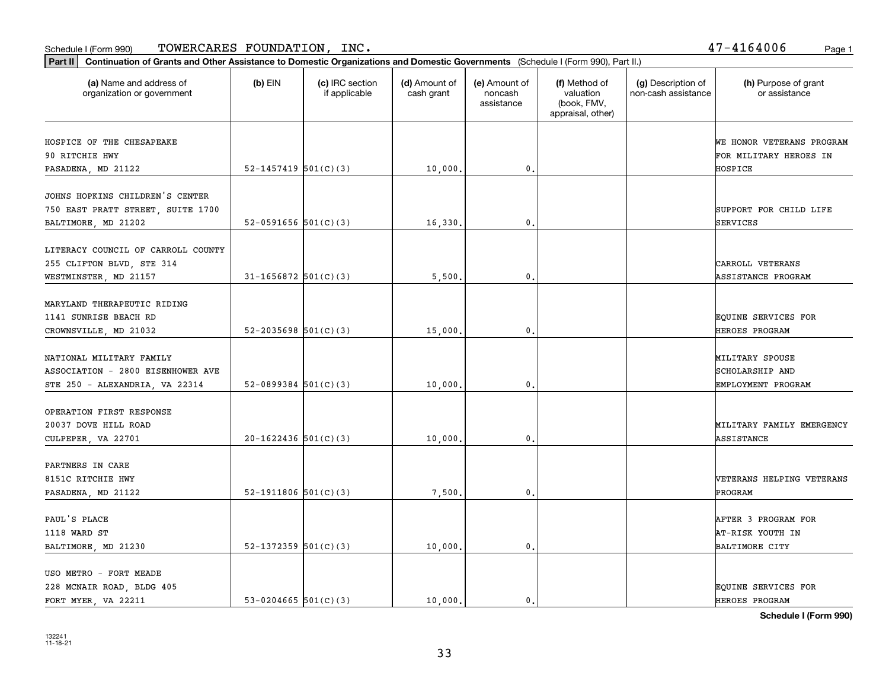#### Schedule I (Form 990)  ${\tt TOWERCARES}$   ${\tt FOUNDATION}$  , INC  ${\tt .}$

| Part II   Continuation of Grants and Other Assistance to Domestic Organizations and Domestic Governments (Schedule I (Form 990), Part II.) |                            |                                  |                             |                                        |                                                                |                                           |                                       |
|--------------------------------------------------------------------------------------------------------------------------------------------|----------------------------|----------------------------------|-----------------------------|----------------------------------------|----------------------------------------------------------------|-------------------------------------------|---------------------------------------|
| (a) Name and address of<br>organization or government                                                                                      | $(b)$ EIN                  | (c) IRC section<br>if applicable | (d) Amount of<br>cash grant | (e) Amount of<br>noncash<br>assistance | (f) Method of<br>valuation<br>(book, FMV,<br>appraisal, other) | (g) Description of<br>non-cash assistance | (h) Purpose of grant<br>or assistance |
| HOSPICE OF THE CHESAPEAKE                                                                                                                  |                            |                                  |                             |                                        |                                                                |                                           | WE HONOR VETERANS PROGRAM             |
| 90 RITCHIE HWY                                                                                                                             |                            |                                  |                             |                                        |                                                                |                                           | FOR MILITARY HEROES IN                |
| PASADENA, MD 21122                                                                                                                         | $52 - 1457419$ $501(C)(3)$ |                                  | 10,000.                     | 0.                                     |                                                                |                                           | HOSPICE                               |
|                                                                                                                                            |                            |                                  |                             |                                        |                                                                |                                           |                                       |
| JOHNS HOPKINS CHILDREN'S CENTER                                                                                                            |                            |                                  |                             |                                        |                                                                |                                           |                                       |
| 750 EAST PRATT STREET, SUITE 1700                                                                                                          |                            |                                  |                             |                                        |                                                                |                                           | SUPPORT FOR CHILD LIFE                |
| BALTIMORE, MD 21202                                                                                                                        | 52-0591656 $501(C)(3)$     |                                  | 16,330.                     | 0.                                     |                                                                |                                           | <b>SERVICES</b>                       |
| LITERACY COUNCIL OF CARROLL COUNTY                                                                                                         |                            |                                  |                             |                                        |                                                                |                                           |                                       |
| 255 CLIFTON BLVD, STE 314                                                                                                                  |                            |                                  |                             |                                        |                                                                |                                           | CARROLL VETERANS                      |
| WESTMINSTER, MD 21157                                                                                                                      | $31 - 1656872$ 501(C)(3)   |                                  | 5,500.                      | 0.                                     |                                                                |                                           | ASSISTANCE PROGRAM                    |
|                                                                                                                                            |                            |                                  |                             |                                        |                                                                |                                           |                                       |
| MARYLAND THERAPEUTIC RIDING                                                                                                                |                            |                                  |                             |                                        |                                                                |                                           |                                       |
| 1141 SUNRISE BEACH RD                                                                                                                      |                            |                                  |                             |                                        |                                                                |                                           | <b>EQUINE SERVICES FOR</b>            |
| CROWNSVILLE, MD 21032                                                                                                                      | $52 - 2035698$ $501(C)(3)$ |                                  | 15,000.                     | 0.                                     |                                                                |                                           | HEROES PROGRAM                        |
|                                                                                                                                            |                            |                                  |                             |                                        |                                                                |                                           |                                       |
| NATIONAL MILITARY FAMILY                                                                                                                   |                            |                                  |                             |                                        |                                                                |                                           | MILITARY SPOUSE                       |
| ASSOCIATION - 2800 EISENHOWER AVE                                                                                                          |                            |                                  |                             |                                        |                                                                |                                           | SCHOLARSHIP AND                       |
| STE 250 - ALEXANDRIA, VA 22314                                                                                                             | 52-0899384 $501(C)(3)$     |                                  | 10,000.                     | 0.                                     |                                                                |                                           | EMPLOYMENT PROGRAM                    |
|                                                                                                                                            |                            |                                  |                             |                                        |                                                                |                                           |                                       |
| OPERATION FIRST RESPONSE                                                                                                                   |                            |                                  |                             |                                        |                                                                |                                           |                                       |
| 20037 DOVE HILL ROAD                                                                                                                       |                            |                                  |                             |                                        |                                                                |                                           | MILITARY FAMILY EMERGENCY             |
| CULPEPER, VA 22701                                                                                                                         | $20-1622436$ 501(C)(3)     |                                  | 10,000.                     | 0.                                     |                                                                |                                           | ASSISTANCE                            |
| PARTNERS IN CARE                                                                                                                           |                            |                                  |                             |                                        |                                                                |                                           |                                       |
| 8151C RITCHIE HWY                                                                                                                          |                            |                                  |                             |                                        |                                                                |                                           | <b>WETERANS HELPING VETERANS</b>      |
| PASADENA, MD 21122                                                                                                                         | 52-1911806 $501(C)(3)$     |                                  | 7,500.                      | 0.                                     |                                                                |                                           | PROGRAM                               |
|                                                                                                                                            |                            |                                  |                             |                                        |                                                                |                                           |                                       |
| PAUL'S PLACE                                                                                                                               |                            |                                  |                             |                                        |                                                                |                                           | AFTER 3 PROGRAM FOR                   |
| 1118 WARD ST                                                                                                                               |                            |                                  |                             |                                        |                                                                |                                           | AT-RISK YOUTH IN                      |
| BALTIMORE, MD 21230                                                                                                                        | 52-1372359 $501(C)(3)$     |                                  | 10,000.                     | 0.                                     |                                                                |                                           | BALTIMORE CITY                        |
|                                                                                                                                            |                            |                                  |                             |                                        |                                                                |                                           |                                       |
| USO METRO - FORT MEADE                                                                                                                     |                            |                                  |                             |                                        |                                                                |                                           |                                       |
| 228 MCNAIR ROAD, BLDG 405                                                                                                                  |                            |                                  |                             |                                        |                                                                |                                           | <b>EQUINE SERVICES FOR</b>            |
| FORT MYER, VA 22211                                                                                                                        | 53-0204665 $501(C)(3)$     |                                  | 10,000.                     | $\mathfrak{o}$ .                       |                                                                |                                           | HEROES PROGRAM                        |

**Schedule I (Form 990)**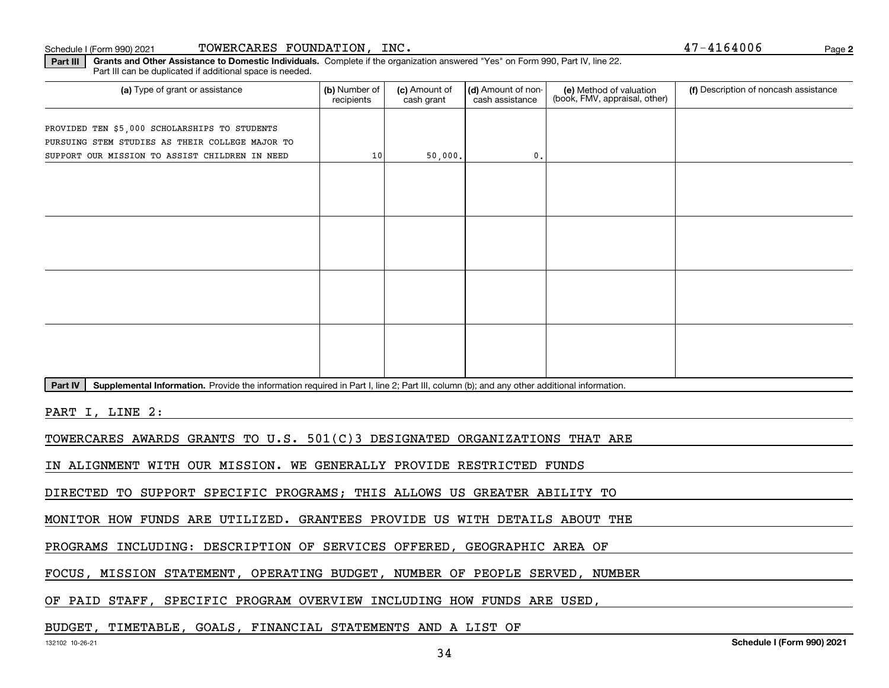#### Schedule I (Form 990) 2021

| TOWERCARES | FOUNDATION. | INC |
|------------|-------------|-----|
|------------|-------------|-----|

47-4164006

**2**

**Part III Grants and Other Assistance to Domestic Individuals.**  Complete if the organization answered "Yes" on Form 990, Part IV, line 22. Part III can be duplicated if additional space is needed.

| (a) Type of grant or assistance                                                                                                                      | (b) Number of<br>recipients | (c) Amount of<br>cash grant | (d) Amount of non-<br>cash assistance | (e) Method of valuation<br>(book, FMV, appraisal, other) | (f) Description of noncash assistance |  |  |
|------------------------------------------------------------------------------------------------------------------------------------------------------|-----------------------------|-----------------------------|---------------------------------------|----------------------------------------------------------|---------------------------------------|--|--|
| PROVIDED TEN \$5,000 SCHOLARSHIPS TO STUDENTS                                                                                                        |                             |                             |                                       |                                                          |                                       |  |  |
| PURSUING STEM STUDIES AS THEIR COLLEGE MAJOR TO<br>SUPPORT OUR MISSION TO ASSIST CHILDREN IN NEED                                                    | 10                          | 50,000.                     | 0,                                    |                                                          |                                       |  |  |
|                                                                                                                                                      |                             |                             |                                       |                                                          |                                       |  |  |
|                                                                                                                                                      |                             |                             |                                       |                                                          |                                       |  |  |
|                                                                                                                                                      |                             |                             |                                       |                                                          |                                       |  |  |
|                                                                                                                                                      |                             |                             |                                       |                                                          |                                       |  |  |
|                                                                                                                                                      |                             |                             |                                       |                                                          |                                       |  |  |
|                                                                                                                                                      |                             |                             |                                       |                                                          |                                       |  |  |
|                                                                                                                                                      |                             |                             |                                       |                                                          |                                       |  |  |
|                                                                                                                                                      |                             |                             |                                       |                                                          |                                       |  |  |
| Part IV<br>Supplemental Information. Provide the information required in Part I, line 2; Part III, column (b); and any other additional information. |                             |                             |                                       |                                                          |                                       |  |  |
| PART I, LINE 2:                                                                                                                                      |                             |                             |                                       |                                                          |                                       |  |  |

TOWERCARES AWARDS GRANTS TO U.S. 501(C)3 DESIGNATED ORGANIZATIONS THAT ARE

IN ALIGNMENT WITH OUR MISSION. WE GENERALLY PROVIDE RESTRICTED FUNDS

DIRECTED TO SUPPORT SPECIFIC PROGRAMS; THIS ALLOWS US GREATER ABILITY TO

MONITOR HOW FUNDS ARE UTILIZED. GRANTEES PROVIDE US WITH DETAILS ABOUT THE

PROGRAMS INCLUDING: DESCRIPTION OF SERVICES OFFERED, GEOGRAPHIC AREA OF

FOCUS, MISSION STATEMENT, OPERATING BUDGET, NUMBER OF PEOPLE SERVED, NUMBER

OF PAID STAFF, SPECIFIC PROGRAM OVERVIEW INCLUDING HOW FUNDS ARE USED,

#### BUDGET, TIMETABLE, GOALS, FINANCIAL STATEMENTS AND A LIST OF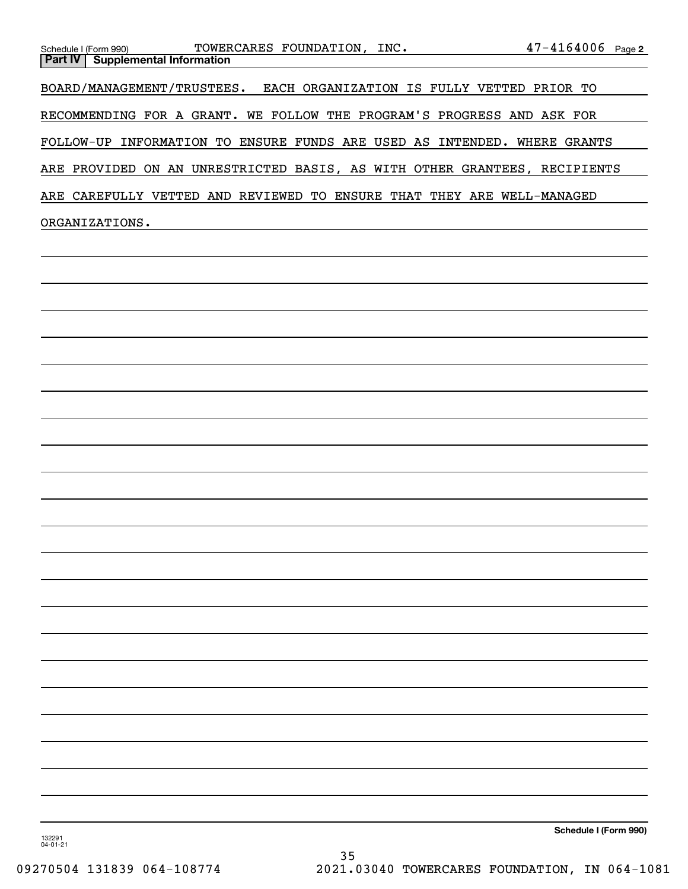| Schedule I (Form 990) TOWERCARES FOUNDATION, INC.                         | $47 - 4164006$ Page 2 |
|---------------------------------------------------------------------------|-----------------------|
| <b>Part IV   Supplemental Information</b>                                 |                       |
|                                                                           |                       |
| BOARD/MANAGEMENT/TRUSTEES. EACH ORGANIZATION IS FULLY                     | VETTED PRIOR TO       |
| RECOMMENDING FOR A GRANT. WE FOLLOW THE PROGRAM'S PROGRESS AND ASK FOR    |                       |
|                                                                           |                       |
| FOLLOW-UP INFORMATION TO ENSURE FUNDS ARE USED AS INTENDED.               | WHERE GRANTS          |
| ARE PROVIDED ON AN UNRESTRICTED BASIS, AS WITH OTHER GRANTEES, RECIPIENTS |                       |
| ARE CAREFULLY VETTED AND REVIEWED TO ENSURE THAT THEY ARE WELL-MANAGED    |                       |
| ORGANIZATIONS.                                                            |                       |
|                                                                           |                       |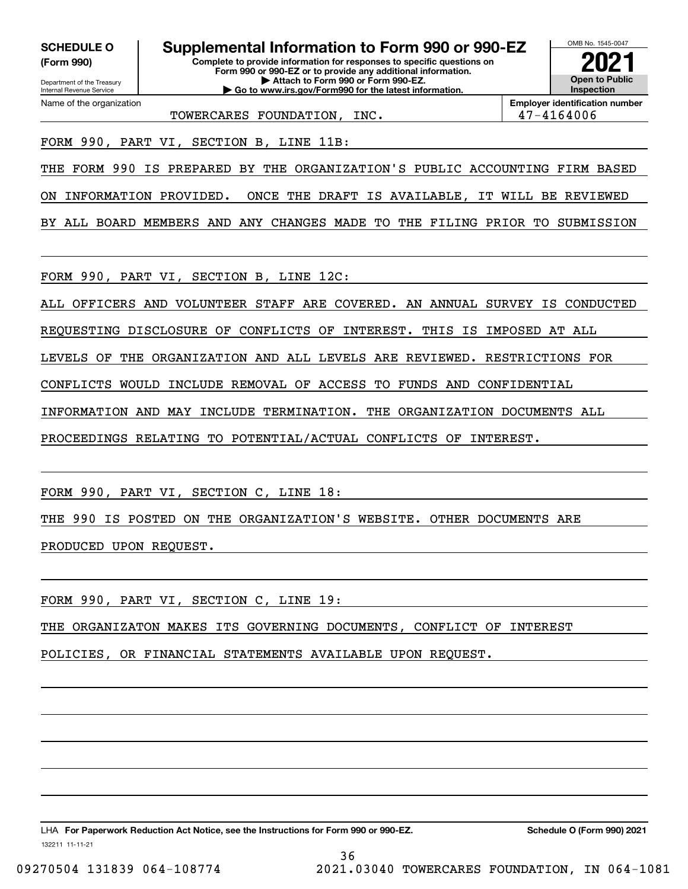**(Form 990)**

**Complete to provide information for responses to specific questions on Form 990 or 990-EZ or to provide any additional information. | Attach to Form 990 or Form 990-EZ. | Go to www.irs.gov/Form990 for the latest information. SCHEDULE O Supplemental Information to Form 990 or 990-EZ**



**Employer identification number** TOWERCARES FOUNDATION, INC.  $47-4164006$ 

FORM 990, PART VI, SECTION B, LINE 11B:

THE FORM 990 IS PREPARED BY THE ORGANIZATION'S PUBLIC ACCOUNTING FIRM BASED

ON INFORMATION PROVIDED. ONCE THE DRAFT IS AVAILABLE, IT WILL BE REVIEWED

BY ALL BOARD MEMBERS AND ANY CHANGES MADE TO THE FILING PRIOR TO SUBMISSION

FORM 990, PART VI, SECTION B, LINE 12C:

ALL OFFICERS AND VOLUNTEER STAFF ARE COVERED. AN ANNUAL SURVEY IS CONDUCTED

REQUESTING DISCLOSURE OF CONFLICTS OF INTEREST. THIS IS IMPOSED AT ALL

LEVELS OF THE ORGANIZATION AND ALL LEVELS ARE REVIEWED. RESTRICTIONS FOR

CONFLICTS WOULD INCLUDE REMOVAL OF ACCESS TO FUNDS AND CONFIDENTIAL

INFORMATION AND MAY INCLUDE TERMINATION. THE ORGANIZATION DOCUMENTS ALL

PROCEEDINGS RELATING TO POTENTIAL/ACTUAL CONFLICTS OF INTEREST.

FORM 990, PART VI, SECTION C, LINE 18:

THE 990 IS POSTED ON THE ORGANIZATION'S WEBSITE. OTHER DOCUMENTS ARE

PRODUCED UPON REQUEST.

FORM 990, PART VI, SECTION C, LINE 19:

THE ORGANIZATON MAKES ITS GOVERNING DOCUMENTS, CONFLICT OF INTEREST

POLICIES, OR FINANCIAL STATEMENTS AVAILABLE UPON REQUEST.

132211 11-11-21 LHA For Paperwork Reduction Act Notice, see the Instructions for Form 990 or 990-EZ. Schedule O (Form 990) 2021

36